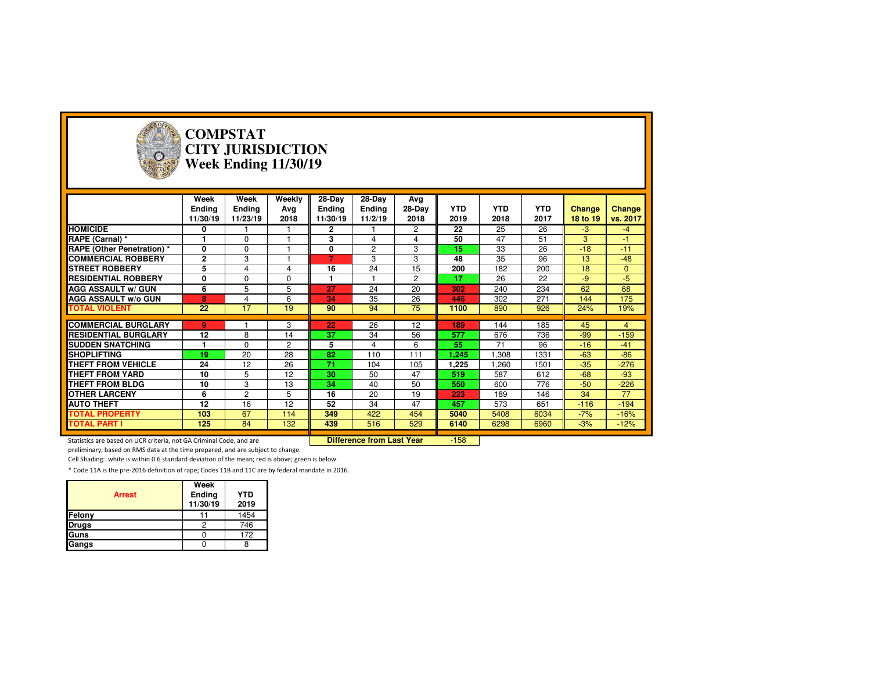

#### **COMPSTAT CITY JURISDICTIONWeek Ending 11/30/19**

|                                   | Week<br><b>Ending</b><br>11/30/19 | Week<br>Ending<br>11/23/19 | Weekly<br>Ava<br>2018 | 28-Day<br>Ending<br>11/30/19 | 28-Day<br><b>Ending</b><br>11/2/19 | Avg<br>28-Day<br>2018 | <b>YTD</b><br>2019 | <b>YTD</b><br>2018 | <b>YTD</b><br>2017 | <b>Change</b><br>18 to 19 | <b>Change</b><br>vs. 2017 |
|-----------------------------------|-----------------------------------|----------------------------|-----------------------|------------------------------|------------------------------------|-----------------------|--------------------|--------------------|--------------------|---------------------------|---------------------------|
| <b>HOMICIDE</b>                   | 0                                 |                            |                       | $\mathbf{2}$                 |                                    | $\overline{c}$        | 22                 | 25                 | 26                 | $-3$                      | -4                        |
| RAPE (Carnal) *                   |                                   | $\Omega$                   |                       | 3                            | $\overline{\mathbf{4}}$            | 4                     | 50                 | 47                 | 51                 | 3                         | $-1$                      |
| <b>RAPE (Other Penetration)</b> * | 0                                 | $\Omega$                   |                       | 0                            | 2                                  | 3                     | 15                 | 33                 | 26                 | $-18$                     | $-11$                     |
| <b>COMMERCIAL ROBBERY</b>         | $\overline{2}$                    | 3                          |                       | 7                            | 3                                  | 3                     | 48                 | 35                 | 96                 | 13                        | $-48$                     |
| <b>STREET ROBBERY</b>             | 5                                 | 4                          | 4                     | 16                           | 24                                 | 15                    | 200                | 182                | 200                | 18                        | $\mathbf{0}$              |
| <b>RESIDENTIAL ROBBERY</b>        | 0                                 | $\Omega$                   | 0                     |                              |                                    | $\overline{2}$        | 17                 | 26                 | 22                 | $-9$                      | -5                        |
| <b>AGG ASSAULT w/ GUN</b>         | 6                                 | 5                          | 5                     | 27                           | 24                                 | 20                    | 302                | 240                | 234                | 62                        | 68                        |
| <b>AGG ASSAULT w/o GUN</b>        | 8                                 | 4                          | 6                     | 34                           | 35                                 | 26                    | 446                | 302                | 271                | 144                       | 175                       |
| <b>TOTAL VIOLENT</b>              | 22                                | 17                         | 19                    | 90                           | 94                                 | 75                    | 1100               | 890                | 926                | 24%                       | 19%                       |
|                                   |                                   |                            |                       |                              |                                    |                       |                    |                    |                    |                           |                           |
| <b>COMMERCIAL BURGLARY</b>        | 9                                 |                            | 3                     | 22                           | 26                                 | 12                    | 189                | 144                | 185                | 45                        | 4                         |
| <b>RESIDENTIAL BURGLARY</b>       | 12                                | 8                          | 14                    | 37                           | 34                                 | 56                    | 577                | 676                | 736                | $-99$                     | $-159$                    |
| <b>ISUDDEN SNATCHING</b>          |                                   | $\Omega$                   | $\overline{2}$        | 5                            | 4                                  | 6                     | 55                 | 71                 | 96                 | $-16$                     | $-41$                     |
| <b>SHOPLIFTING</b>                | 19                                | 20                         | 28                    | 82                           | 110                                | 111                   | 1,245              | .308               | 1331               | $-63$                     | $-86$                     |
| THEFT FROM VEHICLE                | 24                                | 12                         | 26                    | 71                           | 104                                | 105                   | 1,225              | 1.260              | 1501               | $-35$                     | $-276$                    |
| <b>THEFT FROM YARD</b>            | 10                                | 5                          | 12                    | 30                           | 50                                 | 47                    | 519                | 587                | 612                | $-68$                     | $-93$                     |
| THEFT FROM BLDG                   | 10                                | 3                          | 13                    | 34                           | 40                                 | 50                    | 550                | 600                | 776                | $-50$                     | $-226$                    |
| <b>OTHER LARCENY</b>              | 6                                 | $\overline{c}$             | 5                     | 16                           | 20                                 | 19                    | 223                | 189                | 146                | 34                        | 77                        |
| <b>AUTO THEFT</b>                 | 12                                | 16                         | 12                    | 52                           | 34                                 | 47                    | 457                | 573                | 651                | $-116$                    | $-194$                    |
| <b>TOTAL PROPERTY</b>             | 103                               | 67                         | 114                   | 349                          | 422                                | 454                   | 5040               | 5408               | 6034               | $-7%$                     | $-16%$                    |
| <b>TOTAL PART I</b>               | 125                               | 84                         | 132                   | 439                          | 516                                | 529                   | 6140               | 6298               | 6960               | $-3%$                     | $-12%$                    |

Statistics are based on UCR criteria, not GA Criminal Code, and are **Difference from Last Year** 

-158

preliminary, based on RMS data at the time prepared, and are subject to change.

Cell Shading: white is within 0.6 standard deviation of the mean; red is above; green is below.

| <b>Arrest</b> | Week<br>Ending<br>11/30/19 | <b>YTD</b><br>2019 |
|---------------|----------------------------|--------------------|
| Felony        |                            | 1454               |
| <b>Drugs</b>  |                            | 746                |
| Guns          |                            | 172                |
| Gangs         |                            |                    |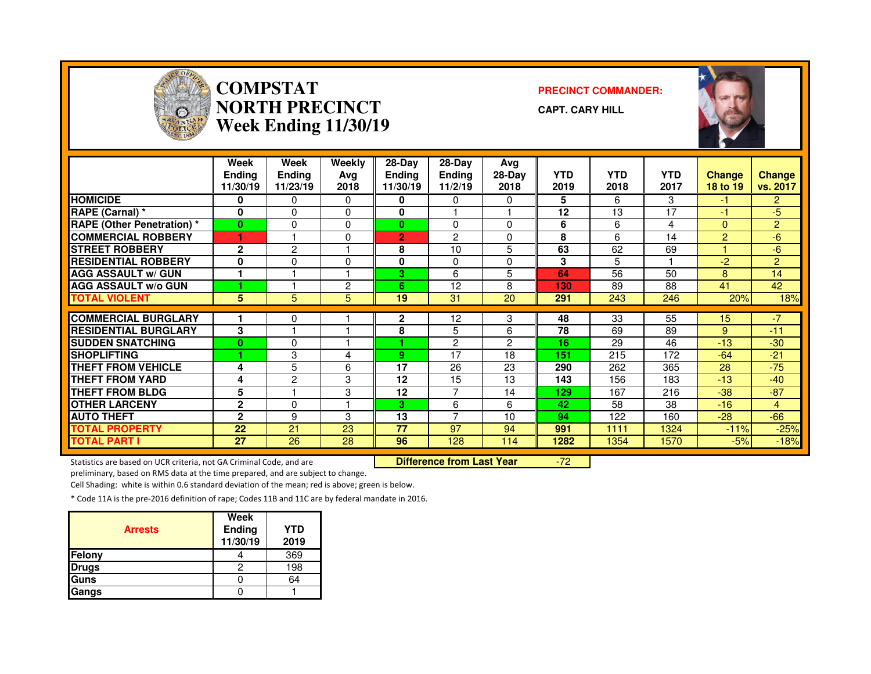

#### **COMPSTAT PRECINCT COMMANDER: NORTH PRECINCTWeek Ending 11/30/19**

**CAPT. CARY HILL**



|                                   | Week<br><b>Endina</b><br>11/30/19 | Week<br>Ending<br>11/23/19 | Weekly<br>Avg<br>2018 | 28-Day<br>Endina<br>11/30/19 | $28-Dav$<br><b>Ending</b><br>11/2/19 | Avg<br>$28-Day$<br>2018 | <b>YTD</b><br>2019 | <b>YTD</b><br>2018 | <b>YTD</b><br>2017 | <b>Change</b><br>18 to 19 | Change<br>vs. 2017 |
|-----------------------------------|-----------------------------------|----------------------------|-----------------------|------------------------------|--------------------------------------|-------------------------|--------------------|--------------------|--------------------|---------------------------|--------------------|
| <b>HOMICIDE</b>                   | 0                                 | 0                          | 0                     | 0                            | 0                                    | $\Omega$                | 5                  | 6                  | 3                  | -1                        | $\overline{2}$     |
| RAPE (Carnal) *                   | 0                                 | 0                          | $\Omega$              | $\bf{0}$                     |                                      |                         | 12                 | 13                 | 17                 | -1                        | -5                 |
| <b>RAPE (Other Penetration) *</b> | $\bf{0}$                          | 0                          | $\Omega$              | $\bf{0}$                     | $\Omega$                             | $\Omega$                | 6                  | 6                  | 4                  | $\Omega$                  | $\overline{2}$     |
| <b>COMMERCIAL ROBBERY</b>         |                                   |                            | $\Omega$              | $\overline{2}$               | $\overline{2}$                       | $\Omega$                | 8                  | 6                  | 14                 | 2                         | -6                 |
| <b>STREET ROBBERY</b>             | $\mathbf{2}$                      | 2                          |                       | 8                            | 10                                   | 5                       | 63                 | 62                 | 69                 |                           | -6                 |
| <b>RESIDENTIAL ROBBERY</b>        | 0                                 | 0                          | 0                     | 0                            | $\Omega$                             | $\Omega$                | 3                  | 5                  |                    | $-2$                      | $\overline{2}$     |
| <b>AGG ASSAULT w/ GUN</b>         | 1                                 |                            |                       | 3                            | 6                                    | 5                       | 64                 | 56                 | 50                 | 8                         | 14                 |
| <b>AGG ASSAULT w/o GUN</b>        |                                   |                            | $\overline{2}$        | 6.                           | 12                                   | 8                       | 130                | 89                 | 88                 | 41                        | 42                 |
| <b>TOTAL VIOLENT</b>              | 5                                 | 5                          | 5                     | 19                           | 31                                   | 20                      | 291                | 243                | 246                | 20%                       | 18%                |
| <b>COMMERCIAL BURGLARY</b>        |                                   |                            |                       | $\mathbf{2}$                 |                                      | 3                       | 48                 | 33                 | 55                 |                           | $-7$               |
|                                   |                                   | 0                          |                       |                              | 12                                   |                         |                    |                    |                    | 15                        |                    |
| <b>RESIDENTIAL BURGLARY</b>       | 3                                 |                            |                       | 8                            | 5                                    | 6                       | 78                 | 69                 | 89                 | 9                         | $-11$              |
| <b>SUDDEN SNATCHING</b>           | $\Omega$                          | 0                          |                       |                              | $\overline{2}$                       | 2                       | 16                 | 29                 | 46                 | $-13$                     | $-30$              |
| <b>SHOPLIFTING</b>                |                                   | 3                          | 4                     | 9                            | 17                                   | 18                      | 151                | 215                | 172                | $-64$                     | $-21$              |
| <b>THEFT FROM VEHICLE</b>         | 4                                 | 5                          | 6                     | 17                           | 26                                   | 23                      | 290                | 262                | 365                | 28                        | $-75$              |
| <b>THEFT FROM YARD</b>            | 4                                 | $\mathfrak{p}$             | 3                     | 12                           | 15                                   | 13                      | 143                | 156                | 183                | $-13$                     | $-40$              |
| <b>THEFT FROM BLDG</b>            | 5                                 |                            | 3                     | 12                           | 7                                    | 14                      | 129                | 167                | 216                | $-38$                     | $-87$              |
| <b>OTHER LARCENY</b>              | $\mathbf{2}$                      | 0                          |                       | 3                            | 6                                    | 6                       | 42                 | 58                 | 38                 | $-16$                     | 4                  |
| <b>AUTO THEFT</b>                 | $\overline{2}$                    | 9                          | 3                     | 13                           | $\overline{ }$                       | 10                      | 94                 | 122                | 160                | $-28$                     | $-66$              |
| <b>TOTAL PROPERTY</b>             | 22                                | 21                         | 23                    | 77                           | 97                                   | 94                      | 991                | 1111               | 1324               | $-11%$                    | $-25%$             |
| <b>TOTAL PART I</b>               | 27                                | 26                         | 28                    | 96                           | 128                                  | 114                     | 1282               | 1354               | 1570               | $-5%$                     | $-18%$             |

Statistics are based on UCR criteria, not GA Criminal Code, and are **Difference from Last Year** 

-72

preliminary, based on RMS data at the time prepared, and are subject to change.

Cell Shading: white is within 0.6 standard deviation of the mean; red is above; green is below.

| <b>Arrests</b> | Week<br>Ending<br>11/30/19 | YTD<br>2019 |
|----------------|----------------------------|-------------|
| Felony         |                            | 369         |
| <b>Drugs</b>   |                            | 198         |
| Guns           |                            | 64          |
| Gangs          |                            |             |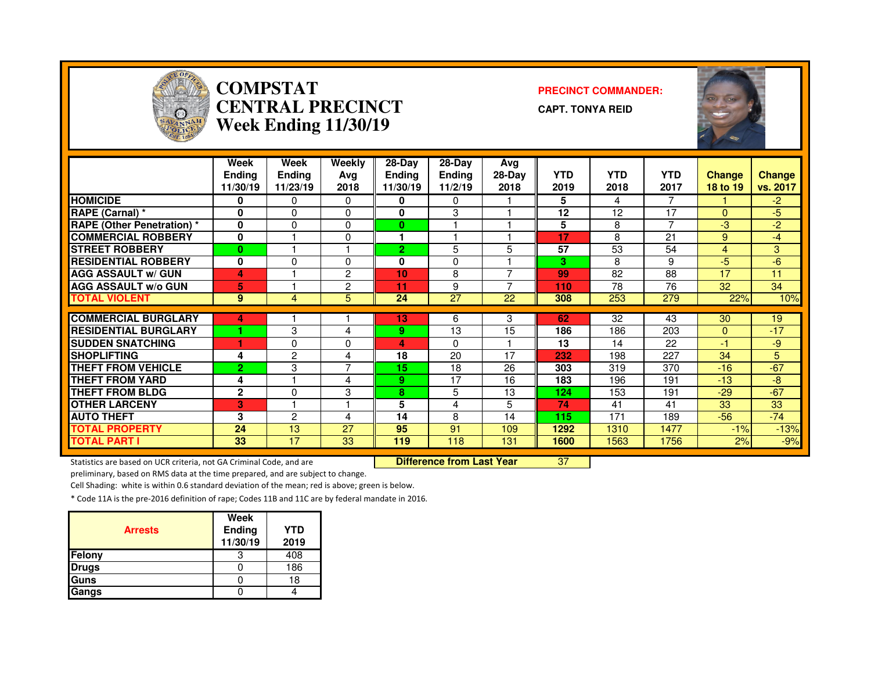

#### **COMPSTAT PRECINCT COMMANDER: CENTRAL PRECINCTWeek Ending 11/30/19**

**CAPT. TONYA REID**



|                                   | Week<br><b>Endina</b><br>11/30/19 | Week<br>Ending<br>11/23/19 | Weekly<br>Ava<br>2018 | 28-Day<br><b>Ending</b><br>11/30/19 | 28-Day<br><b>Ending</b><br>11/2/19 | Avg<br>$28-Day$<br>2018 | <b>YTD</b><br>2019 | <b>YTD</b><br>2018 | <b>YTD</b><br>2017 | <b>Change</b><br>18 to 19 | <b>Change</b><br>vs. 2017 |
|-----------------------------------|-----------------------------------|----------------------------|-----------------------|-------------------------------------|------------------------------------|-------------------------|--------------------|--------------------|--------------------|---------------------------|---------------------------|
| <b>HOMICIDE</b>                   | 0                                 | 0                          | $\mathbf{0}$          | 0                                   | 0                                  |                         | 5                  | 4                  | $\overline{7}$     |                           | $-2$                      |
| RAPE (Carnal) *                   | 0                                 | 0                          | $\Omega$              | $\bf{0}$                            | 3                                  |                         | 12                 | 12                 | 17                 | $\Omega$                  | $-5$                      |
| <b>RAPE (Other Penetration) *</b> | $\bf{0}$                          | 0                          | $\Omega$              | 0                                   |                                    |                         | 5                  | 8                  | $\overline{ }$     | -3                        | $-2$                      |
| <b>COMMERCIAL ROBBERY</b>         | $\bf{0}$                          |                            | $\Omega$              |                                     |                                    |                         | 17                 | 8                  | 21                 | 9                         | $-4$                      |
| <b>STREET ROBBERY</b>             | $\bf{0}$                          |                            |                       | $\overline{2}$                      | 5                                  | 5                       | 57                 | 53                 | 54                 | $\overline{4}$            | 3                         |
| <b>RESIDENTIAL ROBBERY</b>        | $\bf{0}$                          | 0                          | $\Omega$              | $\bf{0}$                            | 0                                  |                         | 3                  | 8                  | 9                  | -5                        | -6                        |
| <b>AGG ASSAULT w/ GUN</b>         | 4                                 |                            | 2                     | 10                                  | 8                                  | ⇁                       | 99                 | 82                 | 88                 | 17                        | 11                        |
| <b>AGG ASSAULT w/o GUN</b>        | 5                                 |                            | 2                     | 11                                  | 9                                  | ⇁                       | 110                | 78                 | 76                 | 32                        | 34                        |
| <b>TOTAL VIOLENT</b>              | 9                                 | 4                          | 5                     | 24                                  | 27                                 | 22                      | 308                | 253                | 279                | 22%                       | 10%                       |
|                                   |                                   |                            |                       |                                     |                                    |                         |                    |                    |                    |                           |                           |
| <b>COMMERCIAL BURGLARY</b>        | 4                                 |                            |                       | 13                                  | 6                                  | 3                       | 62                 | 32                 | 43                 | 30                        | 19                        |
| <b>RESIDENTIAL BURGLARY</b>       |                                   | 3                          | 4                     | 9.                                  | 13                                 | 15                      | 186                | 186                | 203                | $\mathbf{0}$              | $-17$                     |
| <b>ISUDDEN SNATCHING</b>          |                                   | 0                          | 0                     | 4                                   | 0                                  |                         | 13                 | 14                 | 22                 | $-1$                      | $-9$                      |
| <b>SHOPLIFTING</b>                | 4                                 | 2                          | 4                     | 18                                  | 20                                 | 17                      | 232                | 198                | 227                | 34                        | 5                         |
| <b>THEFT FROM VEHICLE</b>         | 2                                 | 3                          | $\overline{ }$        | 15                                  | 18                                 | 26                      | 303                | 319                | 370                | $-16$                     | $-67$                     |
| <b>THEFT FROM YARD</b>            | 4                                 |                            | 4                     | 9                                   | 17                                 | 16                      | 183                | 196                | 191                | $-13$                     | -8                        |
| <b>THEFT FROM BLDG</b>            | $\mathbf{2}$                      | 0                          | 3                     | 8                                   | 5                                  | 13                      | 124                | 153                | 191                | $-29$                     | $-67$                     |
| <b>OTHER LARCENY</b>              | в                                 |                            |                       | 5                                   | 4                                  | 5                       | 74                 | 41                 | 41                 | 33                        | 33                        |
| <b>AUTO THEFT</b>                 | 3                                 | $\overline{c}$             | 4                     | 14                                  | 8                                  | 14                      | 115                | 171                | 189                | $-56$                     | $-74$                     |
| <b>TOTAL PROPERTY</b>             | 24                                | 13                         | 27                    | 95                                  | 91                                 | 109                     | 1292               | 1310               | 1477               | $-1%$                     | $-13%$                    |
| <b>TOTAL PART I</b>               | 33                                | 17                         | 33                    | 119                                 | 118                                | 131                     | 1600               | 1563               | 1756               | 2%                        | $-9%$                     |

Statistics are based on UCR criteria, not GA Criminal Code, and are **Difference from Last Year** 

<sup>37</sup>

preliminary, based on RMS data at the time prepared, and are subject to change.

Cell Shading: white is within 0.6 standard deviation of the mean; red is above; green is below.

| <b>Arrests</b> | Week<br>Ending<br>11/30/19 | <b>YTD</b><br>2019 |
|----------------|----------------------------|--------------------|
| Felony         |                            | 408                |
| <b>Drugs</b>   |                            | 186                |
| Guns           |                            | 18                 |
| Gangs          |                            |                    |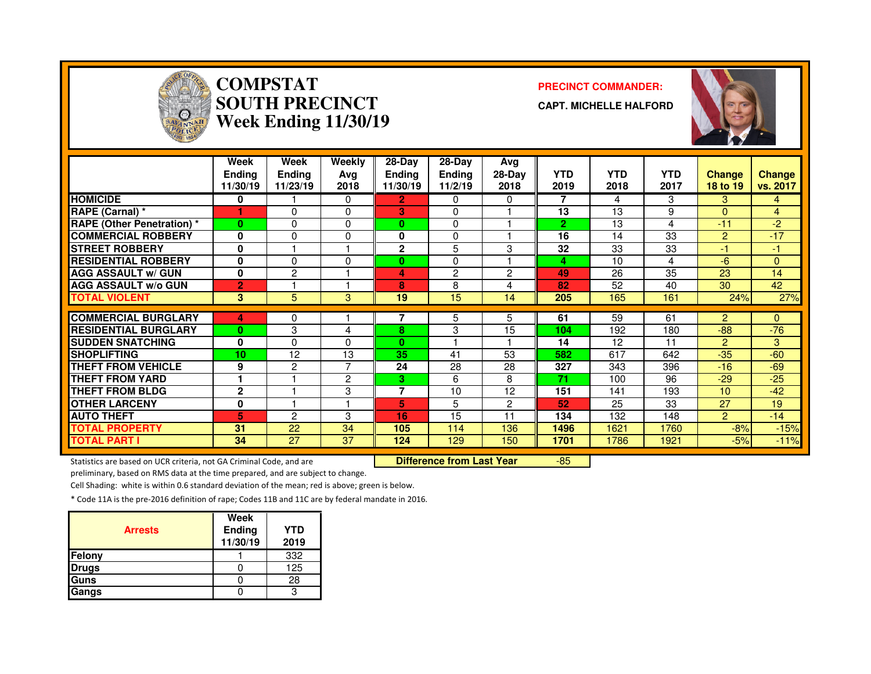

# **COMPSTAT PRECINCT COMMANDER: SOUTH PRECINCTWeek Ending 11/30/19**

**CAPT. MICHELLE HALFORD**



|                                   | Week<br><b>Endina</b><br>11/30/19 | Week<br><b>Ending</b><br>11/23/19 | Weekly<br>Avg<br>2018 | $28-Dav$<br><b>Endina</b><br>11/30/19 | 28-Dav<br><b>Endina</b><br>11/2/19 | Avg<br>$28-Day$<br>2018 | <b>YTD</b><br>2019 | <b>YTD</b><br>2018 | <b>YTD</b><br>2017 | <b>Change</b><br>18 to 19 | <b>Change</b><br>vs. 2017 |
|-----------------------------------|-----------------------------------|-----------------------------------|-----------------------|---------------------------------------|------------------------------------|-------------------------|--------------------|--------------------|--------------------|---------------------------|---------------------------|
| <b>HOMICIDE</b>                   | 0                                 |                                   | $\mathbf{0}$          | 2.                                    | $\Omega$                           | 0                       | 7                  | 4                  | 3                  | 3                         | 4                         |
| RAPE (Carnal) *                   |                                   | $\Omega$                          | $\Omega$              | 3                                     | 0                                  |                         | 13                 | 13                 | 9                  | $\Omega$                  | 4                         |
| <b>RAPE (Other Penetration) *</b> | $\bf{0}$                          | $\Omega$                          | $\Omega$              | 0                                     | $\Omega$                           |                         | $\overline{2}$     | 13                 | 4                  | $-11$                     | $-2$                      |
| <b>COMMERCIAL ROBBERY</b>         | $\bf{0}$                          | 0                                 | $\Omega$              | 0                                     | $\Omega$                           |                         | 16                 | 14                 | 33                 | 2                         | $-17$                     |
| <b>STREET ROBBERY</b>             | $\bf{0}$                          |                                   |                       | $\overline{2}$                        | 5                                  | 3                       | 32                 | 33                 | 33                 | -1                        | $-1$                      |
| <b>RESIDENTIAL ROBBERY</b>        | $\bf{0}$                          | 0                                 | $\Omega$              | 0                                     | 0                                  |                         | 4                  | 10                 | 4                  | $-6$                      | 0                         |
| <b>AGG ASSAULT w/ GUN</b>         | $\mathbf{0}$                      | $\overline{c}$                    |                       | 4                                     | 2                                  | $\overline{c}$          | 49                 | 26                 | 35                 | 23                        | 14                        |
| <b>AGG ASSAULT w/o GUN</b>        | $\overline{2}$                    |                                   |                       | 8                                     | 8                                  | 4                       | 82                 | 52                 | 40                 | 30                        | 42                        |
| <b>TOTAL VIOLENT</b>              | 3                                 | 5                                 | 3                     | 19                                    | 15                                 | 14                      | 205                | 165                | 161                | 24%                       | 27%                       |
|                                   |                                   |                                   |                       |                                       |                                    |                         |                    |                    |                    |                           |                           |
| <b>COMMERCIAL BURGLARY</b>        | 4                                 | 0                                 |                       |                                       | 5                                  | 5                       | 61                 | 59                 | 61                 | $\overline{2}$            | 0                         |
| <b>RESIDENTIAL BURGLARY</b>       | $\bf{0}$                          | 3                                 | 4                     | 8                                     | 3                                  | 15                      | 104                | 192                | 180                | $-88-$                    | $-76$                     |
| <b>SUDDEN SNATCHING</b>           | $\mathbf{0}$                      | $\Omega$                          | $\Omega$              | $\mathbf{0}$                          |                                    |                         | 14                 | 12                 | 11                 | 2                         | 3                         |
| <b>SHOPLIFTING</b>                | 10                                | 12                                | 13                    | 35                                    | 41                                 | 53                      | 582                | 617                | 642                | $-35$                     | $-60$                     |
| THEFT FROM VEHICLE                | 9                                 | 2                                 | 7                     | 24                                    | 28                                 | 28                      | 327                | 343                | 396                | $-16$                     | $-69$                     |
| <b>THEFT FROM YARD</b>            |                                   |                                   | $\overline{c}$        | 3.                                    | 6                                  | 8                       | 71                 | 100                | 96                 | $-29$                     | $-25$                     |
| <b>THEFT FROM BLDG</b>            | $\mathbf{2}$                      |                                   | 3                     | 7                                     | 10                                 | 12                      | 151                | 141                | 193                | 10                        | $-42$                     |
| <b>OTHER LARCENY</b>              | 0                                 |                                   |                       | 5                                     | 5                                  | $\overline{2}$          | 52                 | 25                 | 33                 | 27                        | 19                        |
| <b>AUTO THEFT</b>                 | 5                                 | $\mathfrak{p}$                    | 3                     | 16                                    | 15                                 | 11                      | 134                | 132                | 148                | $\overline{2}$            | $-14$                     |
| <b>TOTAL PROPERTY</b>             | 31                                | 22                                | 34                    | 105                                   | 114                                | 136                     | 1496               | 1621               | 1760               | $-8%$                     | $-15%$                    |
| <b>TOTAL PART I</b>               | 34                                | 27                                | 37                    | 124                                   | 129                                | 150                     | 1701               | 1786               | 1921               | $-5%$                     | $-11%$                    |

Statistics are based on UCR criteria, not GA Criminal Code, and are **Difference from Last Year** 

-85

preliminary, based on RMS data at the time prepared, and are subject to change.

Cell Shading: white is within 0.6 standard deviation of the mean; red is above; green is below.

| <b>Arrests</b> | Week<br>Ending<br>11/30/19 | YTD<br>2019 |
|----------------|----------------------------|-------------|
| Felony         |                            | 332         |
| Drugs          |                            | 125         |
| Guns           |                            | 28          |
| Gangs          |                            |             |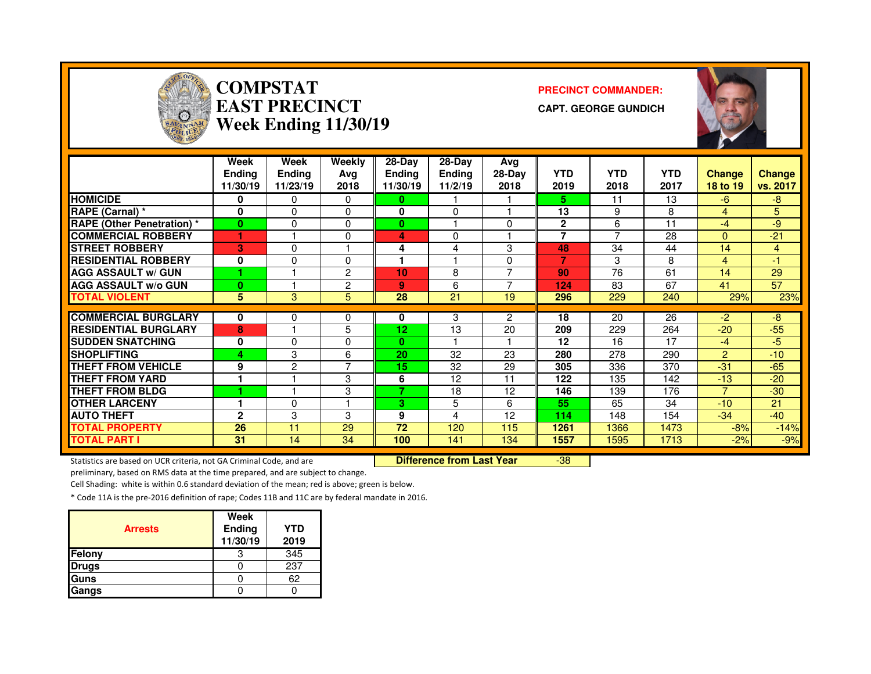

## **COMPSTAT PRECINCT COMMANDER: EAST PRECINCTWeek Ending 11/30/19**

**CAPT. GEORGE GUNDICH**



|                                   | Week<br><b>Ending</b><br>11/30/19 | Week<br><b>Endina</b><br>11/23/19 | <b>Weekly</b><br>Ava<br>2018 | 28-Day<br><b>Ending</b><br>11/30/19 | $28-Day$<br>Ending<br>11/2/19 | Avg<br>28-Day<br>2018    | <b>YTD</b><br>2019 | <b>YTD</b><br>2018 | <b>YTD</b><br>2017 | <b>Change</b><br>18 to 19 | <b>Change</b><br>vs. 2017 |
|-----------------------------------|-----------------------------------|-----------------------------------|------------------------------|-------------------------------------|-------------------------------|--------------------------|--------------------|--------------------|--------------------|---------------------------|---------------------------|
| <b>HOMICIDE</b>                   | 0                                 | 0                                 | 0                            | 0                                   |                               |                          | 5.                 | 11                 | 13                 | $-6$                      | -8                        |
| RAPE (Carnal) *                   | $\bf{0}$                          | $\Omega$                          | 0                            | $\bf{0}$                            | $\Omega$                      |                          | 13                 | 9                  | 8                  | 4                         | 5                         |
| <b>RAPE (Other Penetration) *</b> | $\bf{0}$                          | $\Omega$                          | 0                            | $\bf{0}$                            |                               | 0                        | $\overline{2}$     | 6                  | 11                 | $-4$                      | -9                        |
| <b>COMMERCIAL ROBBERY</b>         |                                   |                                   | 0                            | 4                                   | 0                             |                          | $\overline{7}$     | ⇁                  | 28                 | $\Omega$                  | $-21$                     |
| <b>STREET ROBBERY</b>             | 3                                 | 0                                 |                              | 4                                   | 4                             | 3                        | 48                 | 34                 | 44                 | 14                        | 4                         |
| <b>RESIDENTIAL ROBBERY</b>        | $\bf{0}$                          | 0                                 | 0                            |                                     |                               | 0                        |                    | 3                  | 8                  | 4                         | -1                        |
| <b>AGG ASSAULT w/ GUN</b>         |                                   |                                   | 2                            | 10                                  | 8                             | $\overline{\phantom{a}}$ | 90                 | 76                 | 61                 | 14                        | 29                        |
| AGG ASSAULT w/o GUN               | 0                                 |                                   | 2                            | 9                                   | 6                             |                          | 124                | 83                 | 67                 | 41                        | 57                        |
| <b>TOTAL VIOLENT</b>              | 5                                 | 3                                 | 5                            | 28                                  | 21                            | 19                       | 296                | 229                | 240                | 29%                       | 23%                       |
|                                   |                                   |                                   |                              |                                     |                               |                          |                    |                    |                    |                           |                           |
| <b>COMMERCIAL BURGLARY</b>        | $\bf{0}$                          | 0                                 | 0                            | 0                                   | 3                             | $\overline{2}$           | 18                 | 20                 | 26                 | $-2$                      | $-8$                      |
| <b>RESIDENTIAL BURGLARY</b>       | 8                                 |                                   | 5                            | 12                                  | 13                            | 20                       | 209                | 229                | 264                | $-20$                     | $-55$                     |
| <b>SUDDEN SNATCHING</b>           | $\bf{0}$                          | 0                                 | 0                            | $\bf{0}$                            |                               |                          | 12                 | 16                 | 17                 | $-4$                      | $-5$                      |
| <b>SHOPLIFTING</b>                | 4                                 | 3                                 | 6                            | 20                                  | 32                            | 23                       | 280                | 278                | 290                | $\mathbf{P}$              | $-10$                     |
| <b>THEFT FROM VEHICLE</b>         | 9                                 | $\overline{c}$                    | 7                            | 15                                  | 32                            | 29                       | 305                | 336                | 370                | -31                       | $-65$                     |
| <b>THEFT FROM YARD</b>            |                                   |                                   | 3                            | 6                                   | 12                            | 11                       | 122                | 135                | 142                | $-13$                     | $-20$                     |
| <b>THEFT FROM BLDG</b>            |                                   |                                   | 3                            | 7                                   | 18                            | 12                       | 146                | 139                | 176                |                           | $-30$                     |
| <b>IOTHER LARCENY</b>             |                                   | 0                                 | 1                            | 3                                   | 5                             | 6                        | 55                 | 65                 | 34                 | $-10$                     | 21                        |
| <b>AUTO THEFT</b>                 | $\mathbf{2}$                      | 3                                 | 3                            | 9                                   | 4                             | 12                       | 114                | 148                | 154                | $-34$                     | $-40$                     |
| <b>TOTAL PROPERTY</b>             | 26                                | 11                                | 29                           | 72                                  | 120                           | 115                      | 1261               | 1366               | 1473               | $-8%$                     | $-14%$                    |
| <b>TOTAL PART I</b>               | 31                                | 14                                | 34                           | 100                                 | 141                           | 134                      | 1557               | 1595               | 1713               | $-2%$                     | $-9%$                     |

Statistics are based on UCR criteria, not GA Criminal Code, and are **Difference from Last Year** 

-38

preliminary, based on RMS data at the time prepared, and are subject to change.

Cell Shading: white is within 0.6 standard deviation of the mean; red is above; green is below.

| <b>Arrests</b> | Week<br>Ending<br>11/30/19 | <b>YTD</b><br>2019 |
|----------------|----------------------------|--------------------|
| <b>Felony</b>  |                            | 345                |
| <b>Drugs</b>   |                            | 237                |
| <b>Guns</b>    |                            | 62                 |
| Gangs          |                            |                    |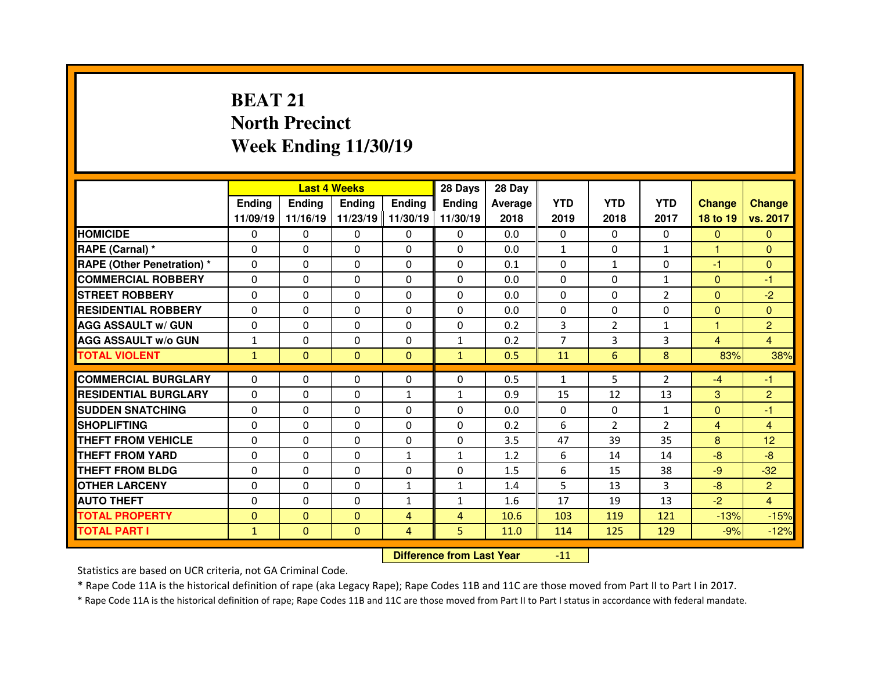## **BEAT 21 North PrecinctWeek Ending 11/30/19**

|                                   |              |              | <b>Last 4 Weeks</b> |                   | 28 Days        | 28 Day  |                |                |                |                |                 |
|-----------------------------------|--------------|--------------|---------------------|-------------------|----------------|---------|----------------|----------------|----------------|----------------|-----------------|
|                                   | Ending       | Ending       | <b>Ending</b>       | <b>Ending</b>     | Ending         | Average | <b>YTD</b>     | <b>YTD</b>     | <b>YTD</b>     | <b>Change</b>  | <b>Change</b>   |
|                                   | 11/09/19     | 11/16/19     |                     | 11/23/19 11/30/19 | 11/30/19       | 2018    | 2019           | 2018           | 2017           | 18 to 19       | vs. 2017        |
| <b>HOMICIDE</b>                   | $\mathbf{0}$ | $\Omega$     | 0                   | $\mathbf{0}$      | 0              | 0.0     | 0              | $\Omega$       | $\Omega$       | $\mathbf{0}$   | $\Omega$        |
| RAPE (Carnal) *                   | 0            | $\Omega$     | $\Omega$            | $\Omega$          | $\Omega$       | 0.0     | $\mathbf{1}$   | $\Omega$       | $\mathbf{1}$   | 1              | $\Omega$        |
| <b>RAPE (Other Penetration) *</b> | 0            | $\Omega$     | $\Omega$            | $\Omega$          | $\Omega$       | 0.1     | $\Omega$       | $\mathbf{1}$   | $\Omega$       | $-1$           | $\Omega$        |
| <b>COMMERCIAL ROBBERY</b>         | $\Omega$     | 0            | $\mathbf{0}$        | $\mathbf{0}$      | 0              | 0.0     | $\Omega$       | $\Omega$       | $\mathbf{1}$   | $\mathbf{0}$   | -1              |
| <b>STREET ROBBERY</b>             | $\Omega$     | $\Omega$     | $\Omega$            | $\Omega$          | $\Omega$       | 0.0     | $\Omega$       | $\Omega$       | $\overline{2}$ | $\Omega$       | $-2$            |
| <b>RESIDENTIAL ROBBERY</b>        | 0            | $\Omega$     | $\Omega$            | $\Omega$          | $\Omega$       | 0.0     | $\Omega$       | $\Omega$       | $\Omega$       | $\Omega$       | $\Omega$        |
| <b>AGG ASSAULT w/ GUN</b>         | 0            | $\Omega$     | $\Omega$            | $\Omega$          | $\Omega$       | 0.2     | 3              | $\overline{2}$ | $\mathbf{1}$   | 1              | $\overline{2}$  |
| <b>AGG ASSAULT w/o GUN</b>        | $\mathbf{1}$ | 0            | 0                   | 0                 | $\mathbf{1}$   | 0.2     | $\overline{7}$ | 3              | 3              | $\overline{4}$ | $\overline{4}$  |
| <b>TOTAL VIOLENT</b>              | $\mathbf{1}$ | $\mathbf{0}$ | $\mathbf{0}$        | $\mathbf{0}$      | $\mathbf{1}$   | 0.5     | 11             | 6              | 8              | 83%            | 38%             |
|                                   |              |              |                     |                   |                |         |                |                |                |                |                 |
| <b>COMMERCIAL BURGLARY</b>        | 0            | 0            | 0                   | 0                 | $\Omega$       | 0.5     | $\mathbf{1}$   | 5              | $\overline{2}$ | $-4$           | -1              |
| <b>RESIDENTIAL BURGLARY</b>       | 0            | 0            | 0                   | 1                 | 1              | 0.9     | 15             | 12             | 13             | 3              | $\overline{c}$  |
| <b>SUDDEN SNATCHING</b>           | 0            | 0            | 0                   | 0                 | 0              | 0.0     | $\Omega$       | $\mathbf{0}$   | $\mathbf{1}$   | $\overline{0}$ | $-1$            |
| <b>SHOPLIFTING</b>                | 0            | 0            | $\Omega$            | $\Omega$          | 0              | 0.2     | 6              | $\overline{2}$ | $\overline{2}$ | $\overline{4}$ | $\overline{4}$  |
| <b>THEFT FROM VEHICLE</b>         | 0            | 0            | $\Omega$            | 0                 | $\Omega$       | 3.5     | 47             | 39             | 35             | 8              | 12 <sub>2</sub> |
| <b>THEFT FROM YARD</b>            | 0            | 0            | 0                   | $\mathbf{1}$      | $\mathbf{1}$   | 1.2     | 6              | 14             | 14             | $-8$           | $-8$            |
| <b>THEFT FROM BLDG</b>            | 0            | $\Omega$     | $\Omega$            | $\Omega$          | $\Omega$       | 1.5     | 6              | 15             | 38             | $-9$           | $-32$           |
| <b>OTHER LARCENY</b>              | 0            | 0            | $\Omega$            | 1                 | $\mathbf{1}$   | 1.4     | 5              | 13             | 3              | $-8$           | $\overline{c}$  |
| <b>AUTO THEFT</b>                 | 0            | $\Omega$     | $\Omega$            | $\mathbf{1}$      | $\mathbf{1}$   | 1.6     | 17             | 19             | 13             | $-2$           | $\overline{4}$  |
| <b>TOTAL PROPERTY</b>             | $\mathbf{0}$ | $\mathbf{0}$ | $\mathbf{0}$        | $\overline{4}$    | $\overline{4}$ | 10.6    | 103            | 119            | 121            | $-13%$         | $-15%$          |
| <b>TOTAL PART I</b>               | $\mathbf{1}$ | $\Omega$     | $\mathbf{0}$        | $\overline{4}$    | 5              | 11.0    | 114            | 125            | 129            | $-9%$          | $-12%$          |
|                                   |              |              |                     |                   |                |         |                |                |                |                |                 |

 **Difference from Last Year**-11

Statistics are based on UCR criteria, not GA Criminal Code.

\* Rape Code 11A is the historical definition of rape (aka Legacy Rape); Rape Codes 11B and 11C are those moved from Part II to Part I in 2017.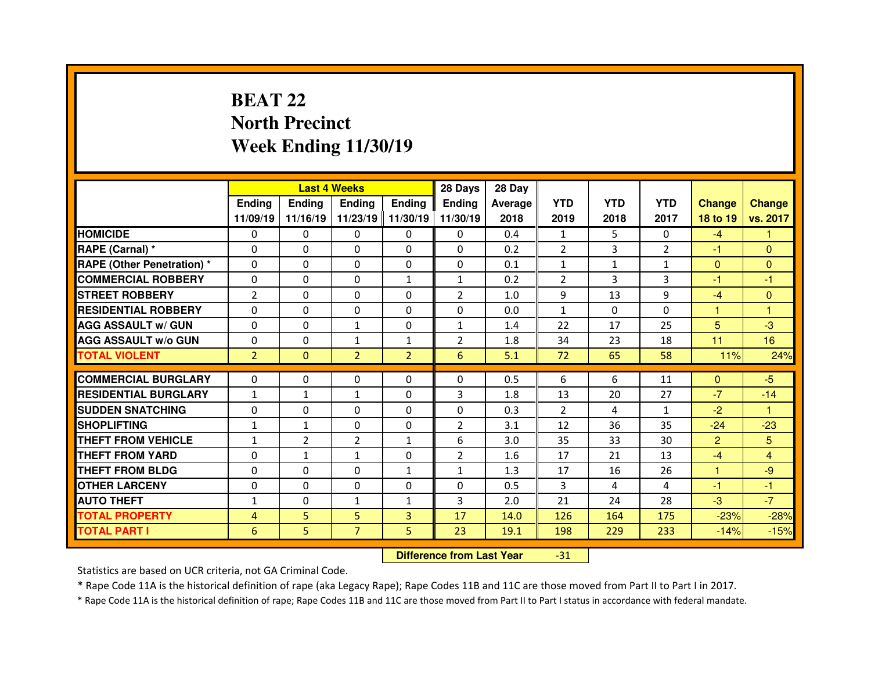### **BEAT 22 North PrecinctWeek Ending 11/30/19**

|                                  |                |                | <b>Last 4 Weeks</b> |                   | 28 Days        | 28 Day  |                |              |                |                |                |
|----------------------------------|----------------|----------------|---------------------|-------------------|----------------|---------|----------------|--------------|----------------|----------------|----------------|
|                                  | <b>Ending</b>  | <b>Ending</b>  | <b>Ending</b>       | <b>Ending</b>     | Ending         | Average | <b>YTD</b>     | <b>YTD</b>   | <b>YTD</b>     | <b>Change</b>  | <b>Change</b>  |
|                                  | 11/09/19       | 11/16/19       |                     | 11/23/19 11/30/19 | 11/30/19       | 2018    | 2019           | 2018         | 2017           | 18 to 19       | vs. 2017       |
| <b>HOMICIDE</b>                  | $\Omega$       | $\Omega$       | $\Omega$            | $\Omega$          | $\Omega$       | 0.4     | 1              | 5.           | $\Omega$       | $-4$           | 1              |
| RAPE (Carnal) *                  | $\Omega$       | $\Omega$       | $\Omega$            | $\Omega$          | $\Omega$       | 0.2     | $\overline{2}$ | 3            | $\overline{2}$ | $-1$           | $\Omega$       |
| <b>RAPE (Other Penetration)*</b> | $\Omega$       | $\Omega$       | $\mathbf{0}$        | $\Omega$          | $\Omega$       | 0.1     | $\mathbf{1}$   | $\mathbf{1}$ | $\mathbf{1}$   | $\Omega$       | $\Omega$       |
| <b>COMMERCIAL ROBBERY</b>        | $\Omega$       | $\Omega$       | $\mathbf{0}$        | $\mathbf{1}$      | $\mathbf{1}$   | 0.2     | $\overline{2}$ | 3            | 3              | -1             | $-1$           |
| <b>STREET ROBBERY</b>            | $\overline{2}$ | $\Omega$       | $\Omega$            | $\Omega$          | $\overline{2}$ | 1.0     | 9              | 13           | 9              | $-4$           | $\Omega$       |
| <b>RESIDENTIAL ROBBERY</b>       | $\Omega$       | $\Omega$       | $\Omega$            | $\Omega$          | $\Omega$       | 0.0     | $\mathbf{1}$   | $\Omega$     | $\Omega$       | 1              | $\overline{1}$ |
| <b>AGG ASSAULT w/ GUN</b>        | $\Omega$       | 0              | $\mathbf{1}$        | $\Omega$          | $\mathbf{1}$   | 1.4     | 22             | 17           | 25             | 5              | $-3$           |
| <b>AGG ASSAULT w/o GUN</b>       | $\Omega$       | $\Omega$       | $\mathbf{1}$        | $\mathbf{1}$      | $\overline{2}$ | 1.8     | 34             | 23           | 18             | 11             | 16             |
| <b>TOTAL VIOLENT</b>             | $\overline{2}$ | $\mathbf{0}$   | $\overline{2}$      | $\overline{2}$    | 6              | 5.1     | 72             | 65           | 58             | 11%            | 24%            |
|                                  |                |                |                     |                   |                |         |                | 6            |                |                |                |
| <b>COMMERCIAL BURGLARY</b>       | 0              | 0              | 0                   | $\Omega$          | 0              | 0.5     | 6              |              | 11             | $\mathbf{0}$   | $-5$           |
| <b>RESIDENTIAL BURGLARY</b>      | $\mathbf{1}$   | $\mathbf{1}$   | $\mathbf{1}$        | $\Omega$          | 3              | 1.8     | 13             | 20           | 27             | $-7$           | $-14$          |
| <b>SUDDEN SNATCHING</b>          | 0              | 0              | $\Omega$            | $\Omega$          | $\Omega$       | 0.3     | 2              | 4            | $\mathbf{1}$   | $-2$           | 1              |
| <b>SHOPLIFTING</b>               | $\mathbf{1}$   | $\mathbf{1}$   | 0                   | $\Omega$          | $\overline{2}$ | 3.1     | 12             | 36           | 35             | $-24$          | $-23$          |
| <b>THEFT FROM VEHICLE</b>        | $\mathbf{1}$   | $\overline{2}$ | $\overline{2}$      | $\mathbf{1}$      | 6              | 3.0     | 35             | 33           | 30             | $\overline{2}$ | 5              |
| <b>THEFT FROM YARD</b>           | 0              | $\mathbf{1}$   | $\mathbf{1}$        | $\Omega$          | $\overline{2}$ | 1.6     | 17             | 21           | 13             | $-4$           | 4              |
| <b>THEFT FROM BLDG</b>           | $\Omega$       | 0              | $\mathbf{0}$        | $\mathbf{1}$      | $\mathbf{1}$   | 1.3     | 17             | 16           | 26             | 1.             | $-9$           |
| <b>OTHER LARCENY</b>             | $\Omega$       | 0              | $\Omega$            | $\Omega$          | $\Omega$       | 0.5     | 3              | 4            | 4              | -1             | $-1$           |
| <b>AUTO THEFT</b>                | $\mathbf{1}$   | 0              | $\mathbf{1}$        | $\mathbf{1}$      | 3              | 2.0     | 21             | 24           | 28             | $-3$           | $-7$           |
| <b>TOTAL PROPERTY</b>            | 4              | 5              | 5                   | $\overline{3}$    | 17             | 14.0    | 126            | 164          | 175            | $-23%$         | $-28%$         |
| <b>TOTAL PART I</b>              | 6              | 5              | $\overline{7}$      | 5                 | 23             | 19.1    | 198            | 229          | 233            | $-14%$         | $-15%$         |
|                                  |                |                |                     |                   |                |         |                |              |                |                |                |

 **Difference from Last Year**-31

Statistics are based on UCR criteria, not GA Criminal Code.

\* Rape Code 11A is the historical definition of rape (aka Legacy Rape); Rape Codes 11B and 11C are those moved from Part II to Part I in 2017.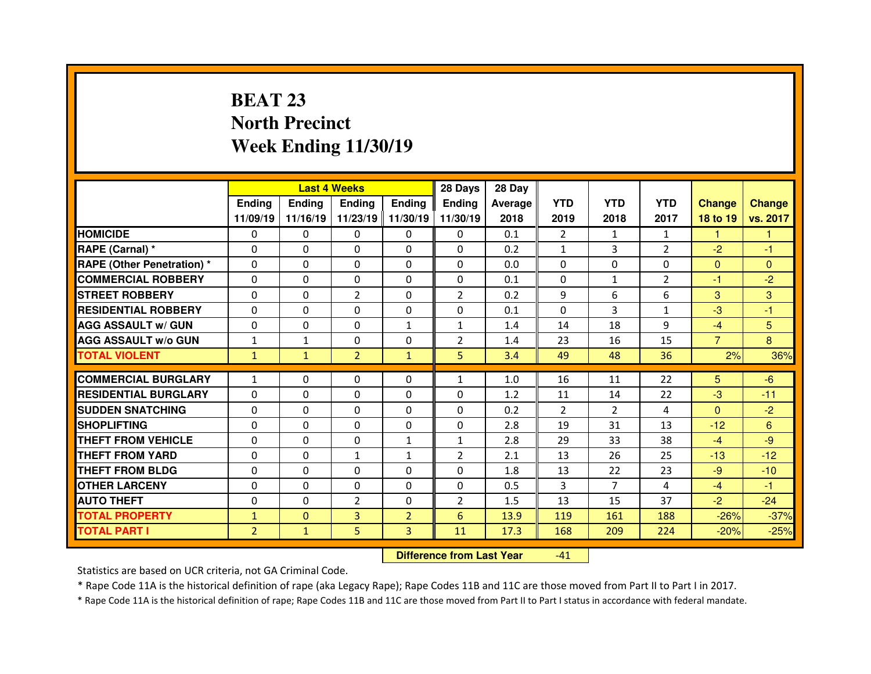## **BEAT 23 North PrecinctWeek Ending 11/30/19**

|                                  |                |               | <b>Last 4 Weeks</b> |                   | 28 Days        | 28 Day  |                |                |                |                |               |
|----------------------------------|----------------|---------------|---------------------|-------------------|----------------|---------|----------------|----------------|----------------|----------------|---------------|
|                                  | Ending         | <b>Ending</b> | Ending              | <b>Ending</b>     | Ending         | Average | <b>YTD</b>     | <b>YTD</b>     | <b>YTD</b>     | <b>Change</b>  | <b>Change</b> |
|                                  | 11/09/19       | 11/16/19      |                     | 11/23/19 11/30/19 | 11/30/19       | 2018    | 2019           | 2018           | 2017           | 18 to 19       | vs. 2017      |
| <b>HOMICIDE</b>                  | $\Omega$       | 0             | $\Omega$            | $\Omega$          | 0              | 0.1     | $\overline{2}$ | 1              | $\mathbf{1}$   | 1              | 1             |
| RAPE (Carnal) *                  | 0              | $\Omega$      | $\mathbf{0}$        | $\Omega$          | 0              | 0.2     | $\mathbf{1}$   | 3              | $\overline{2}$ | $-2$           | $-1$          |
| <b>RAPE (Other Penetration)*</b> | 0              | $\Omega$      | $\Omega$            | $\Omega$          | 0              | 0.0     | $\Omega$       | $\Omega$       | $\Omega$       | $\mathbf{0}$   | $\Omega$      |
| <b>COMMERCIAL ROBBERY</b>        | $\Omega$       | 0             | 0                   | $\Omega$          | 0              | 0.1     | $\Omega$       | $\mathbf{1}$   | $\overline{2}$ | $-1$           | $-2$          |
| <b>STREET ROBBERY</b>            | 0              | $\Omega$      | $\overline{2}$      | $\Omega$          | $\overline{2}$ | 0.2     | 9              | 6              | 6              | 3              | 3             |
| <b>RESIDENTIAL ROBBERY</b>       | $\Omega$       | $\Omega$      | $\Omega$            | $\Omega$          | $\Omega$       | 0.1     | $\Omega$       | 3              | $\mathbf{1}$   | $-3$           | -1            |
| <b>AGG ASSAULT w/ GUN</b>        | 0              | 0             | $\Omega$            | $\mathbf{1}$      | $\mathbf{1}$   | 1.4     | 14             | 18             | 9              | $-4$           | 5             |
| <b>AGG ASSAULT w/o GUN</b>       | $\mathbf{1}$   | $\mathbf{1}$  | $\mathbf{0}$        | $\Omega$          | $\overline{2}$ | 1.4     | 23             | 16             | 15             | $\overline{7}$ | 8             |
| <b>TOTAL VIOLENT</b>             | $\mathbf{1}$   | $\mathbf{1}$  | $\overline{2}$      | $\mathbf{1}$      | 5              | 3.4     | 49             | 48             | 36             | 2%             | 36%           |
| <b>COMMERCIAL BURGLARY</b>       | $\mathbf{1}$   | 0             |                     |                   |                |         |                |                |                |                | $-6$          |
|                                  |                |               |                     |                   |                |         |                |                |                |                |               |
|                                  |                |               | 0                   | 0                 | $\mathbf{1}$   | 1.0     | 16             | 11             | 22             | 5              |               |
| <b>RESIDENTIAL BURGLARY</b>      | $\Omega$       | 0             | 0                   | $\Omega$          | 0              | 1.2     | 11             | 14             | 22             | $-3$           | $-11$         |
| <b>SUDDEN SNATCHING</b>          | 0              | $\Omega$      | $\Omega$            | $\Omega$          | 0              | 0.2     | $\overline{2}$ | $\overline{2}$ | 4              | $\overline{0}$ | $-2$          |
| <b>SHOPLIFTING</b>               | 0              | $\Omega$      | 0                   | $\Omega$          | 0              | 2.8     | 19             | 31             | 13             | $-12$          | 6             |
| <b>THEFT FROM VEHICLE</b>        | 0              | 0             | 0                   | $\mathbf{1}$      | $\mathbf{1}$   | 2.8     | 29             | 33             | 38             | $-4$           | $-9$          |
| <b>THEFT FROM YARD</b>           | 0              | $\Omega$      | $\mathbf{1}$        | 1                 | $\overline{2}$ | 2.1     | 13             | 26             | 25             | $-13$          | $-12$         |
| <b>THEFT FROM BLDG</b>           | 0              | 0             | $\mathbf{0}$        | $\Omega$          | 0              | 1.8     | 13             | 22             | 23             | -9             | $-10$         |
| <b>OTHER LARCENY</b>             | 0              | 0             | $\Omega$            | $\Omega$          | $\Omega$       | 0.5     | 3              | $\overline{7}$ | 4              | $-4$           | $-1$          |
| <b>AUTO THEFT</b>                | 0              | 0             | $\overline{2}$      | $\Omega$          | $\overline{2}$ | 1.5     | 13             | 15             | 37             | $-2$           | $-24$         |
| <b>TOTAL PROPERTY</b>            | $\mathbf{1}$   | $\Omega$      | 3                   | $\overline{2}$    | 6              | 13.9    | 119            | 161            | 188            | $-26%$         | $-37%$        |
| <b>TOTAL PART I</b>              | $\overline{2}$ | $\mathbf{1}$  | 5                   | 3                 | 11             | 17.3    | 168            | 209            | 224            | $-20%$         | $-25%$        |

 **Difference from Last Year**-41

Statistics are based on UCR criteria, not GA Criminal Code.

\* Rape Code 11A is the historical definition of rape (aka Legacy Rape); Rape Codes 11B and 11C are those moved from Part II to Part I in 2017.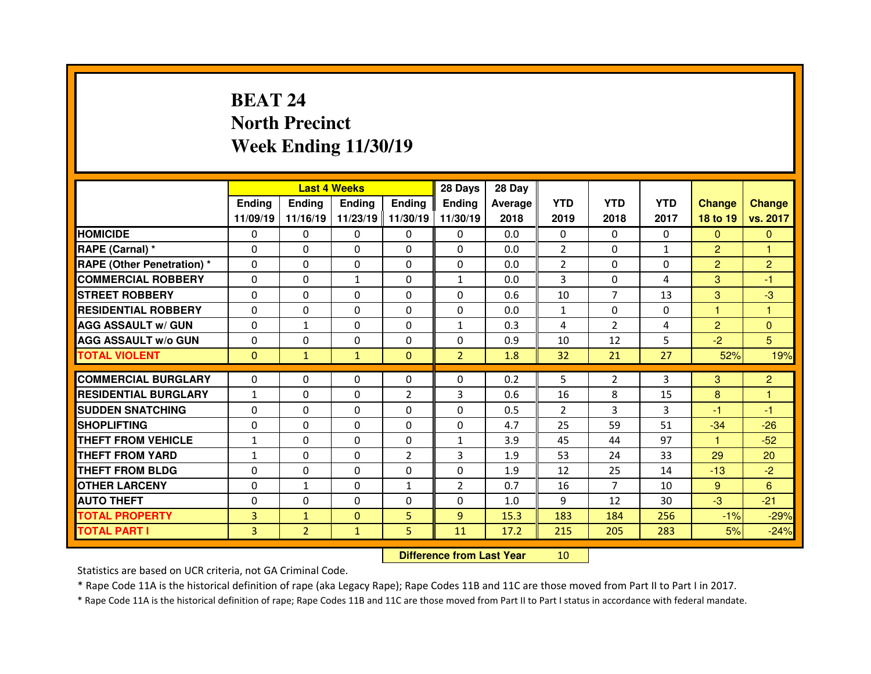## **BEAT 24 North PrecinctWeek Ending 11/30/19**

|                                              |                                  |                                | <b>Last 4 Weeks</b>      |                   | 28 Days              | 28 Day       |              |                      |              |                |                  |
|----------------------------------------------|----------------------------------|--------------------------------|--------------------------|-------------------|----------------------|--------------|--------------|----------------------|--------------|----------------|------------------|
|                                              | Ending                           | <b>Endina</b>                  | <b>Ending</b>            | <b>Ending</b>     | <b>Ending</b>        | Average      | <b>YTD</b>   | <b>YTD</b>           | <b>YTD</b>   | <b>Change</b>  | <b>Change</b>    |
|                                              | 11/09/19                         | 11/16/19                       |                          | 11/23/19 11/30/19 | 11/30/19             | 2018         | 2019         | 2018                 | 2017         | 18 to 19       | vs. 2017         |
| <b>HOMICIDE</b>                              | $\Omega$                         | 0                              | 0                        | $\Omega$          | $\mathbf{0}$         | 0.0          | $\Omega$     | $\Omega$             | $\Omega$     | $\mathbf{0}$   | $\mathbf{0}$     |
| RAPE (Carnal) *                              | $\Omega$                         | 0                              | 0                        | $\mathbf{0}$      | $\Omega$             | 0.0          | 2            | $\Omega$             | $\mathbf{1}$ | $\overline{2}$ | 1                |
| <b>RAPE (Other Penetration) *</b>            | $\Omega$                         | 0                              | $\Omega$                 | $\Omega$          | $\Omega$             | 0.0          | 2            | $\Omega$             | $\Omega$     | $\overline{2}$ | $\overline{2}$   |
| <b>COMMERCIAL ROBBERY</b>                    | $\Omega$                         | 0                              | $\mathbf{1}$             | $\Omega$          | $\mathbf{1}$         | 0.0          | 3            | $\Omega$             | 4            | 3              | -1               |
| <b>STREET ROBBERY</b>                        | $\Omega$                         | 0                              | $\Omega$                 | $\Omega$          | $\Omega$             | 0.6          | 10           | $\overline{7}$       | 13           | 3              | $-3$             |
| <b>RESIDENTIAL ROBBERY</b>                   | $\Omega$                         | 0                              | $\Omega$                 | $\Omega$          | $\Omega$             | 0.0          | $\mathbf{1}$ | $\Omega$             | $\Omega$     | 1              | 1                |
| <b>AGG ASSAULT w/ GUN</b>                    | $\Omega$                         | $\mathbf{1}$                   | 0                        | $\Omega$          | $\mathbf{1}$         | 0.3          | 4            | $\overline{2}$       | 4            | $\overline{2}$ | $\mathbf{0}$     |
| <b>AGG ASSAULT w/o GUN</b>                   | 0                                | 0                              | $\Omega$                 | $\mathbf{0}$      | $\Omega$             | 0.9          | 10           | 12                   | 5            | $-2$           | 5                |
| <b>TOTAL VIOLENT</b>                         | $\Omega$                         | $\mathbf{1}$                   | $\mathbf{1}$             | $\Omega$          | $\overline{2}$       | 1.8          | 32           | 21                   | 27           | 52%            | 19%              |
|                                              |                                  |                                |                          |                   |                      |              |              |                      |              |                |                  |
|                                              |                                  |                                |                          |                   |                      |              |              |                      |              |                |                  |
| <b>COMMERCIAL BURGLARY</b>                   | $\Omega$                         | 0                              | 0                        | $\mathbf{0}$      | $\Omega$             | 0.2          | 5            | $\overline{2}$       | 3            | 3              | 2                |
| <b>RESIDENTIAL BURGLARY</b>                  | $\mathbf{1}$                     | 0                              | $\Omega$                 | $\overline{2}$    | 3                    | 0.6          | 16           | 8                    | 15           | 8              | 1                |
| <b>SUDDEN SNATCHING</b>                      | $\Omega$                         | 0                              | 0                        | $\Omega$          | $\Omega$             | 0.5          | 2            | 3                    | 3            | -1             | -1               |
| <b>SHOPLIFTING</b>                           | $\Omega$                         | 0                              | $\Omega$                 | $\Omega$          | $\Omega$             | 4.7          | 25           | 59                   | 51           | $-34$<br>1.    | $-26$            |
| THEFT FROM VEHICLE                           | $\mathbf{1}$                     | 0                              | 0                        | $\mathbf{0}$      | $\mathbf{1}$         | 3.9          | 45           | 44                   | 97           |                | $-52$            |
| <b>THEFT FROM YARD</b>                       | $\mathbf{1}$                     | 0                              | $\Omega$                 | $\overline{2}$    | 3                    | 1.9          | 53           | 24                   | 33           | 29             | 20               |
| THEFT FROM BLDG                              | $\Omega$                         | 0                              | 0                        | $\mathbf{0}$      | $\Omega$             | 1.9          | 12           | 25<br>$\overline{7}$ | 14           | $-13$          | $-2$             |
| <b>OTHER LARCENY</b>                         | $\Omega$                         | $\mathbf{1}$                   | $\Omega$                 | $\mathbf{1}$      | $\overline{2}$       | 0.7          | 16           |                      | 10           | 9              | 6                |
| <b>AUTO THEFT</b>                            | 0                                | 0                              | 0                        | $\mathbf{0}$      | $\Omega$             | 1.0          | 9            | 12                   | 30           | $-3$           | $-21$            |
| <b>TOTAL PROPERTY</b><br><b>TOTAL PART I</b> | $\overline{3}$<br>$\overline{3}$ | $\mathbf{1}$<br>$\overline{2}$ | $\Omega$<br>$\mathbf{1}$ | 5<br>5            | $\overline{9}$<br>11 | 15.3<br>17.2 | 183<br>215   | 184<br>205           | 256<br>283   | $-1%$<br>5%    | $-29%$<br>$-24%$ |

 **Difference from Last Year**<sup>10</sup>

Statistics are based on UCR criteria, not GA Criminal Code.

\* Rape Code 11A is the historical definition of rape (aka Legacy Rape); Rape Codes 11B and 11C are those moved from Part II to Part I in 2017.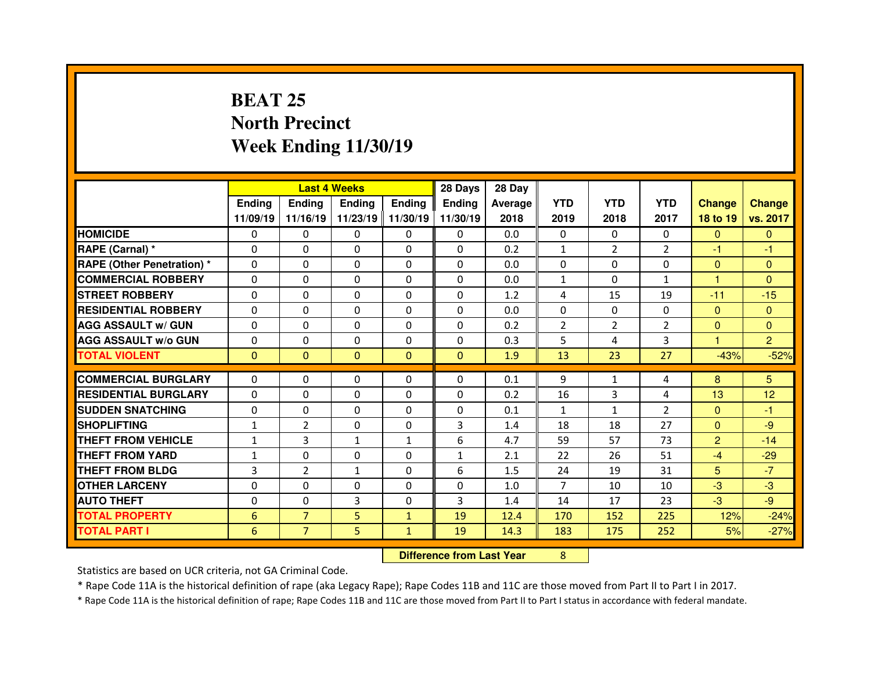### **BEAT 25 North PrecinctWeek Ending 11/30/19**

|                                  |               |                | <b>Last 4 Weeks</b> |               | 28 Days                          | 28 Day  |                |                |                |                |                |
|----------------------------------|---------------|----------------|---------------------|---------------|----------------------------------|---------|----------------|----------------|----------------|----------------|----------------|
|                                  | <b>Ending</b> | <b>Ending</b>  | <b>Ending</b>       | <b>Ending</b> | Ending                           | Average | <b>YTD</b>     | <b>YTD</b>     | <b>YTD</b>     | <b>Change</b>  | <b>Change</b>  |
|                                  | 11/09/19      | 11/16/19       | 11/23/19 11/30/19   |               | 11/30/19                         | 2018    | 2019           | 2018           | 2017           | 18 to 19       | vs. 2017       |
| <b>HOMICIDE</b>                  | $\Omega$      | 0              | 0                   | $\Omega$      | 0                                | 0.0     | $\Omega$       | $\mathbf{0}$   | $\Omega$       | $\mathbf{0}$   | $\Omega$       |
| RAPE (Carnal) *                  | 0             | 0              | 0                   | $\Omega$      | $\Omega$                         | 0.2     | $\mathbf{1}$   | $\overline{2}$ | $\overline{2}$ | $-1$           | $-1$           |
| <b>RAPE (Other Penetration)*</b> | 0             | 0              | 0                   | 0             | 0                                | 0.0     | $\Omega$       | $\mathbf 0$    | $\Omega$       | $\overline{0}$ | $\mathbf{0}$   |
| <b>COMMERCIAL ROBBERY</b>        | $\Omega$      | 0              | $\Omega$            | $\Omega$      | $\Omega$                         | 0.0     | $\mathbf{1}$   | $\Omega$       | $\mathbf{1}$   | 1              | $\Omega$       |
| <b>STREET ROBBERY</b>            | $\Omega$      | 0              | $\Omega$            | $\Omega$      | 0                                | 1.2     | 4              | 15             | 19             | $-11$          | $-15$          |
| <b>RESIDENTIAL ROBBERY</b>       | $\Omega$      | $\Omega$       | $\mathbf{0}$        | $\Omega$      | $\Omega$                         | 0.0     | $\Omega$       | $\mathbf{0}$   | $\Omega$       | $\mathbf{0}$   | $\Omega$       |
| <b>AGG ASSAULT w/ GUN</b>        | $\Omega$      | $\Omega$       | $\mathbf{0}$        | $\Omega$      | 0                                | 0.2     | $\overline{2}$ | $\overline{2}$ | $\overline{2}$ | $\overline{0}$ | $\Omega$       |
| <b>AGG ASSAULT w/o GUN</b>       | 0             | 0              | 0                   | $\Omega$      | 0                                | 0.3     | 5              | 4              | 3              | 1              | $\overline{2}$ |
| <b>TOTAL VIOLENT</b>             | $\mathbf{0}$  | $\mathbf{0}$   | $\mathbf{0}$        | $\mathbf{0}$  | $\mathbf{0}$                     | 1.9     | 13             | 23             | 27             | $-43%$         | $-52%$         |
| <b>COMMERCIAL BURGLARY</b>       | $\Omega$      | 0              | $\mathbf{0}$        | $\Omega$      | $\Omega$                         | 0.1     | 9              | $\mathbf{1}$   | 4              | 8              | 5              |
| <b>RESIDENTIAL BURGLARY</b>      | $\Omega$      | $\Omega$       | 0                   | $\Omega$      | 0                                | 0.2     | 16             | 3              | 4              | 13             | 12             |
| <b>SUDDEN SNATCHING</b>          | 0             | 0              | 0                   | $\Omega$      | 0                                | 0.1     | $\mathbf{1}$   | $\mathbf{1}$   | $\overline{2}$ | $\overline{0}$ | -1             |
| <b>SHOPLIFTING</b>               | $\mathbf{1}$  | $\overline{2}$ | 0                   | 0             | 3                                | 1.4     | 18             | 18             | 27             | $\overline{0}$ | $-9$           |
| <b>THEFT FROM VEHICLE</b>        | $\mathbf{1}$  | 3              | $\mathbf{1}$        | $\mathbf{1}$  | 6                                | 4.7     | 59             | 57             | 73             | $\overline{2}$ | $-14$          |
| <b>THEFT FROM YARD</b>           | $\mathbf{1}$  | 0              | $\Omega$            | $\Omega$      | $\mathbf{1}$                     | 2.1     | 22             | 26             | 51             | $-4$           | $-29$          |
| <b>THEFT FROM BLDG</b>           | 3             | $\overline{2}$ | $\mathbf{1}$        | 0             | 6                                | 1.5     | 24             | 19             | 31             | 5              | $-7$           |
| <b>OTHER LARCENY</b>             | 0             | 0              | 0                   | $\Omega$      | $\Omega$                         | 1.0     | $\overline{7}$ | 10             | 10             | $-3$           | $-3$           |
| <b>AUTO THEFT</b>                | $\Omega$      | 0              | 3                   | 0             | 3                                | 1.4     | 14             | 17             | 23             | $-3$           | $-9$           |
| <b>TOTAL PROPERTY</b>            | 6             | $\overline{7}$ | 5                   | $\mathbf{1}$  | 19                               | 12.4    | 170            | 152            | 225            | 12%            | $-24%$         |
| <b>TOTAL PART I</b>              | 6             | $\overline{7}$ | 5                   | $\mathbf{1}$  | 19                               | 14.3    | 183            | 175            | 252            | 5%             | $-27%$         |
|                                  |               |                |                     |               | <b>Difference from Last Year</b> |         | 8              |                |                |                |                |

Statistics are based on UCR criteria, not GA Criminal Code.

\* Rape Code 11A is the historical definition of rape (aka Legacy Rape); Rape Codes 11B and 11C are those moved from Part II to Part I in 2017.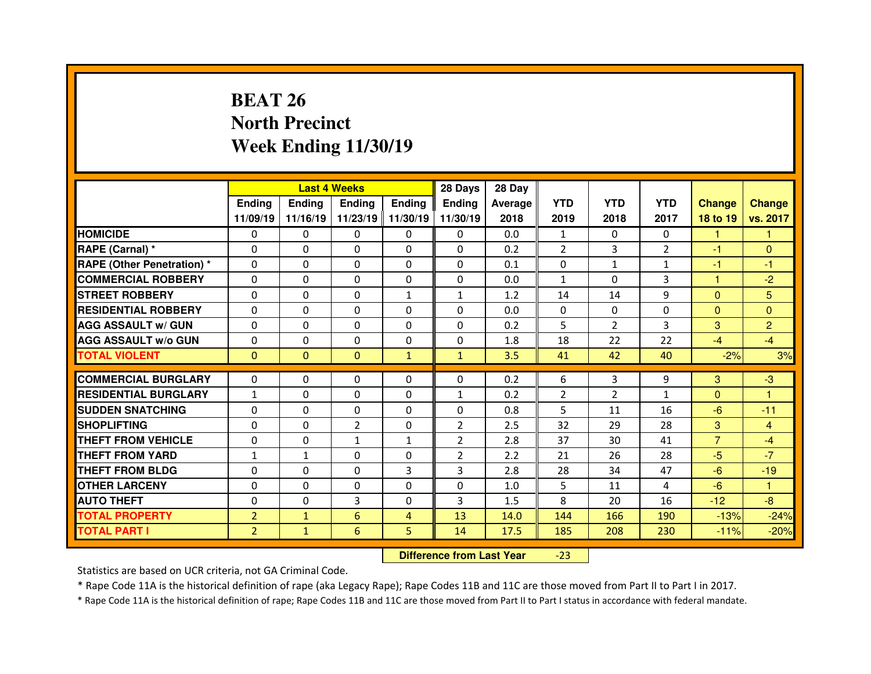## **BEAT 26 North PrecinctWeek Ending 11/30/19**

|                                  |                |               | <b>Last 4 Weeks</b> |                   | 28 Days        | 28 Day     |              |                |                   |                |                |
|----------------------------------|----------------|---------------|---------------------|-------------------|----------------|------------|--------------|----------------|-------------------|----------------|----------------|
|                                  | <b>Ending</b>  | <b>Ending</b> | <b>Ending</b>       | <b>Ending</b>     | Ending         | Average    | <b>YTD</b>   | <b>YTD</b>     | <b>YTD</b>        | <b>Change</b>  | <b>Change</b>  |
|                                  | 11/09/19       | 11/16/19      |                     | 11/23/19 11/30/19 | 11/30/19       | 2018       | 2019         | 2018           | 2017              | 18 to 19       | vs. 2017       |
| <b>HOMICIDE</b>                  | $\Omega$       | $\Omega$      | $\Omega$            | $\Omega$          | $\Omega$       | 0.0        | 1            | $\Omega$       | $\Omega$          | 1              | 1              |
| RAPE (Carnal) *                  | $\Omega$       | $\Omega$      | $\Omega$            | $\Omega$          | $\Omega$       | 0.2        | 2            | 3              | $\overline{2}$    | $-1$           | $\Omega$       |
| <b>RAPE (Other Penetration)*</b> | $\Omega$       | $\Omega$      | $\mathbf{0}$        | $\Omega$          | $\Omega$       | 0.1        | $\Omega$     | $\mathbf{1}$   | $\mathbf{1}$      | $-1$           | $-1$           |
| <b>COMMERCIAL ROBBERY</b>        | $\Omega$       | $\Omega$      | $\mathbf{0}$        | $\Omega$          | $\Omega$       | 0.0        | $\mathbf{1}$ | $\Omega$       | 3                 | 1              | $-2$           |
| <b>STREET ROBBERY</b>            | $\Omega$       | $\Omega$      | $\Omega$            | $\mathbf{1}$      | $\mathbf{1}$   | 1.2        | 14           | 14             | 9                 | $\Omega$       | 5              |
| <b>RESIDENTIAL ROBBERY</b>       | $\Omega$       | $\Omega$      | $\mathbf{0}$        | $\Omega$          | $\Omega$       | 0.0        | $\Omega$     | $\Omega$       | $\Omega$          | $\overline{0}$ | $\Omega$       |
| <b>AGG ASSAULT w/ GUN</b>        | $\Omega$       | 0             | $\Omega$            | $\Omega$          | $\Omega$       | 0.2        | 5            | $\overline{2}$ | 3                 | 3              | $\overline{2}$ |
| <b>AGG ASSAULT w/o GUN</b>       | $\Omega$       | $\Omega$      | $\mathbf{0}$        | $\Omega$          | $\Omega$       | 1.8        | 18           | 22             | 22                | $-4$           | $-4$           |
| <b>TOTAL VIOLENT</b>             | $\mathbf{0}$   | $\mathbf{0}$  | $\mathbf{0}$        | $\mathbf{1}$      | $\mathbf{1}$   | 3.5        | 41           | 42             | 40                | $-2%$          | 3%             |
| <b>COMMERCIAL BURGLARY</b>       | 0              | 0             | 0                   | $\Omega$          | 0              |            | 6            | 3              |                   |                | $-3$           |
| <b>RESIDENTIAL BURGLARY</b>      | $\mathbf{1}$   | $\Omega$      | $\Omega$            |                   |                | 0.2<br>0.2 |              | $\overline{2}$ | 9<br>$\mathbf{1}$ | 3<br>$\Omega$  | 1              |
|                                  |                |               |                     | $\Omega$          | $\mathbf{1}$   |            | 2            |                |                   |                |                |
|                                  |                |               |                     |                   |                |            |              |                |                   |                |                |
| <b>SUDDEN SNATCHING</b>          | 0              | 0             | 0                   | $\Omega$          | 0              | 0.8        | 5            | 11             | 16                | $-6$           | $-11$          |
| <b>SHOPLIFTING</b>               | 0              | 0             | $\overline{2}$      | $\Omega$          | $\overline{2}$ | 2.5        | 32           | 29             | 28                | 3              | 4              |
| <b>THEFT FROM VEHICLE</b>        | 0              | $\Omega$      | $\mathbf{1}$        | $\mathbf{1}$      | $\overline{2}$ | 2.8        | 37           | 30             | 41                | $\overline{7}$ | $-4$           |
| <b>THEFT FROM YARD</b>           | $\mathbf{1}$   | $\mathbf{1}$  | $\Omega$            | $\Omega$          | $\overline{2}$ | 2.2        | 21           | 26             | 28                | $-5$           | $-7$           |
| <b>THEFT FROM BLDG</b>           | $\mathbf{0}$   | 0             | $\mathbf{0}$        | 3                 | 3              | 2.8        | 28           | 34             | 47                | $-6$           | $-19$          |
| <b>OTHER LARCENY</b>             | 0              | 0             | $\Omega$            | $\Omega$          | $\Omega$       | 1.0        | 5            | 11             | 4                 | $-6$           | $\mathbf{1}$   |
| <b>AUTO THEFT</b>                | 0              | 0             | 3                   | $\Omega$          | 3              | 1.5        | 8            | 20             | 16                | $-12$          | $-8$           |
| <b>TOTAL PROPERTY</b>            | $\overline{2}$ | $\mathbf{1}$  | 6                   | $\overline{4}$    | 13             | 14.0       | 144          | 166            | 190               | $-13%$         | $-24%$         |
| <b>TOTAL PART I</b>              | $\overline{2}$ | $\mathbf{1}$  | 6                   | 5                 | 14             | 17.5       | 185          | 208            | 230               | $-11%$         | $-20%$         |

 **Difference from Last Year**-23

Statistics are based on UCR criteria, not GA Criminal Code.

\* Rape Code 11A is the historical definition of rape (aka Legacy Rape); Rape Codes 11B and 11C are those moved from Part II to Part I in 2017.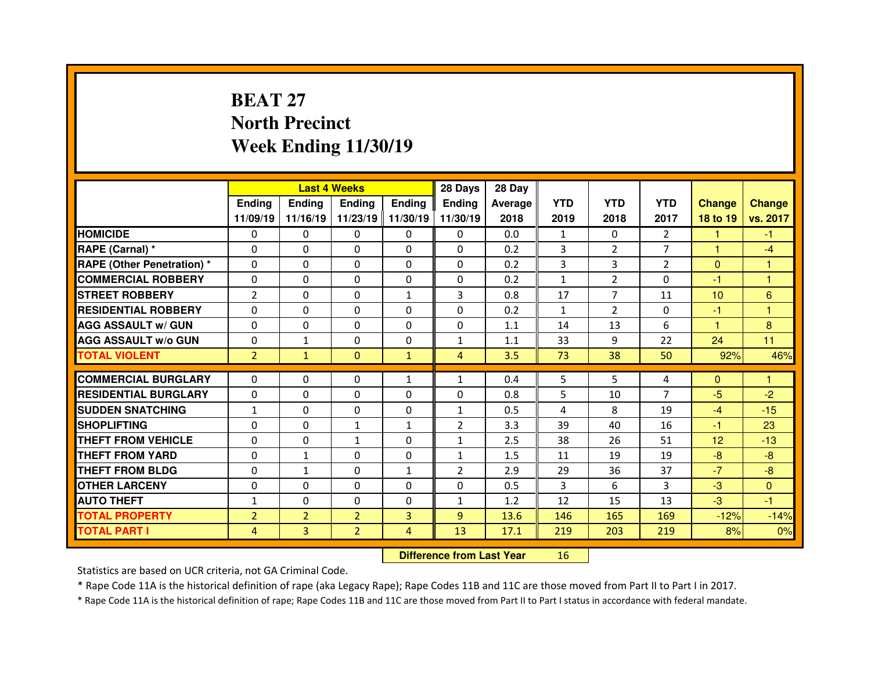## **BEAT 27 North PrecinctWeek Ending 11/30/19**

|                                  |                |                | <b>Last 4 Weeks</b> |                   | 28 Days        | 28 Day    |              |                |                |                 |                |
|----------------------------------|----------------|----------------|---------------------|-------------------|----------------|-----------|--------------|----------------|----------------|-----------------|----------------|
|                                  | <b>Ending</b>  | <b>Ending</b>  | <b>Ending</b>       | <b>Ending</b>     | Ending         | Average I | <b>YTD</b>   | <b>YTD</b>     | <b>YTD</b>     | <b>Change</b>   | <b>Change</b>  |
|                                  | 11/09/19       | 11/16/19       |                     | 11/23/19 11/30/19 | 11/30/19       | 2018      | 2019         | 2018           | 2017           | 18 to 19        | vs. 2017       |
| <b>HOMICIDE</b>                  | $\mathbf{0}$   | 0              | $\Omega$            | $\mathbf{0}$      | 0              | 0.0       | $\mathbf{1}$ | $\Omega$       | $\overline{2}$ | 1               | $-1$           |
| RAPE (Carnal) *                  | $\Omega$       | $\Omega$       | $\mathbf{0}$        | $\Omega$          | $\Omega$       | 0.2       | 3            | $\overline{2}$ | $\overline{7}$ | 1               | $-4$           |
| <b>RAPE (Other Penetration)*</b> | $\Omega$       | $\Omega$       | $\Omega$            | $\Omega$          | $\Omega$       | 0.2       | 3            | 3              | $\overline{2}$ | $\Omega$        | $\mathbf{1}$   |
| <b>COMMERCIAL ROBBERY</b>        | $\Omega$       | $\Omega$       | $\Omega$            | $\Omega$          | $\Omega$       | 0.2       | $\mathbf{1}$ | $\overline{2}$ | $\Omega$       | -1              | $\overline{1}$ |
| <b>STREET ROBBERY</b>            | $\overline{2}$ | 0              | $\mathbf 0$         | $\mathbf{1}$      | 3              | 0.8       | 17           | $\overline{7}$ | 11             | 10              | $6\phantom{a}$ |
| <b>RESIDENTIAL ROBBERY</b>       | $\Omega$       | 0              | 0                   | $\Omega$          | $\Omega$       | 0.2       | $\mathbf{1}$ | $\overline{2}$ | $\Omega$       | $-1$            | $\overline{1}$ |
| <b>AGG ASSAULT w/ GUN</b>        | 0              | $\Omega$       | $\Omega$            | $\Omega$          | $\Omega$       | 1.1       | 14           | 13             | 6              | 1               | 8              |
| <b>AGG ASSAULT w/o GUN</b>       | 0              | $\mathbf{1}$   | 0                   | 0                 | $\mathbf{1}$   | 1.1       | 33           | 9              | 22             | 24              | 11             |
| <b>TOTAL VIOLENT</b>             | $\overline{2}$ | $\mathbf{1}$   | $\mathbf{0}$        | $\mathbf{1}$      | $\overline{4}$ | 3.5       | 73           | 38             | 50             | 92%             | 46%            |
|                                  |                |                |                     |                   |                |           |              | 5.             |                |                 | 1              |
| <b>COMMERCIAL BURGLARY</b>       | $\Omega$       | 0              | $\mathbf{0}$        | $\mathbf{1}$      | $\mathbf{1}$   | 0.4       | 5            |                | 4              | $\mathbf{0}$    |                |
| <b>RESIDENTIAL BURGLARY</b>      | $\Omega$       | $\Omega$       | $\Omega$            | $\Omega$          | $\Omega$       | 0.8       | 5            | 10             | $\overline{7}$ | $-5$            | $-2$           |
| <b>SUDDEN SNATCHING</b>          | $\mathbf{1}$   | $\Omega$       | $\Omega$            | $\Omega$          | $\mathbf{1}$   | 0.5       | 4            | 8              | 19             | $-4$            | $-15$          |
| <b>SHOPLIFTING</b>               | $\Omega$       | $\Omega$       | $\mathbf{1}$        | $\mathbf{1}$      | $\overline{2}$ | 3.3       | 39           | 40             | 16             | -1              | 23             |
| <b>THEFT FROM VEHICLE</b>        | $\mathbf{0}$   | $\Omega$       | $\mathbf{1}$        | $\Omega$          | $\mathbf{1}$   | 2.5       | 38           | 26             | 51             | 12 <sup>2</sup> | $-13$          |
| <b>THEFT FROM YARD</b>           | $\Omega$       | $\mathbf{1}$   | $\Omega$            | $\Omega$          | $\mathbf{1}$   | 1.5       | 11           | 19             | 19             | $-8$            | $-8$           |
| <b>THEFT FROM BLDG</b>           | $\Omega$       | $\mathbf{1}$   | $\mathbf{0}$        | $\mathbf{1}$      | $\overline{2}$ | 2.9       | 29           | 36             | 37             | $-7$            | $-8$           |
| <b>OTHER LARCENY</b>             | $\Omega$       | 0              | $\Omega$            | $\Omega$          | $\Omega$       | 0.5       | 3            | 6              | 3              | $-3$            | $\mathbf{0}$   |
| <b>AUTO THEFT</b>                | $\mathbf{1}$   | $\Omega$       | $\Omega$            | $\Omega$          | $\mathbf{1}$   | 1.2       | 12           | 15             | 13             | $-3$            | $-1$           |
| <b>TOTAL PROPERTY</b>            | $\overline{2}$ | $\overline{2}$ | $\overline{2}$      | $\overline{3}$    | 9              | 13.6      | 146          | 165            | 169            | $-12%$          | $-14%$         |
| <b>TOTAL PART I</b>              | 4              | 3              | $\overline{2}$      | 4                 | 13             | 17.1      | 219          | 203            | 219            | 8%              | 0%             |

 **Difference from Last Year**<sup>16</sup>

Statistics are based on UCR criteria, not GA Criminal Code.

\* Rape Code 11A is the historical definition of rape (aka Legacy Rape); Rape Codes 11B and 11C are those moved from Part II to Part I in 2017.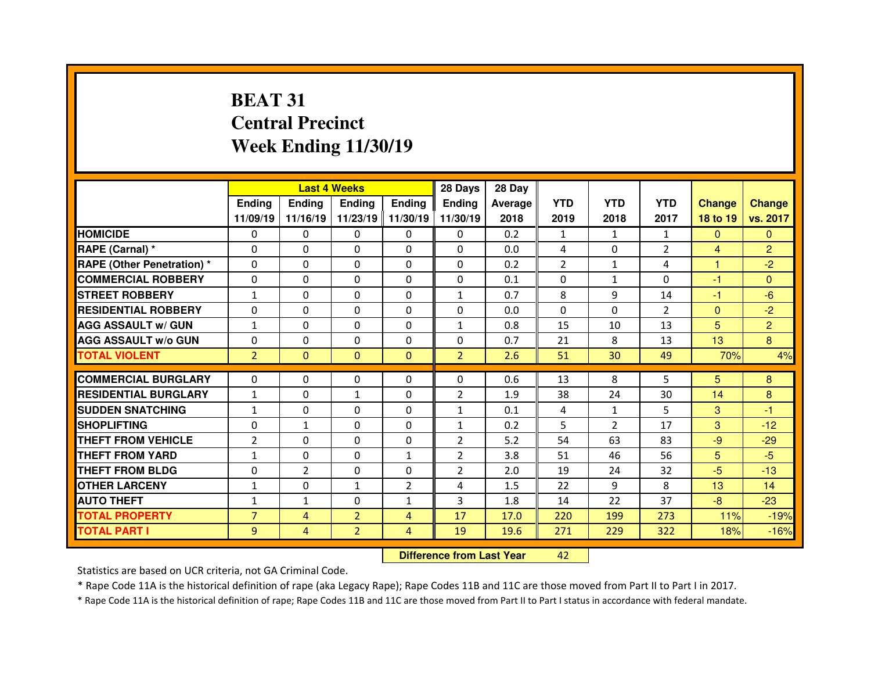## **BEAT 31 Central PrecinctWeek Ending 11/30/19**

|                                  |                | <b>Last 4 Weeks</b> |                |                | 28 Days                          | 28 Day  |                |                |                |                |                |
|----------------------------------|----------------|---------------------|----------------|----------------|----------------------------------|---------|----------------|----------------|----------------|----------------|----------------|
|                                  | <b>Ending</b>  | <b>Ending</b>       | <b>Ending</b>  | <b>Ending</b>  | <b>Ending</b>                    | Average | <b>YTD</b>     | <b>YTD</b>     | <b>YTD</b>     | <b>Change</b>  | <b>Change</b>  |
|                                  | 11/09/19       | 11/16/19            | 11/23/19       | 11/30/19       | 11/30/19                         | 2018    | 2019           | 2018           | 2017           | 18 to 19       | vs. 2017       |
| <b>HOMICIDE</b>                  | 0              | 0                   | 0              | $\Omega$       | 0                                | 0.2     | 1              | $\mathbf{1}$   | $\mathbf{1}$   | $\Omega$       | $\Omega$       |
| RAPE (Carnal) *                  | 0              | 0                   | $\Omega$       | $\Omega$       | $\Omega$                         | 0.0     | 4              | $\Omega$       | $\overline{2}$ | $\overline{4}$ | $\overline{2}$ |
| <b>RAPE (Other Penetration)*</b> | $\Omega$       | 0                   | 0              | 0              | $\Omega$                         | 0.2     | $\overline{2}$ | $\mathbf{1}$   | 4              | н              | $-2$           |
| <b>COMMERCIAL ROBBERY</b>        | $\Omega$       | 0                   | $\Omega$       | $\mathbf{0}$   | $\Omega$                         | 0.1     | $\Omega$       | $\mathbf{1}$   | 0              | $-1$           | $\Omega$       |
| <b>STREET ROBBERY</b>            | $\mathbf{1}$   | 0                   | $\Omega$       | $\mathbf{0}$   | 1                                | 0.7     | 8              | 9              | 14             | $-1$           | $-6$           |
| <b>RESIDENTIAL ROBBERY</b>       | 0              | 0                   | 0              | $\mathbf{0}$   | $\Omega$                         | 0.0     | $\Omega$       | $\Omega$       | $\overline{2}$ | $\mathbf{0}$   | $-2$           |
| <b>AGG ASSAULT w/ GUN</b>        | $\mathbf{1}$   | 0                   | $\Omega$       | $\Omega$       | 1                                | 0.8     | 15             | 10             | 13             | 5              | $\overline{2}$ |
| <b>AGG ASSAULT w/o GUN</b>       | 0              | 0                   | 0              | $\mathbf{0}$   | 0                                | 0.7     | 21             | 8              | 13             | 13             | 8              |
| <b>TOTAL VIOLENT</b>             | $\overline{2}$ | $\overline{0}$      | $\mathbf{0}$   | $\mathbf{0}$   | $\overline{2}$                   | 2.6     | 51             | 30             | 49             | 70%            | 4%             |
| <b>COMMERCIAL BURGLARY</b>       | $\Omega$       | 0                   | 0              | $\mathbf{0}$   | $\Omega$                         | 0.6     | 13             | 8              | 5              | 5              | 8              |
| <b>RESIDENTIAL BURGLARY</b>      | $\mathbf{1}$   | 0                   | $\mathbf{1}$   | $\mathbf{0}$   | $\overline{2}$                   | 1.9     | 38             | 24             | 30             | 14             | 8              |
| <b>SUDDEN SNATCHING</b>          | $\mathbf{1}$   | 0                   | $\Omega$       | 0              | $\mathbf{1}$                     | 0.1     | 4              | 1              | 5              | 3              | $-1$           |
| <b>SHOPLIFTING</b>               | $\Omega$       | $\mathbf{1}$        | 0              | $\mathbf{0}$   | $\mathbf{1}$                     | 0.2     | 5              | $\overline{2}$ | 17             | 3              | $-12$          |
| <b>THEFT FROM VEHICLE</b>        | $\overline{2}$ | 0                   | 0              | 0              | $\overline{2}$                   | 5.2     | 54             | 63             | 83             | $-9$           | $-29$          |
| <b>THEFT FROM YARD</b>           | $\mathbf{1}$   | 0                   | 0              | $\mathbf{1}$   | $\overline{2}$                   | 3.8     | 51             | 46             | 56             | 5              | $-5$           |
| <b>THEFT FROM BLDG</b>           | $\Omega$       | $\overline{2}$      | 0              | 0              | $\overline{2}$                   | 2.0     | 19             | 24             | 32             | $-5$           | $-13$          |
| <b>OTHER LARCENY</b>             | $\mathbf{1}$   | 0                   | $\mathbf{1}$   | $\overline{2}$ | 4                                | 1.5     | 22             | 9              | 8              | 13             | 14             |
| <b>AUTO THEFT</b>                | $\mathbf{1}$   | $\mathbf{1}$        | $\Omega$       | $\mathbf{1}$   | 3                                | 1.8     | 14             | 22             | 37             | $-8$           | $-23$          |
| <b>TOTAL PROPERTY</b>            | $\overline{7}$ | $\overline{4}$      | $\overline{2}$ | $\overline{4}$ | 17                               | 17.0    | 220            | 199            | 273            | 11%            | $-19%$         |
| <b>TOTAL PART I</b>              | 9              | 4                   | $\overline{2}$ | 4              | 19                               | 19.6    | 271            | 229            | 322            | 18%            | $-16%$         |
|                                  |                |                     |                |                | <b>Difference from Last Year</b> |         | 42             |                |                |                |                |

Statistics are based on UCR criteria, not GA Criminal Code.

\* Rape Code 11A is the historical definition of rape (aka Legacy Rape); Rape Codes 11B and 11C are those moved from Part II to Part I in 2017.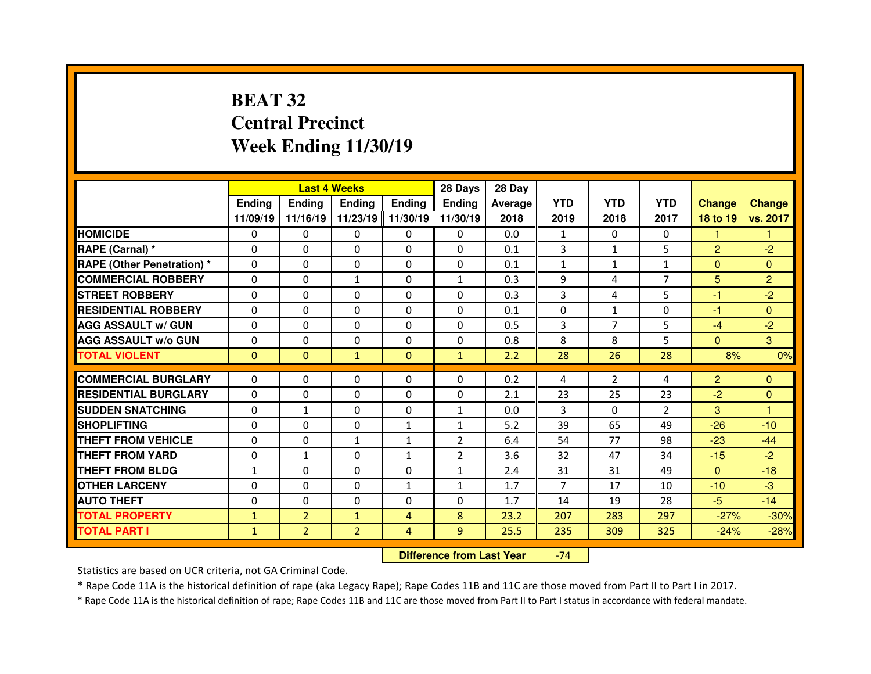## **BEAT 32 Central PrecinctWeek Ending 11/30/19**

|                                   |               |                | <b>Last 4 Weeks</b> |                   | 28 Days        | 28 Day  |                |                |                |                |                |
|-----------------------------------|---------------|----------------|---------------------|-------------------|----------------|---------|----------------|----------------|----------------|----------------|----------------|
|                                   | <b>Ending</b> | <b>Endina</b>  | <b>Ending</b>       | <b>Ending</b>     | <b>Endina</b>  | Average | <b>YTD</b>     | <b>YTD</b>     | <b>YTD</b>     | <b>Change</b>  | <b>Change</b>  |
|                                   | 11/09/19      | 11/16/19       |                     | 11/23/19 11/30/19 | 11/30/19       | 2018    | 2019           | 2018           | 2017           | 18 to 19       | vs. 2017       |
| <b>HOMICIDE</b>                   | 0             | 0              | 0                   | 0                 | 0              | 0.0     | 1              | $\Omega$       | 0              | 1.             | 1              |
| RAPE (Carnal) *                   | 0             | 0              | 0                   | $\Omega$          | 0              | 0.1     | 3              | $\mathbf{1}$   | 5              | $\overline{2}$ | $-2$           |
| <b>RAPE (Other Penetration) *</b> | 0             | 0              | $\Omega$            | $\Omega$          | 0              | 0.1     | $\mathbf{1}$   | $\mathbf{1}$   | $\mathbf{1}$   | $\Omega$       | $\Omega$       |
| <b>COMMERCIAL ROBBERY</b>         | 0             | 0              | $\mathbf{1}$        | $\Omega$          | $\mathbf{1}$   | 0.3     | 9              | 4              | $\overline{7}$ | 5              | $\overline{2}$ |
| <b>STREET ROBBERY</b>             | 0             | 0              | $\Omega$            | $\Omega$          | 0              | 0.3     | 3              | 4              | 5              | -1             | $-2$           |
| <b>RESIDENTIAL ROBBERY</b>        | $\Omega$      | 0              | 0                   | $\Omega$          | 0              | 0.1     | 0              | $\mathbf{1}$   | $\Omega$       | -1             | $\Omega$       |
| <b>AGG ASSAULT w/ GUN</b>         | 0             | 0              | $\Omega$            | $\Omega$          | $\Omega$       | 0.5     | 3              | $\overline{7}$ | 5              | $-4$           | $-2$           |
| <b>AGG ASSAULT w/o GUN</b>        | $\Omega$      | 0              | 0                   | $\mathbf{0}$      | 0              | 0.8     | 8              | 8              | 5              | $\mathbf{0}$   | 3              |
| <b>TOTAL VIOLENT</b>              | $\mathbf{0}$  | $\mathbf{0}$   | $\mathbf{1}$        | $\mathbf{0}$      | $\mathbf{1}$   | 2.2     | 28             | 26             | 28             | 8%             | 0%             |
|                                   |               |                |                     |                   |                |         |                |                |                |                |                |
| <b>COMMERCIAL BURGLARY</b>        | 0             | 0              | 0                   | 0                 | $\Omega$       | 0.2     | 4              | $\overline{2}$ | 4              | $\overline{2}$ | $\mathbf{0}$   |
| <b>RESIDENTIAL BURGLARY</b>       | 0             | 0              | 0                   | 0                 | 0              | 2.1     | 23             | 25             | 23             | $-2$           | $\mathbf{0}$   |
| <b>SUDDEN SNATCHING</b>           | 0             | $\mathbf{1}$   | 0                   | $\Omega$          | $\mathbf{1}$   | 0.0     | 3              | $\Omega$       | $\overline{2}$ | 3              | 1              |
| <b>SHOPLIFTING</b>                | 0             | 0              | 0                   | $\mathbf{1}$      | $\mathbf{1}$   | 5.2     | 39             | 65             | 49             | $-26$          | $-10$          |
| <b>THEFT FROM VEHICLE</b>         | 0             | 0              | $\mathbf{1}$        | 1                 | $\overline{2}$ | 6.4     | 54             | 77             | 98             | $-23$          | $-44$          |
| <b>THEFT FROM YARD</b>            | 0             | $\mathbf{1}$   | $\Omega$            | $\mathbf{1}$      | $\overline{2}$ | 3.6     | 32             | 47             | 34             | $-15$          | $-2$           |
| <b>THEFT FROM BLDG</b>            | $\mathbf{1}$  | 0              | $\Omega$            | $\Omega$          | $\mathbf{1}$   | 2.4     | 31             | 31             | 49             | $\Omega$       | $-18$          |
| <b>OTHER LARCENY</b>              | 0             | 0              | 0                   | 1                 | $\mathbf{1}$   | 1.7     | $\overline{7}$ | 17             | 10             | $-10$          | $-3$           |
| <b>AUTO THEFT</b>                 | 0             | 0              | 0                   | $\Omega$          | 0              | 1.7     | 14             | 19             | 28             | $-5$           | $-14$          |
| <b>TOTAL PROPERTY</b>             | $\mathbf{1}$  | $\overline{2}$ | $\mathbf{1}$        | $\overline{4}$    | 8              | 23.2    | 207            | 283            | 297            | $-27%$         | $-30%$         |
| <b>TOTAL PART I</b>               | $\mathbf{1}$  | $\overline{2}$ | $\overline{2}$      | $\overline{4}$    | 9              | 25.5    | 235            | 309            | 325            | $-24%$         | $-28%$         |
|                                   |               |                |                     |                   |                |         |                |                |                |                |                |

 **Difference from Last Year**-74

Statistics are based on UCR criteria, not GA Criminal Code.

\* Rape Code 11A is the historical definition of rape (aka Legacy Rape); Rape Codes 11B and 11C are those moved from Part II to Part I in 2017.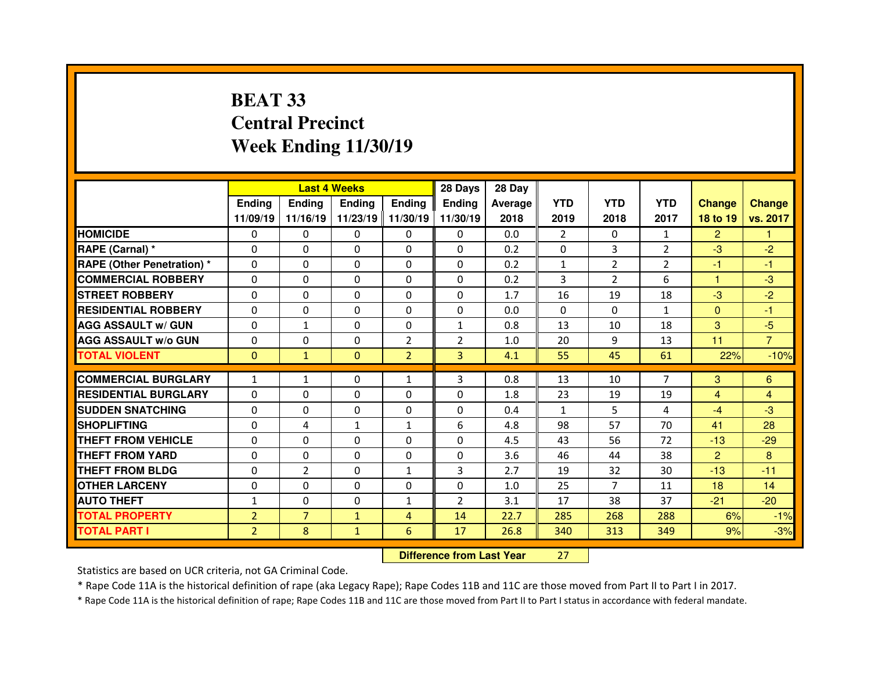## **BEAT 33 Central PrecinctWeek Ending 11/30/19**

|                                  |                | <b>Last 4 Weeks</b> |               |                | 28 Days                          | 28 Day  |              |                |                |                |                |
|----------------------------------|----------------|---------------------|---------------|----------------|----------------------------------|---------|--------------|----------------|----------------|----------------|----------------|
|                                  | Ending         | <b>Ending</b>       | <b>Ending</b> | <b>Ending</b>  | <b>Ending</b>                    | Average | <b>YTD</b>   | <b>YTD</b>     | <b>YTD</b>     | <b>Change</b>  | <b>Change</b>  |
|                                  | 11/09/19       | 11/16/19            | 11/23/19      | 11/30/19       | 11/30/19                         | 2018    | 2019         | 2018           | 2017           | 18 to 19       | vs. 2017       |
| <b>HOMICIDE</b>                  | 0              | $\Omega$            | 0             | $\mathbf{0}$   | $\Omega$                         | 0.0     | 2            | $\mathbf{0}$   | $\mathbf{1}$   | $\overline{2}$ |                |
| RAPE (Carnal) *                  | 0              | 0                   | 0             | $\mathbf{0}$   | $\Omega$                         | 0.2     | 0            | 3              | $\overline{2}$ | $-3$           | $-2$           |
| <b>RAPE (Other Penetration)*</b> | 0              | 0                   | 0             | $\mathbf{0}$   | 0                                | 0.2     | $\mathbf{1}$ | $\overline{2}$ | $\overline{2}$ | $-1$           | $-1$           |
| <b>COMMERCIAL ROBBERY</b>        | $\Omega$       | 0                   | $\Omega$      | $\mathbf{0}$   | $\Omega$                         | 0.2     | 3            | $\overline{2}$ | 6              | 1              | $-3$           |
| <b>STREET ROBBERY</b>            | $\Omega$       | 0                   | $\Omega$      | $\mathbf{0}$   | $\Omega$                         | 1.7     | 16           | 19             | 18             | $-3$           | $-2$           |
| <b>RESIDENTIAL ROBBERY</b>       | $\Omega$       | 0                   | $\Omega$      | $\mathbf{0}$   | $\Omega$                         | 0.0     | $\Omega$     | $\Omega$       | 1              | $\mathbf{0}$   | $-1$           |
| <b>AGG ASSAULT w/ GUN</b>        | 0              | $\mathbf{1}$        | 0             | $\mathbf{0}$   | $\mathbf{1}$                     | 0.8     | 13           | 10             | 18             | 3              | $-5$           |
| <b>AGG ASSAULT w/o GUN</b>       | $\Omega$       | 0                   | 0             | $\overline{2}$ | $\overline{2}$                   | 1.0     | 20           | 9              | 13             | 11             | $\overline{7}$ |
| <b>TOTAL VIOLENT</b>             | $\Omega$       | $\mathbf{1}$        | $\mathbf{0}$  | $\overline{2}$ | $\overline{3}$                   | 4.1     | 55           | 45             | 61             | 22%            | $-10%$         |
| <b>COMMERCIAL BURGLARY</b>       | $\mathbf{1}$   | $\mathbf{1}$        | 0             | $\mathbf{1}$   | 3                                | 0.8     | 13           | 10             | $\overline{7}$ | 3              | 6              |
| <b>RESIDENTIAL BURGLARY</b>      | 0              | 0                   | 0             | $\mathbf{0}$   | $\Omega$                         | 1.8     | 23           | 19             | 19             | $\overline{4}$ | 4              |
| <b>SUDDEN SNATCHING</b>          | $\Omega$       | 0                   | 0             | $\Omega$       | $\Omega$                         | 0.4     | $\mathbf{1}$ | 5.             | 4              | $-4$           | $-3$           |
| <b>SHOPLIFTING</b>               | $\Omega$       | 4                   | $\mathbf{1}$  | $\mathbf{1}$   | 6                                | 4.8     | 98           | 57             | 70             | 41             | 28             |
| <b>THEFT FROM VEHICLE</b>        | 0              | 0                   | 0             | 0              | 0                                | 4.5     | 43           | 56             | 72             | $-13$          | $-29$          |
| <b>THEFT FROM YARD</b>           | 0              | 0                   | 0             | 0              | 0                                | 3.6     | 46           | 44             | 38             | $\overline{2}$ | 8              |
| <b>THEFT FROM BLDG</b>           | 0              | $\overline{2}$      | 0             | $\mathbf{1}$   | 3                                | 2.7     | 19           | 32             | 30             | $-13$          | $-11$          |
| <b>OTHER LARCENY</b>             | 0              | 0                   | 0             | 0              | $\Omega$                         | 1.0     | 25           | $\overline{7}$ | 11             | 18             | 14             |
| <b>AUTO THEFT</b>                | 1              | 0                   | $\Omega$      | $\mathbf{1}$   | 2                                | 3.1     | 17           | 38             | 37             | $-21$          | $-20$          |
| <b>TOTAL PROPERTY</b>            | $\overline{2}$ | $\overline{7}$      | $\mathbf{1}$  | $\overline{4}$ | 14                               | 22.7    | 285          | 268            | 288            | 6%             | $-1%$          |
| <b>TOTAL PART I</b>              | $\overline{2}$ | 8                   | $\mathbf{1}$  | 6              | 17                               | 26.8    | 340          | 313            | 349            | 9%             | $-3%$          |
|                                  |                |                     |               |                | <b>Difference from Last Year</b> |         | 27           |                |                |                |                |

Statistics are based on UCR criteria, not GA Criminal Code.

\* Rape Code 11A is the historical definition of rape (aka Legacy Rape); Rape Codes 11B and 11C are those moved from Part II to Part I in 2017.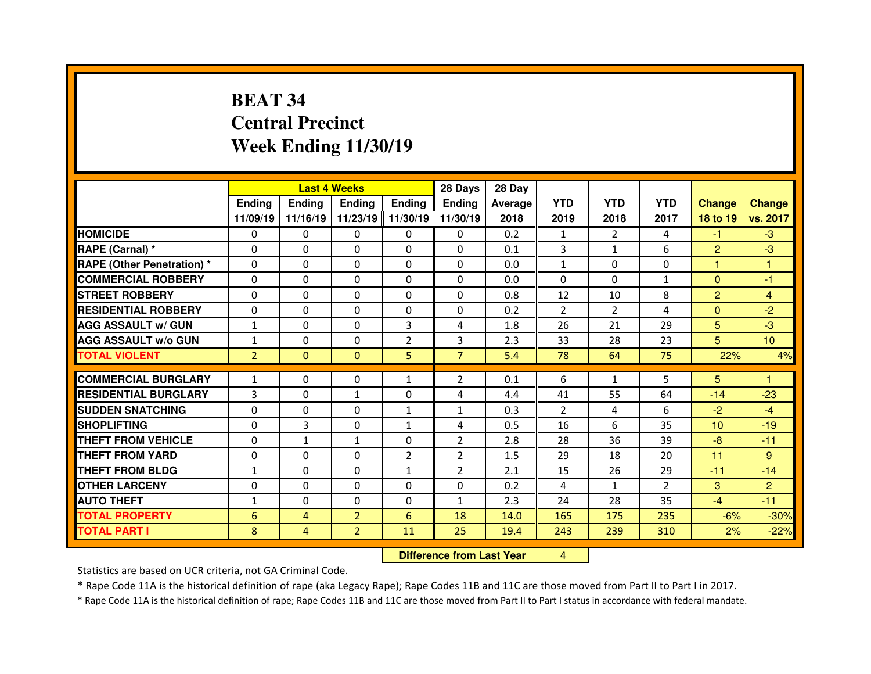## **BEAT 34 Central PrecinctWeek Ending 11/30/19**

|                                  |                |                | <b>Last 4 Weeks</b> |                | 28 Days                          | 28 Day         |              |                |                |                 |                 |
|----------------------------------|----------------|----------------|---------------------|----------------|----------------------------------|----------------|--------------|----------------|----------------|-----------------|-----------------|
|                                  | <b>Ending</b>  | <b>Ending</b>  | <b>Ending</b>       | Ending         | <b>Ending</b>                    | <b>Average</b> | <b>YTD</b>   | <b>YTD</b>     | <b>YTD</b>     | <b>Change</b>   | <b>Change</b>   |
|                                  | 11/09/19       | 11/16/19       | 11/23/19            | 11/30/19       | 11/30/19                         | 2018           | 2019         | 2018           | 2017           | 18 to 19        | vs. 2017        |
| <b>HOMICIDE</b>                  | 0              | $\Omega$       | 0                   | $\mathbf{0}$   | $\Omega$                         | 0.2            | 1            | $\overline{2}$ | 4              | $-1$            | $-3$            |
| RAPE (Carnal) *                  | $\Omega$       | 0              | 0                   | $\Omega$       | $\Omega$                         | 0.1            | 3            | $\mathbf{1}$   | 6              | $\overline{2}$  | $-3$            |
| <b>RAPE (Other Penetration)*</b> | 0              | 0              | 0                   | $\mathbf{0}$   | $\Omega$                         | 0.0            | $\mathbf{1}$ | $\Omega$       | $\Omega$       | 1               | 1               |
| <b>COMMERCIAL ROBBERY</b>        | $\Omega$       | 0              | 0                   | $\mathbf{0}$   | $\Omega$                         | 0.0            | $\Omega$     | $\Omega$       | $\mathbf{1}$   | $\mathbf{0}$    | $-1$            |
| <b>STREET ROBBERY</b>            | $\Omega$       | 0              | $\Omega$            | $\mathbf{0}$   | $\Omega$                         | 0.8            | 12           | 10             | 8              | $\overline{2}$  | $\overline{4}$  |
| <b>RESIDENTIAL ROBBERY</b>       | 0              | 0              | 0                   | $\mathbf{0}$   | $\Omega$                         | 0.2            | 2            | $\overline{2}$ | 4              | $\mathbf{0}$    | $-2$            |
| <b>AGG ASSAULT w/ GUN</b>        | $\mathbf{1}$   | 0              | $\Omega$            | 3              | 4                                | 1.8            | 26           | 21             | 29             | 5 <sup>5</sup>  | $-3$            |
| <b>AGG ASSAULT w/o GUN</b>       | $\mathbf{1}$   | 0              | $\Omega$            | $\overline{2}$ | 3                                | 2.3            | 33           | 28             | 23             | 5               | 10 <sup>°</sup> |
| <b>TOTAL VIOLENT</b>             | $\overline{2}$ | $\mathbf{0}$   | $\mathbf{0}$        | 5              | $\overline{7}$                   | 5.4            | 78           | 64             | 75             | 22%             | 4%              |
| <b>COMMERCIAL BURGLARY</b>       | $\mathbf{1}$   | 0              | 0                   | $\mathbf{1}$   | $\overline{2}$                   | 0.1            | 6            | $\mathbf{1}$   | 5              | 5               | н               |
| <b>RESIDENTIAL BURGLARY</b>      | 3              | 0              | $\mathbf{1}$        | $\Omega$       | 4                                | 4.4            | 41           | 55             | 64             | $-14$           | $-23$           |
| <b>SUDDEN SNATCHING</b>          | $\Omega$       | 0              | 0                   | $\mathbf{1}$   | $\mathbf{1}$                     | 0.3            | 2            | 4              | 6              | $-2$            | $-4$            |
| <b>SHOPLIFTING</b>               | 0              | 3              | 0                   | $\mathbf{1}$   | 4                                | 0.5            | 16           | 6              | 35             | 10 <sup>1</sup> | $-19$           |
| THEFT FROM VEHICLE               | 0              | $\mathbf{1}$   | $\mathbf{1}$        | 0              | $\overline{2}$                   | 2.8            | 28           | 36             | 39             | $-8$            | $-11$           |
| <b>THEFT FROM YARD</b>           | 0              | 0              | 0                   | $\overline{2}$ | $\overline{2}$                   | 1.5            | 29           | 18             | 20             | 11              | 9               |
| <b>THEFT FROM BLDG</b>           | 1              | 0              | 0                   | $\mathbf{1}$   | $\overline{2}$                   | 2.1            | 15           | 26             | 29             | $-11$           | $-14$           |
| <b>OTHER LARCENY</b>             | $\Omega$       | 0              | 0                   | $\Omega$       | $\Omega$                         | 0.2            | 4            | 1              | $\overline{2}$ | 3               | $\overline{2}$  |
| <b>AUTO THEFT</b>                | $\mathbf{1}$   | 0              | 0                   | $\mathbf{0}$   | $\mathbf{1}$                     | 2.3            | 24           | 28             | 35             | $-4$            | $-11$           |
| <b>TOTAL PROPERTY</b>            | 6              | $\overline{4}$ | $\overline{2}$      | 6              | 18                               | 14.0           | 165          | 175            | 235            | $-6%$           | $-30%$          |
| <b>TOTAL PART I</b>              | 8              | 4              | $\overline{2}$      | 11             | 25                               | 19.4           | 243          | 239            | 310            | 2%              | $-22%$          |
|                                  |                |                |                     |                | <b>Difference from Last Year</b> |                | 4            |                |                |                 |                 |

 **Difference from Last Year**

Statistics are based on UCR criteria, not GA Criminal Code.

\* Rape Code 11A is the historical definition of rape (aka Legacy Rape); Rape Codes 11B and 11C are those moved from Part II to Part I in 2017.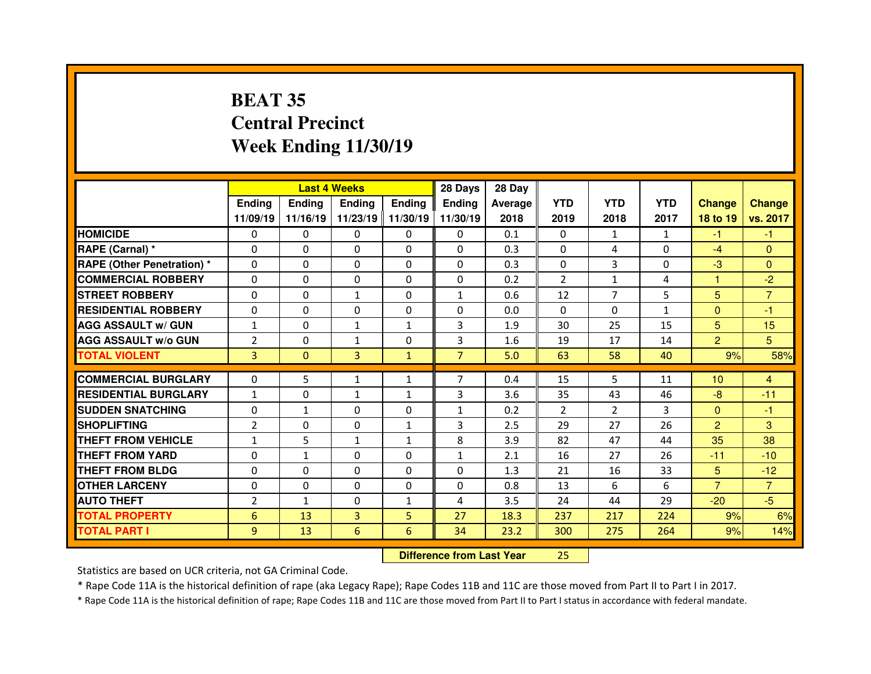## **BEAT 35 Central PrecinctWeek Ending 11/30/19**

|                                  |                | <b>Last 4 Weeks</b> |               |               | 28 Days                          | 28 Day         |                |                |              |                |                |
|----------------------------------|----------------|---------------------|---------------|---------------|----------------------------------|----------------|----------------|----------------|--------------|----------------|----------------|
|                                  | <b>Ending</b>  | <b>Ending</b>       | <b>Ending</b> | <b>Ending</b> | <b>Ending</b>                    | <b>Average</b> | <b>YTD</b>     | <b>YTD</b>     | <b>YTD</b>   | <b>Change</b>  | <b>Change</b>  |
|                                  | 11/09/19       | 11/16/19            | 11/23/19      | 11/30/19      | 11/30/19                         | 2018           | 2019           | 2018           | 2017         | 18 to 19       | vs. 2017       |
| <b>HOMICIDE</b>                  | 0              | 0                   | 0             | $\Omega$      | 0                                | 0.1            | 0              | $\mathbf{1}$   | $\mathbf{1}$ | $-1$           | $-1$           |
| RAPE (Carnal) *                  | 0              | 0                   | $\Omega$      | $\Omega$      | $\Omega$                         | 0.3            | $\mathbf{0}$   | 4              | 0            | $-4$           | $\Omega$       |
| <b>RAPE (Other Penetration)*</b> | $\Omega$       | 0                   | 0             | 0             | $\Omega$                         | 0.3            | $\Omega$       | 3              | 0            | $-3$           | $\Omega$       |
| <b>COMMERCIAL ROBBERY</b>        | $\Omega$       | 0                   | $\Omega$      | $\Omega$      | $\Omega$                         | 0.2            | $\overline{2}$ | $\mathbf{1}$   | 4            | 1              | $-2$           |
| <b>STREET ROBBERY</b>            | $\Omega$       | 0                   | $\mathbf{1}$  | $\Omega$      | $\mathbf{1}$                     | 0.6            | 12             | $\overline{7}$ | 5            | 5              | $\overline{7}$ |
| <b>RESIDENTIAL ROBBERY</b>       | $\Omega$       | 0                   | $\Omega$      | $\Omega$      | $\Omega$                         | 0.0            | $\mathbf{0}$   | $\Omega$       | $\mathbf{1}$ | $\mathbf{0}$   | -1             |
| <b>AGG ASSAULT w/ GUN</b>        | $\mathbf{1}$   | 0                   | $\mathbf{1}$  | $\mathbf{1}$  | 3                                | 1.9            | 30             | 25             | 15           | 5              | 15             |
| <b>AGG ASSAULT w/o GUN</b>       | $\overline{2}$ | 0                   | $\mathbf{1}$  | 0             | 3                                | 1.6            | 19             | 17             | 14           | $\overline{2}$ | 5              |
| <b>TOTAL VIOLENT</b>             | 3              | $\overline{0}$      | 3             | $\mathbf{1}$  | $\overline{7}$                   | 5.0            | 63             | 58             | 40           | 9%             | 58%            |
| <b>COMMERCIAL BURGLARY</b>       | $\Omega$       | 5                   | $\mathbf{1}$  | $\mathbf{1}$  | $\overline{7}$                   | 0.4            | 15             | 5              | 11           | 10             | 4              |
| <b>RESIDENTIAL BURGLARY</b>      | $\mathbf{1}$   | 0                   | $\mathbf{1}$  | $\mathbf{1}$  | 3                                | 3.6            | 35             | 43             | 46           | -8             | $-11$          |
| <b>SUDDEN SNATCHING</b>          | $\Omega$       | $\mathbf{1}$        | $\Omega$      | 0             | $\mathbf{1}$                     | 0.2            | $\overline{2}$ | $\overline{2}$ | 3            | $\overline{0}$ | $-1$           |
| <b>SHOPLIFTING</b>               | $\overline{2}$ | 0                   | 0             | $\mathbf{1}$  | 3                                | 2.5            | 29             | 27             | 26           | $\overline{2}$ | 3              |
| <b>THEFT FROM VEHICLE</b>        | 1              | 5                   | $\mathbf{1}$  | $\mathbf{1}$  | 8                                | 3.9            | 82             | 47             | 44           | 35             | 38             |
| <b>THEFT FROM YARD</b>           | 0              | $\mathbf{1}$        | 0             | 0             | $\mathbf{1}$                     | 2.1            | 16             | 27             | 26           | $-11$          | $-10$          |
| <b>THEFT FROM BLDG</b>           | $\Omega$       | 0                   | 0             | 0             | $\Omega$                         | 1.3            | 21             | 16             | 33           | 5              | $-12$          |
| <b>OTHER LARCENY</b>             | 0              | 0                   | 0             | 0             | 0                                | 0.8            | 13             | 6              | 6            | $\overline{7}$ | $\overline{7}$ |
| <b>AUTO THEFT</b>                | $\overline{2}$ | $\mathbf{1}$        | $\Omega$      | $\mathbf{1}$  | 4                                | 3.5            | 24             | 44             | 29           | $-20$          | $-5$           |
| <b>TOTAL PROPERTY</b>            | 6              | 13                  | 3             | 5             | 27                               | 18.3           | 237            | 217            | 224          | 9%             | 6%             |
| <b>TOTAL PART I</b>              | 9              | 13                  | 6             | 6             | 34                               | 23.2           | 300            | 275            | 264          | 9%             | 14%            |
|                                  |                |                     |               |               | <b>Difference from Last Year</b> |                | 25             |                |              |                |                |

Statistics are based on UCR criteria, not GA Criminal Code.

\* Rape Code 11A is the historical definition of rape (aka Legacy Rape); Rape Codes 11B and 11C are those moved from Part II to Part I in 2017.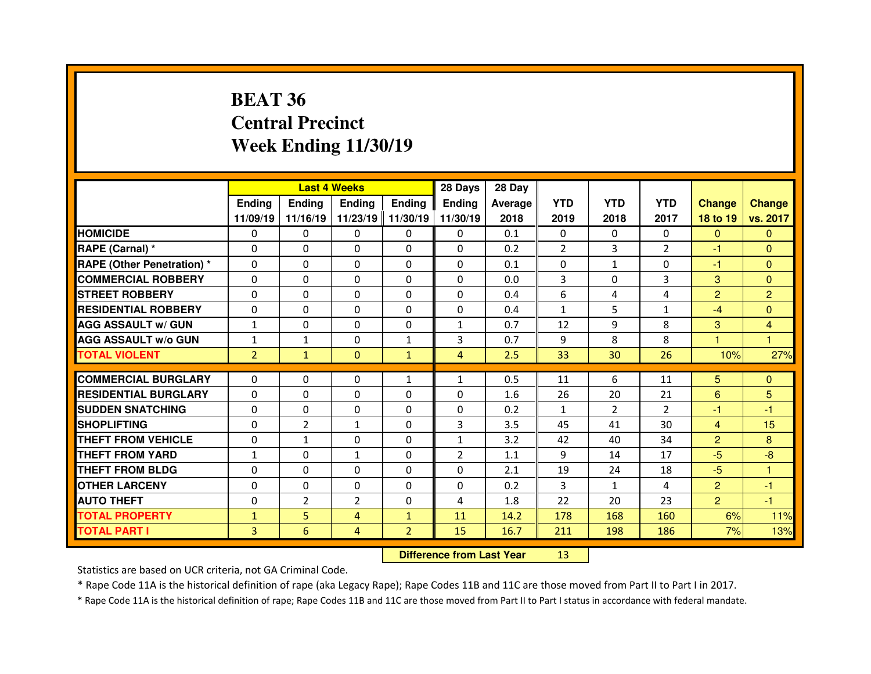## **BEAT 36 Central PrecinctWeek Ending 11/30/19**

|                                  |                |                | <b>Last 4 Weeks</b> |                | 28 Days                          | 28 Day  |                |                |                |                         |                |
|----------------------------------|----------------|----------------|---------------------|----------------|----------------------------------|---------|----------------|----------------|----------------|-------------------------|----------------|
|                                  | <b>Ending</b>  | Ending         | <b>Ending</b>       | <b>Ending</b>  | Ending                           | Average | <b>YTD</b>     | <b>YTD</b>     | <b>YTD</b>     | <b>Change</b>           | <b>Change</b>  |
|                                  | 11/09/19       | 11/16/19       | 11/23/19            | 11/30/19       | 11/30/19                         | 2018    | 2019           | 2018           | 2017           | 18 to 19                | vs. 2017       |
| <b>HOMICIDE</b>                  | 0              | 0              | 0                   | $\mathbf{0}$   | 0                                | 0.1     | 0              | $\mathbf{0}$   | $\Omega$       | $\mathbf{0}$            | $\mathbf{0}$   |
| <b>RAPE (Carnal) *</b>           | 0              | 0              | $\Omega$            | $\Omega$       | $\Omega$                         | 0.2     | $\overline{2}$ | 3              | $\overline{2}$ | -1                      | $\Omega$       |
| <b>RAPE (Other Penetration)*</b> | 0              | 0              | $\Omega$            | $\Omega$       | 0                                | 0.1     | $\Omega$       | $\mathbf{1}$   | $\Omega$       | $-1$                    | $\Omega$       |
| <b>COMMERCIAL ROBBERY</b>        | 0              | 0              | 0                   | $\mathbf 0$    | $\Omega$                         | 0.0     | 3              | $\Omega$       | 3              | 3                       | $\mathbf{0}$   |
| <b>STREET ROBBERY</b>            | $\mathbf{0}$   | $\Omega$       | $\Omega$            | $\Omega$       | $\Omega$                         | 0.4     | 6              | 4              | 4              | $\overline{2}$          | $\overline{2}$ |
| <b>RESIDENTIAL ROBBERY</b>       | $\Omega$       | 0              | 0                   | $\Omega$       | $\Omega$                         | 0.4     | $\mathbf{1}$   | 5              | 1              | $-4$                    | $\mathbf{0}$   |
| <b>AGG ASSAULT w/ GUN</b>        | $\mathbf{1}$   | 0              | 0                   | $\mathbf 0$    | 1                                | 0.7     | 12             | 9              | 8              | 3                       | $\overline{4}$ |
| <b>AGG ASSAULT w/o GUN</b>       | $\mathbf{1}$   | $\mathbf{1}$   | $\Omega$            | $\mathbf{1}$   | 3                                | 0.7     | 9              | 8              | 8              | $\overline{\mathbf{1}}$ | $\mathbf{1}$   |
| <b>TOTAL VIOLENT</b>             | $\overline{2}$ | $\mathbf{1}$   | $\mathbf{0}$        | $\mathbf{1}$   | $\overline{4}$                   | 2.5     | 33             | 30             | 26             | 10%                     | 27%            |
| <b>COMMERCIAL BURGLARY</b>       | 0              | 0              | 0                   | $\mathbf{1}$   | $\mathbf{1}$                     | 0.5     | 11             | 6              | 11             | 5 <sup>5</sup>          | $\mathbf{0}$   |
| <b>RESIDENTIAL BURGLARY</b>      | $\Omega$       | 0              | $\mathbf{0}$        | $\Omega$       | 0                                | 1.6     | 26             | 20             | 21             | 6                       | 5              |
| <b>SUDDEN SNATCHING</b>          | 0              | 0              | 0                   | $\Omega$       | 0                                | 0.2     | $\mathbf{1}$   | $\overline{2}$ | $\overline{2}$ | $-1$                    | $-1$           |
| <b>SHOPLIFTING</b>               | 0              | $\overline{2}$ | $\mathbf{1}$        | $\Omega$       | 3                                | 3.5     | 45             | 41             | 30             | $\overline{4}$          | 15             |
| <b>THEFT FROM VEHICLE</b>        | 0              | $\mathbf{1}$   | 0                   | $\Omega$       | $\mathbf{1}$                     | 3.2     | 42             | 40             | 34             | $\overline{2}$          | 8              |
| <b>THEFT FROM YARD</b>           | $\mathbf{1}$   | 0              | $\mathbf{1}$        | $\Omega$       | $\overline{2}$                   | 1.1     | 9              | 14             | 17             | $-5$                    | $-8$           |
| <b>THEFT FROM BLDG</b>           | 0              | 0              | $\Omega$            | $\Omega$       | 0                                | 2.1     | 19             | 24             | 18             | $-5$                    | 1              |
| <b>OTHER LARCENY</b>             | 0              | 0              | $\mathbf{0}$        | $\Omega$       | $\Omega$                         | 0.2     | 3              | $\mathbf{1}$   | 4              | $\overline{2}$          | $-1$           |
| <b>AUTO THEFT</b>                | $\mathbf{0}$   | $\overline{2}$ | $\overline{2}$      | $\mathbf{0}$   | 4                                | 1.8     | 22             | 20             | 23             | $\overline{2}$          | -1             |
| <b>TOTAL PROPERTY</b>            | $\mathbf{1}$   | 5              | 4                   | $\mathbf{1}$   | 11                               | 14.2    | 178            | 168            | 160            | 6%                      | 11%            |
| <b>TOTAL PART I</b>              | 3              | 6              | 4                   | $\overline{2}$ | 15                               | 16.7    | 211            | 198            | 186            | 7%                      | 13%            |
|                                  |                |                |                     |                | <b>Difference from Last Year</b> |         | 13             |                |                |                         |                |

Statistics are based on UCR criteria, not GA Criminal Code.

\* Rape Code 11A is the historical definition of rape (aka Legacy Rape); Rape Codes 11B and 11C are those moved from Part II to Part I in 2017.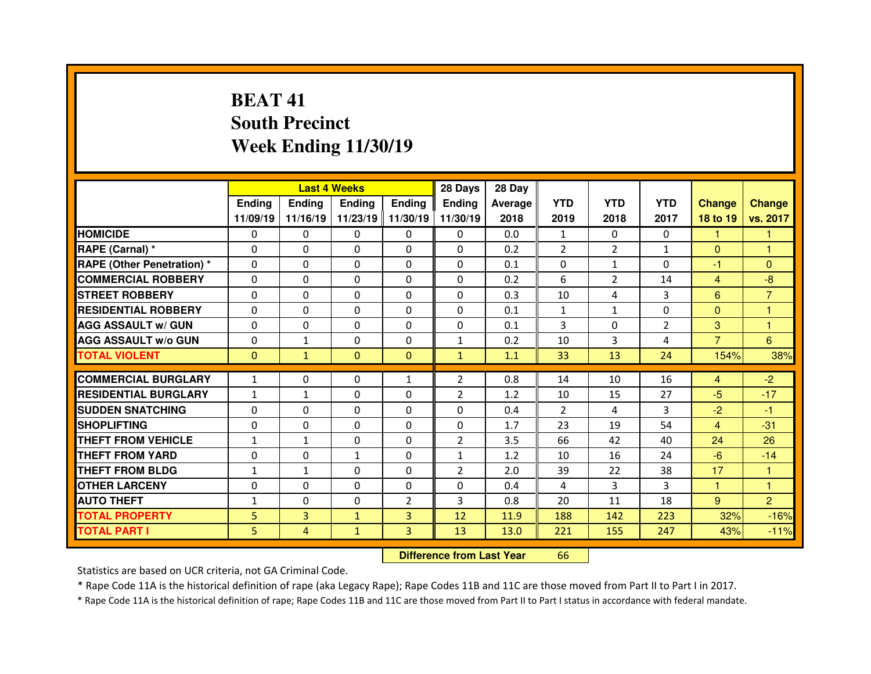## **BEAT 41 South PrecinctWeek Ending 11/30/19**

|                                  |               |                | <b>Last 4 Weeks</b> |                   | 28 Days        | 28 Day  |                |                |                |                |                |
|----------------------------------|---------------|----------------|---------------------|-------------------|----------------|---------|----------------|----------------|----------------|----------------|----------------|
|                                  | <b>Ending</b> | Ending         | Ending              | <b>Ending</b>     | Ending         | Average | <b>YTD</b>     | <b>YTD</b>     | <b>YTD</b>     | <b>Change</b>  | <b>Change</b>  |
|                                  | 11/09/19      | 11/16/19       |                     | 11/23/19 11/30/19 | 11/30/19       | 2018    | 2019           | 2018           | 2017           | 18 to 19       | vs. 2017       |
| <b>HOMICIDE</b>                  | $\Omega$      | 0              | 0                   | $\Omega$          | $\Omega$       | 0.0     | $\mathbf{1}$   | $\Omega$       | $\Omega$       | 1              | 1              |
| RAPE (Carnal) *                  | $\mathbf{0}$  | 0              | $\mathbf{0}$        | $\mathbf{0}$      | $\Omega$       | 0.2     | $\overline{2}$ | $\overline{2}$ | $\mathbf{1}$   | $\mathbf{0}$   | 1              |
| <b>RAPE (Other Penetration)*</b> | $\Omega$      | $\Omega$       | $\Omega$            | $\Omega$          | $\Omega$       | 0.1     | $\Omega$       | $\mathbf{1}$   | $\Omega$       | $-1$           | $\Omega$       |
| <b>COMMERCIAL ROBBERY</b>        | $\Omega$      | $\Omega$       | $\mathbf{0}$        | $\Omega$          | $\Omega$       | 0.2     | 6              | $\overline{2}$ | 14             | $\overline{4}$ | $-8$           |
| <b>STREET ROBBERY</b>            | $\Omega$      | 0              | $\Omega$            | $\Omega$          | $\Omega$       | 0.3     | 10             | 4              | 3              | 6              | $\overline{7}$ |
| <b>RESIDENTIAL ROBBERY</b>       | $\Omega$      | 0              | $\mathbf{0}$        | $\Omega$          | $\Omega$       | 0.1     | $\mathbf{1}$   | $\mathbf{1}$   | $\Omega$       | $\overline{0}$ | $\overline{1}$ |
| <b>AGG ASSAULT w/ GUN</b>        | $\Omega$      | $\Omega$       | $\Omega$            | $\Omega$          | $\Omega$       | 0.1     | 3              | $\Omega$       | $\overline{2}$ | 3              | $\mathbf{1}$   |
| <b>AGG ASSAULT w/o GUN</b>       | 0             | $\mathbf{1}$   | 0                   | $\Omega$          | $\mathbf{1}$   | 0.2     | 10             | 3              | 4              | $\overline{7}$ | $6\phantom{a}$ |
| <b>TOTAL VIOLENT</b>             | $\mathbf{0}$  | $\mathbf{1}$   | $\mathbf{0}$        | $\Omega$          | $\mathbf{1}$   | 1.1     | 33             | 13             | 24             | 154%           | 38%            |
| <b>COMMERCIAL BURGLARY</b>       | $\mathbf{1}$  | 0              | 0                   | $\mathbf{1}$      | $\overline{2}$ | 0.8     | 14             | 10             | 16             | $\overline{4}$ | $-2$           |
|                                  |               |                |                     |                   |                |         |                |                |                |                |                |
| <b>RESIDENTIAL BURGLARY</b>      | $\mathbf{1}$  | $\mathbf{1}$   | 0                   | $\Omega$          | 2              | 1.2     | 10             | 15             | 27             | $-5$           | $-17$          |
| <b>SUDDEN SNATCHING</b>          | $\mathbf{0}$  | $\Omega$       | $\mathbf{0}$        | $\Omega$          | $\Omega$       | 0.4     | 2              | 4              | 3              | $-2$           | $-1$           |
| <b>SHOPLIFTING</b>               | 0             | $\Omega$       | $\Omega$            | $\Omega$          | 0              | 1.7     | 23             | 19             | 54             | $\overline{4}$ | $-31$          |
|                                  |               |                |                     |                   |                |         |                |                |                |                |                |
| THEFT FROM VEHICLE               | $\mathbf{1}$  | $\mathbf{1}$   | $\Omega$            | $\Omega$          | $\overline{2}$ | 3.5     | 66             | 42             | 40             | 24             | 26             |
| <b>THEFT FROM YARD</b>           | 0             | $\Omega$       | $\mathbf{1}$        | $\Omega$          | $\mathbf{1}$   | 1.2     | 10             | 16             | 24             | $-6$           | $-14$          |
| <b>THEFT FROM BLDG</b>           | $\mathbf{1}$  | $\mathbf{1}$   | $\mathbf{0}$        | $\Omega$          | $\overline{2}$ | 2.0     | 39             | 22             | 38             | 17             | -1             |
| <b>OTHER LARCENY</b>             | $\Omega$      | $\Omega$       | $\Omega$            | $\Omega$          | $\Omega$       | 0.4     | 4              | 3              | 3              | 1              | 1              |
| <b>AUTO THEFT</b>                | $\mathbf{1}$  | 0              | $\mathbf{0}$        | $\overline{2}$    | 3              | 0.8     | 20             | 11             | 18             | $9^{\circ}$    | $\overline{2}$ |
| <b>TOTAL PROPERTY</b>            | 5             | 3              | $\mathbf{1}$        | $\overline{3}$    | 12             | 11.9    | 188            | 142            | 223            | 32%            | $-16%$         |
| <b>TOTAL PART I</b>              | 5             | $\overline{4}$ | $\mathbf{1}$        | 3                 | 13             | 13.0    | 221            | 155            | 247            | 43%            | $-11%$         |

 **Difference from Last Year**<sup>66</sup>

Statistics are based on UCR criteria, not GA Criminal Code.

\* Rape Code 11A is the historical definition of rape (aka Legacy Rape); Rape Codes 11B and 11C are those moved from Part II to Part I in 2017.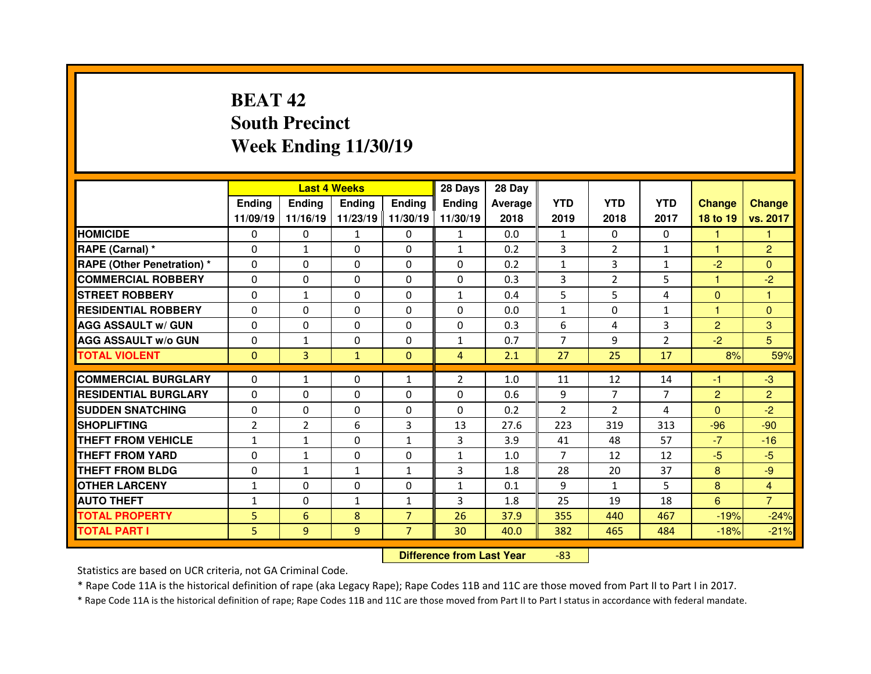## **BEAT 42 South PrecinctWeek Ending 11/30/19**

|                                  |                |               | <b>Last 4 Weeks</b> |                | 28 Days        | 28 Day  |                |                |                |                |                |
|----------------------------------|----------------|---------------|---------------------|----------------|----------------|---------|----------------|----------------|----------------|----------------|----------------|
|                                  | Ending         | <b>Ending</b> | <b>Endina</b>       | <b>Ending</b>  | <b>Ending</b>  | Average | <b>YTD</b>     | <b>YTD</b>     | <b>YTD</b>     | <b>Change</b>  | <b>Change</b>  |
|                                  | 11/09/19       | 11/16/19      | 11/23/19            | 11/30/19       | 11/30/19       | 2018    | 2019           | 2018           | 2017           | 18 to 19       | vs. 2017       |
| <b>HOMICIDE</b>                  | $\Omega$       | 0             | $\mathbf{1}$        | $\Omega$       | $\mathbf{1}$   | 0.0     | $\mathbf{1}$   | $\Omega$       | $\Omega$       | 1              | 1              |
| RAPE (Carnal) *                  | $\Omega$       | $\mathbf{1}$  | $\Omega$            | $\Omega$       | $\mathbf{1}$   | 0.2     | 3              | $\overline{2}$ | $\mathbf{1}$   | $\mathbf{1}$   | $\overline{2}$ |
| <b>RAPE (Other Penetration)*</b> | $\Omega$       | 0             | $\Omega$            | $\mathbf{0}$   | $\Omega$       | 0.2     | $\mathbf{1}$   | 3              | $\mathbf{1}$   | $-2$           | $\Omega$       |
| <b>COMMERCIAL ROBBERY</b>        | $\Omega$       | 0             | $\Omega$            | $\Omega$       | $\Omega$       | 0.3     | 3              | $\overline{2}$ | 5              | 1              | $-2$           |
| <b>STREET ROBBERY</b>            | $\Omega$       | $\mathbf{1}$  | $\Omega$            | $\mathbf{0}$   | $\mathbf{1}$   | 0.4     | 5              | 5              | 4              | $\Omega$       | 1              |
| <b>RESIDENTIAL ROBBERY</b>       | $\Omega$       | 0             | $\Omega$            | $\Omega$       | $\Omega$       | 0.0     | $\mathbf{1}$   | $\Omega$       | $\mathbf{1}$   | $\overline{1}$ | $\Omega$       |
| <b>AGG ASSAULT w/ GUN</b>        | $\Omega$       | 0             | $\Omega$            | $\Omega$       | $\Omega$       | 0.3     | 6              | 4              | 3              | $\overline{2}$ | 3              |
| <b>AGG ASSAULT w/o GUN</b>       | $\Omega$       | $\mathbf{1}$  | $\Omega$            | $\mathbf{0}$   | $\mathbf{1}$   | 0.7     | $\overline{7}$ | 9              | $\overline{2}$ | $-2$           | 5              |
| <b>TOTAL VIOLENT</b>             | $\Omega$       | 3             | $\mathbf{1}$        | $\Omega$       | $\overline{4}$ | 2.1     | 27             | 25             | 17             | 8%             | 59%            |
|                                  |                |               |                     |                |                |         |                |                |                |                |                |
| <b>COMMERCIAL BURGLARY</b>       | 0              | $\mathbf{1}$  | 0                   | 1              | $\overline{2}$ | 1.0     | 11             | 12             | 14             | -1             | $-3$           |
| <b>RESIDENTIAL BURGLARY</b>      | $\Omega$       | 0             | $\Omega$            | $\mathbf{0}$   | $\Omega$       | 0.6     | 9              | $\overline{7}$ | $\overline{7}$ | 2              | 2              |
| <b>SUDDEN SNATCHING</b>          | $\Omega$       | 0             | 0                   | $\Omega$       | $\Omega$       | 0.2     | 2              | $\overline{2}$ | 4              | $\Omega$       | $-2$           |
| <b>SHOPLIFTING</b>               | $\overline{2}$ | 2             | 6                   | 3              | 13             | 27.6    | 223            | 319            | 313            | $-96$          | $-90$          |
| THEFT FROM VEHICLE               | $\mathbf{1}$   | $\mathbf{1}$  | $\Omega$            | $\mathbf{1}$   | 3              | 3.9     | 41             | 48             | 57             | $-7$           | $-16$          |
| <b>THEFT FROM YARD</b>           | $\Omega$       | $\mathbf{1}$  | 0                   | $\Omega$       | $\mathbf{1}$   | 1.0     | $\overline{7}$ | 12             | 12             | $-5$           | $-5$           |
| <b>THEFT FROM BLDG</b>           | 0              | $\mathbf{1}$  | $\mathbf{1}$        | 1              | 3              | 1.8     | 28             | 20             | 37             | 8              | $-9$           |
| <b>OTHER LARCENY</b>             | $\mathbf{1}$   | 0             | 0                   | $\Omega$       | $\mathbf{1}$   | 0.1     | 9              | $\mathbf{1}$   | 5.             | 8              | 4              |
| <b>AUTO THEFT</b>                | $\mathbf{1}$   | 0             | $\mathbf{1}$        | $\mathbf{1}$   | 3              | 1.8     | 25             | 19             | 18             | 6              | $\overline{7}$ |
| <b>TOTAL PROPERTY</b>            | 5              | 6             | 8                   | $\overline{7}$ | 26             | 37.9    | 355            | 440            | 467            | $-19%$         | $-24%$         |
|                                  |                |               |                     |                |                |         |                |                |                |                |                |
| <b>TOTAL PART I</b>              | 5.             | 9             | 9                   | $\overline{7}$ | 30             | 40.0    | 382            | 465            | 484            | $-18%$         | $-21%$         |

 **Difference from Last Year**-83

Statistics are based on UCR criteria, not GA Criminal Code.

\* Rape Code 11A is the historical definition of rape (aka Legacy Rape); Rape Codes 11B and 11C are those moved from Part II to Part I in 2017.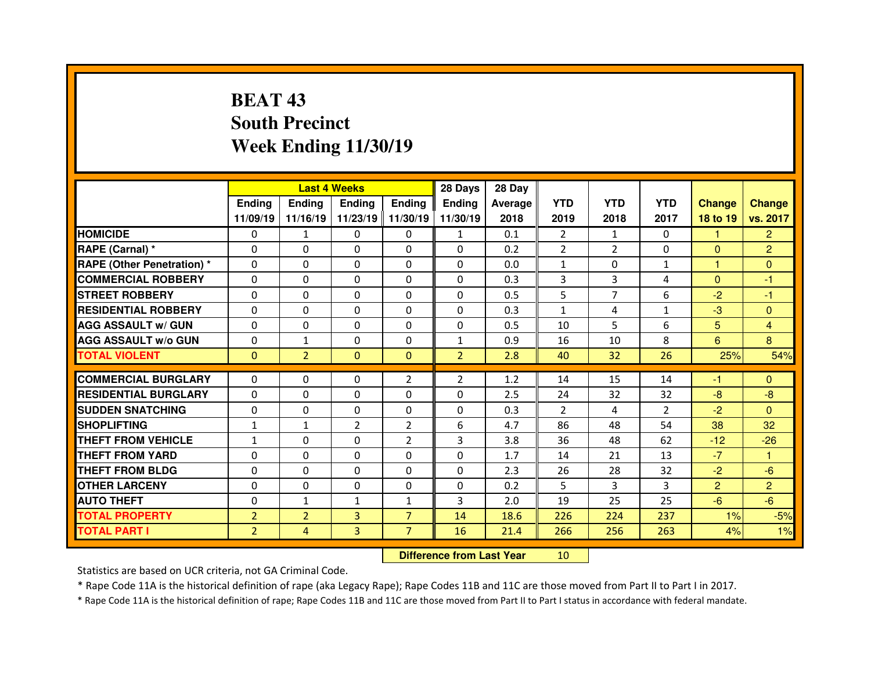## **BEAT 43 South PrecinctWeek Ending 11/30/19**

|                                   |                |                | <b>Last 4 Weeks</b> |                | 28 Days        | 28 Day  |                |                |                |                |                |
|-----------------------------------|----------------|----------------|---------------------|----------------|----------------|---------|----------------|----------------|----------------|----------------|----------------|
|                                   | Ending         | <b>Ending</b>  | <b>Ending</b>       | <b>Ending</b>  | <b>Ending</b>  | Average | <b>YTD</b>     | <b>YTD</b>     | <b>YTD</b>     | <b>Change</b>  | <b>Change</b>  |
|                                   | 11/09/19       | 11/16/19       | 11/23/19            | 11/30/19       | 11/30/19       | 2018    | 2019           | 2018           | 2017           | 18 to 19       | vs. 2017       |
| <b>HOMICIDE</b>                   | $\Omega$       | $\mathbf{1}$   | $\Omega$            | $\Omega$       | $\mathbf{1}$   | 0.1     | 2              | $\mathbf{1}$   | $\Omega$       | 1              | $\overline{2}$ |
| RAPE (Carnal) *                   | $\Omega$       | 0              | $\Omega$            | $\Omega$       | $\Omega$       | 0.2     | $\overline{2}$ | $\overline{2}$ | $\Omega$       | $\mathbf{0}$   | $\overline{2}$ |
| <b>RAPE (Other Penetration) *</b> | $\Omega$       | 0              | $\Omega$            | $\Omega$       | $\Omega$       | 0.0     | $\mathbf{1}$   | $\Omega$       | $\mathbf{1}$   | 1              | $\Omega$       |
| <b>COMMERCIAL ROBBERY</b>         | $\Omega$       | 0              | $\Omega$            | $\Omega$       | $\Omega$       | 0.3     | 3              | 3              | 4              | $\Omega$       | $-1$           |
| <b>STREET ROBBERY</b>             | $\Omega$       | 0              | $\Omega$            | $\Omega$       | $\Omega$       | 0.5     | 5              | $\overline{7}$ | 6              | $-2$           | $-1$           |
| <b>RESIDENTIAL ROBBERY</b>        | $\Omega$       | 0              | $\Omega$            | $\Omega$       | $\Omega$       | 0.3     | $\mathbf{1}$   | 4              | $\mathbf{1}$   | $-3$           | $\Omega$       |
| <b>AGG ASSAULT w/ GUN</b>         | $\Omega$       | 0              | $\Omega$            | $\Omega$       | $\Omega$       | 0.5     | 10             | 5.             | 6              | 5 <sub>5</sub> | 4              |
| <b>AGG ASSAULT w/o GUN</b>        | $\Omega$       | $\mathbf{1}$   | $\Omega$            | $\Omega$       | $\mathbf{1}$   | 0.9     | 16             | 10             | 8              | 6              | 8              |
| <b>TOTAL VIOLENT</b>              | $\mathbf{0}$   | $\overline{2}$ | $\mathbf{0}$        | $\Omega$       | $\overline{2}$ | 2.8     | 40             | 32             | 26             | 25%            | 54%            |
|                                   |                |                |                     |                |                |         |                |                |                |                |                |
| <b>COMMERCIAL BURGLARY</b>        | 0              | 0              | 0                   | $\overline{2}$ | $\overline{2}$ | 1.2     | 14             | 15             | 14             | -1             | $\mathbf{0}$   |
| <b>RESIDENTIAL BURGLARY</b>       | $\Omega$       | 0              | $\Omega$            | $\mathbf{0}$   | $\Omega$       | 2.5     | 24             | 32             | 32             | $-8$           | $-8$           |
| <b>SUDDEN SNATCHING</b>           | $\Omega$       | 0              | 0                   | $\Omega$       | $\Omega$       | 0.3     | 2              | 4              | $\overline{2}$ | $-2$           | $\Omega$       |
| <b>SHOPLIFTING</b>                | $\mathbf{1}$   | $\mathbf{1}$   | $\overline{2}$      | 2              | 6              | 4.7     | 86             | 48             | 54             | 38             | 32             |
| THEFT FROM VEHICLE                | $\mathbf{1}$   | 0              | $\Omega$            | 2              | 3              | 3.8     | 36             | 48             | 62             | $-12$          | $-26$          |
| <b>THEFT FROM YARD</b>            | $\Omega$       | 0              | $\Omega$            | $\Omega$       | $\Omega$       | 1.7     | 14             | 21             | 13             | $-7$           | $\mathbf{1}$   |
| <b>THEFT FROM BLDG</b>            | 0              | 0              | 0                   | $\mathbf{0}$   | $\Omega$       | 2.3     | 26             | 28             | 32             | $-2$           | $-6$           |
| <b>OTHER LARCENY</b>              | $\Omega$       | 0              | 0                   | $\Omega$       | $\Omega$       | 0.2     | 5              | 3              | 3              | $\overline{2}$ | $\overline{2}$ |
| <b>AUTO THEFT</b>                 | 0              | $\mathbf{1}$   | $\mathbf{1}$        | $\mathbf{1}$   | 3              | 2.0     | 19             | 25             | 25             | $-6$           | $-6$           |
| <b>TOTAL PROPERTY</b>             | $\overline{2}$ | $\overline{2}$ | 3                   | $\overline{7}$ | 14             | 18.6    | 226            | 224            | 237            | 1%             | $-5%$          |
| <b>TOTAL PART I</b>               | $\overline{2}$ | $\overline{4}$ | 3                   | $\overline{7}$ | 16             | 21.4    | 266            | 256            | 263            |                | 1%             |
|                                   |                |                |                     |                |                |         |                |                |                | 4%             |                |

 **Difference from Last Year**<sup>10</sup>

Statistics are based on UCR criteria, not GA Criminal Code.

\* Rape Code 11A is the historical definition of rape (aka Legacy Rape); Rape Codes 11B and 11C are those moved from Part II to Part I in 2017.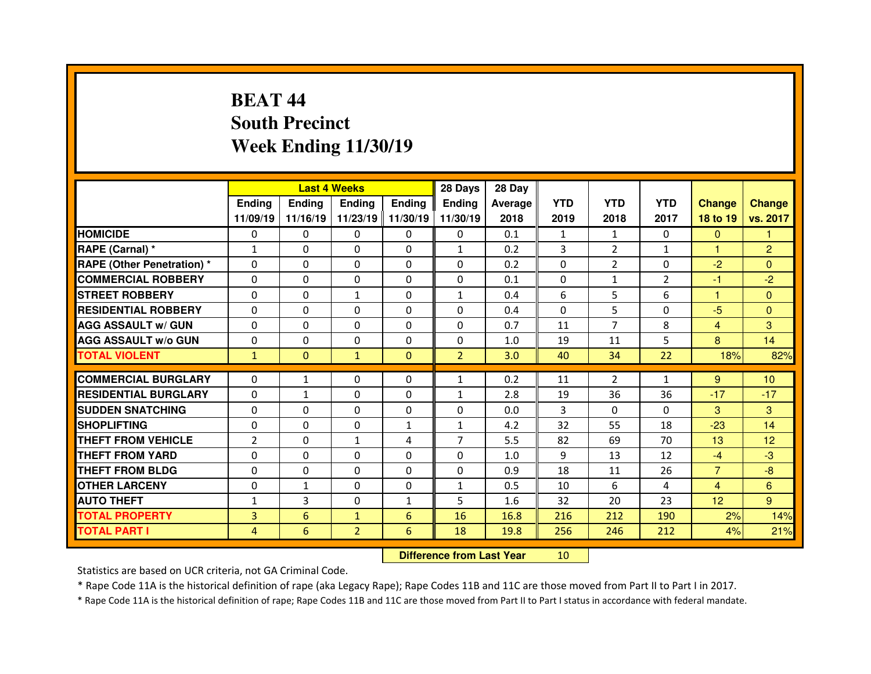## **BEAT 44 South PrecinctWeek Ending 11/30/19**

|                                   |                |               | <b>Last 4 Weeks</b> |               | 28 Days        | 28 Day  |              |                |                |                 |                 |
|-----------------------------------|----------------|---------------|---------------------|---------------|----------------|---------|--------------|----------------|----------------|-----------------|-----------------|
|                                   | Ending         | <b>Ending</b> | <b>Endina</b>       | <b>Ending</b> | <b>Ending</b>  | Average | <b>YTD</b>   | <b>YTD</b>     | <b>YTD</b>     | <b>Change</b>   | <b>Change</b>   |
|                                   | 11/09/19       | 11/16/19      | 11/23/19            | 11/30/19      | 11/30/19       | 2018    | 2019         | 2018           | 2017           | 18 to 19        | vs. 2017        |
| <b>HOMICIDE</b>                   | $\Omega$       | 0             | $\Omega$            | $\Omega$      | $\Omega$       | 0.1     | $\mathbf{1}$ | $\mathbf{1}$   | $\Omega$       | $\mathbf{0}$    | 1               |
| RAPE (Carnal) *                   | $\mathbf{1}$   | 0             | $\Omega$            | $\Omega$      | $\mathbf{1}$   | 0.2     | 3            | $\overline{2}$ | $\mathbf{1}$   | $\mathbf{1}$    | $\overline{2}$  |
| <b>RAPE (Other Penetration) *</b> | $\Omega$       | 0             | $\Omega$            | $\Omega$      | $\Omega$       | 0.2     | $\Omega$     | $\overline{2}$ | $\Omega$       | $-2$            | $\Omega$        |
| <b>COMMERCIAL ROBBERY</b>         | $\Omega$       | 0             | $\Omega$            | $\Omega$      | $\Omega$       | 0.1     | $\Omega$     | $\mathbf{1}$   | $\overline{2}$ | -1              | $-2$            |
| <b>STREET ROBBERY</b>             | $\Omega$       | 0             | $\mathbf{1}$        | $\mathbf{0}$  | $\mathbf{1}$   | 0.4     | 6            | 5              | 6              | $\overline{1}$  | $\Omega$        |
| <b>RESIDENTIAL ROBBERY</b>        | $\Omega$       | 0             | $\Omega$            | $\Omega$      | $\Omega$       | 0.4     | $\Omega$     | 5              | $\Omega$       | $-5$            | $\Omega$        |
| <b>AGG ASSAULT w/ GUN</b>         | $\Omega$       | 0             | $\Omega$            | $\Omega$      | $\Omega$       | 0.7     | 11           | $\overline{7}$ | 8              | $\overline{4}$  | 3               |
| <b>AGG ASSAULT w/o GUN</b>        | $\Omega$       | 0             | $\Omega$            | $\mathbf{0}$  | $\Omega$       | 1.0     | 19           | 11             | 5              | 8               | 14              |
| <b>TOTAL VIOLENT</b>              | $\mathbf{1}$   | $\mathbf{0}$  | $\mathbf{1}$        | $\Omega$      | $\overline{2}$ | 3.0     | 40           | 34             | 22             | 18%             | 82%             |
|                                   |                |               |                     |               |                |         |              |                |                |                 |                 |
| <b>COMMERCIAL BURGLARY</b>        | 0              | $\mathbf{1}$  | 0                   | $\mathbf{0}$  | $\mathbf{1}$   | 0.2     | 11           | $\overline{2}$ | $\mathbf{1}$   | 9               | 10 <sup>°</sup> |
| <b>RESIDENTIAL BURGLARY</b>       | $\Omega$       | $\mathbf{1}$  | $\Omega$            | $\mathbf{0}$  | $\mathbf{1}$   | 2.8     | 19           | 36             | 36             | $-17$           | $-17$           |
| <b>SUDDEN SNATCHING</b>           | $\Omega$       | 0             | 0                   | $\Omega$      | $\Omega$       | 0.0     | 3            | $\Omega$       | $\Omega$       | 3               | 3               |
| <b>SHOPLIFTING</b>                | $\Omega$       | 0             | 0                   | $\mathbf{1}$  | $\mathbf{1}$   | 4.2     | 32           | 55             | 18             | $-23$           | 14              |
| THEFT FROM VEHICLE                |                |               |                     |               |                |         |              |                |                |                 |                 |
|                                   | $\overline{2}$ | 0             | $\mathbf{1}$        | 4             | $\overline{7}$ | 5.5     | 82           | 69             | 70             | 13              | 12              |
| <b>THEFT FROM YARD</b>            | $\Omega$       | 0             | $\Omega$            | $\Omega$      | $\Omega$       | 1.0     | 9            | 13             | 12             | $-4$            | $-3$            |
| <b>THEFT FROM BLDG</b>            | 0              | 0             | 0                   | $\mathbf{0}$  | $\Omega$       | 0.9     | 18           | 11             | 26             | $\overline{7}$  | $-8$            |
| <b>OTHER LARCENY</b>              | $\Omega$       | $\mathbf{1}$  | $\Omega$            | $\Omega$      | $\mathbf{1}$   | 0.5     | 10           | 6              | 4              | $\overline{4}$  | 6               |
| <b>AUTO THEFT</b>                 | $\mathbf{1}$   | 3             | 0                   | $\mathbf{1}$  | 5              | 1.6     | 32           | 20             | 23             | 12 <sub>2</sub> | 9               |
| <b>TOTAL PROPERTY</b>             | 3              | 6             | $\mathbf{1}$        | 6             | 16             | 16.8    | 216          | 212            | 190            | 2%              | 14%             |
| <b>TOTAL PART I</b>               | $\overline{4}$ | 6             | $\overline{2}$      | 6             | 18             | 19.8    | 256          | 246            | 212            | 4%              | 21%             |

 **Difference from Last Year**<sup>10</sup>

Statistics are based on UCR criteria, not GA Criminal Code.

\* Rape Code 11A is the historical definition of rape (aka Legacy Rape); Rape Codes 11B and 11C are those moved from Part II to Part I in 2017.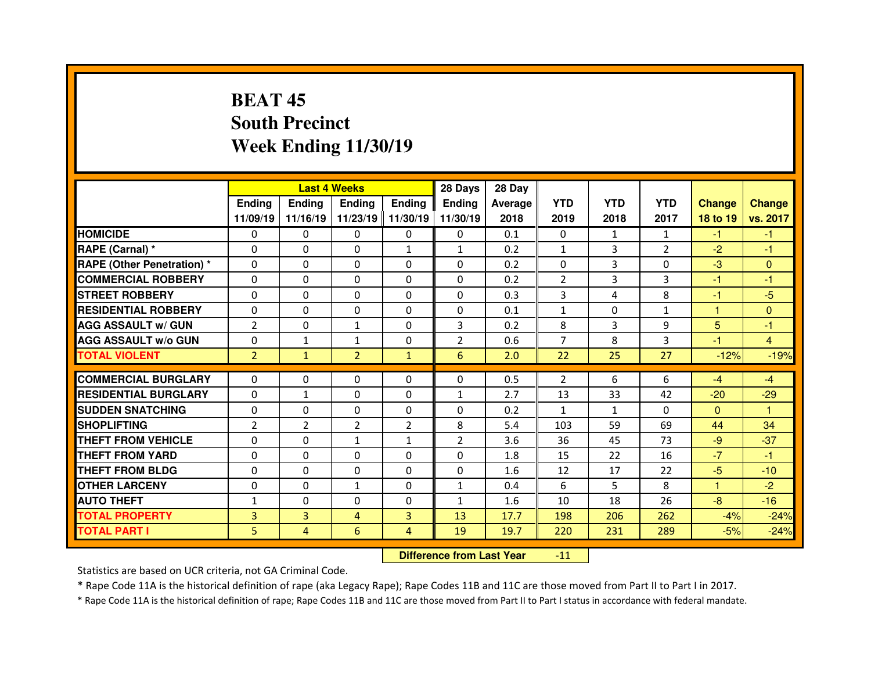## **BEAT 45 South PrecinctWeek Ending 11/30/19**

|                                  |                | <b>Last 4 Weeks</b> |                |                   | 28 Days        | 28 Day  |                |              |                |               |                |
|----------------------------------|----------------|---------------------|----------------|-------------------|----------------|---------|----------------|--------------|----------------|---------------|----------------|
|                                  | Ending         | <b>Endina</b>       | Ending         | <b>Ending</b>     | <b>Ending</b>  | Average | <b>YTD</b>     | <b>YTD</b>   | <b>YTD</b>     | <b>Change</b> | <b>Change</b>  |
|                                  | 11/09/19       | 11/16/19            |                | 11/23/19 11/30/19 | 11/30/19       | 2018    | 2019           | 2018         | 2017           | 18 to 19      | vs. 2017       |
| <b>HOMICIDE</b>                  | 0              | 0                   | $\Omega$       | $\Omega$          | 0              | 0.1     | $\Omega$       | $\mathbf{1}$ | $\mathbf{1}$   | $-1$          | $-1$           |
| RAPE (Carnal) *                  | $\Omega$       | 0                   | 0              | $\mathbf{1}$      | $\mathbf{1}$   | 0.2     | $\mathbf{1}$   | 3            | $\overline{2}$ | $-2$          | $-1$           |
| <b>RAPE (Other Penetration)*</b> | $\Omega$       | 0                   | $\Omega$       | $\Omega$          | $\Omega$       | 0.2     | $\Omega$       | 3            | $\Omega$       | $-3$          | $\Omega$       |
| <b>COMMERCIAL ROBBERY</b>        | $\Omega$       | 0                   | $\Omega$       | $\Omega$          | $\Omega$       | 0.2     | 2              | 3            | 3              | -1            | -1             |
| <b>STREET ROBBERY</b>            | $\Omega$       | 0                   | $\Omega$       | $\Omega$          | $\Omega$       | 0.3     | 3              | 4            | 8              | $-1$          | $-5$           |
| <b>RESIDENTIAL ROBBERY</b>       | $\Omega$       | 0                   | $\Omega$       | $\Omega$          | $\Omega$       | 0.1     | $\mathbf{1}$   | $\Omega$     | $\mathbf{1}$   | 1             | $\Omega$       |
| <b>AGG ASSAULT w/ GUN</b>        | $\overline{2}$ | 0                   | $\mathbf{1}$   | $\Omega$          | 3              | 0.2     | 8              | 3            | 9              | 5             | $-1$           |
| <b>AGG ASSAULT w/o GUN</b>       | $\Omega$       | $\mathbf{1}$        | $\mathbf{1}$   | $\Omega$          | $\overline{2}$ | 0.6     | $\overline{7}$ | 8            | 3              | $-1$          | $\overline{4}$ |
| <b>TOTAL VIOLENT</b>             | $\overline{2}$ | $\mathbf{1}$        | $\overline{2}$ | $\mathbf{1}$      | 6              | 2.0     | 22             | 25           | 27             | $-12%$        | $-19%$         |
|                                  |                |                     |                |                   |                |         |                |              |                |               |                |
| <b>COMMERCIAL BURGLARY</b>       | 0              | 0                   | 0              | $\mathbf{0}$      | $\Omega$       | 0.5     | 2              | 6            | 6              | $-4$          | $-4$           |
| <b>RESIDENTIAL BURGLARY</b>      | $\Omega$       | $\mathbf{1}$        | 0              | 0                 | $\mathbf{1}$   | 2.7     | 13             | 33           | 42             | $-20$         | $-29$          |
| <b>SUDDEN SNATCHING</b>          | 0              | 0                   | 0              | $\mathbf{0}$      | $\Omega$       | 0.2     | $\mathbf{1}$   | $\mathbf{1}$ | $\Omega$       | $\mathbf{0}$  | $\mathbf{1}$   |
| <b>SHOPLIFTING</b>               | $\overline{2}$ | $\overline{2}$      | $\overline{2}$ | $\overline{2}$    | 8              | 5.4     | 103            | 59           | 69             | 44            | 34             |
| THEFT FROM VEHICLE               |                |                     |                |                   |                |         |                |              |                |               | $-37$          |
|                                  | $\Omega$       | 0                   | $\mathbf{1}$   | $\mathbf{1}$      | $\overline{2}$ | 3.6     | 36             | 45           | 73             | $-9$          |                |
| <b>THEFT FROM YARD</b>           | 0              | 0                   | $\Omega$       | 0                 | $\Omega$       | 1.8     | 15             | 22           | 16             | $-7$          | $-1$           |
| <b>THEFT FROM BLDG</b>           | $\Omega$       | 0                   | 0              | $\Omega$          | $\Omega$       | 1.6     | 12             | 17           | 22             | $-5$          | $-10$          |
| <b>OTHER LARCENY</b>             | $\Omega$       | 0                   | $\mathbf{1}$   | $\Omega$          | $\mathbf{1}$   | 0.4     | 6              | 5.           | 8              | 1             | $-2$           |
| <b>AUTO THEFT</b>                | $\mathbf{1}$   | 0                   | 0              | $\mathbf{0}$      | $\mathbf{1}$   | 1.6     | 10             | 18           | 26             | $-8$          | $-16$          |
| <b>TOTAL PROPERTY</b>            | 3              | 3                   | 4              | $\overline{3}$    | 13             | 17.7    | 198            | 206          | 262            | $-4%$         | $-24%$         |
| <b>TOTAL PART I</b>              | 5.             | 4                   | 6              | 4                 | 19             | 19.7    | 220            | 231          | 289            | $-5%$         | $-24%$         |

 **Difference from Last Year**-11

Statistics are based on UCR criteria, not GA Criminal Code.

\* Rape Code 11A is the historical definition of rape (aka Legacy Rape); Rape Codes 11B and 11C are those moved from Part II to Part I in 2017.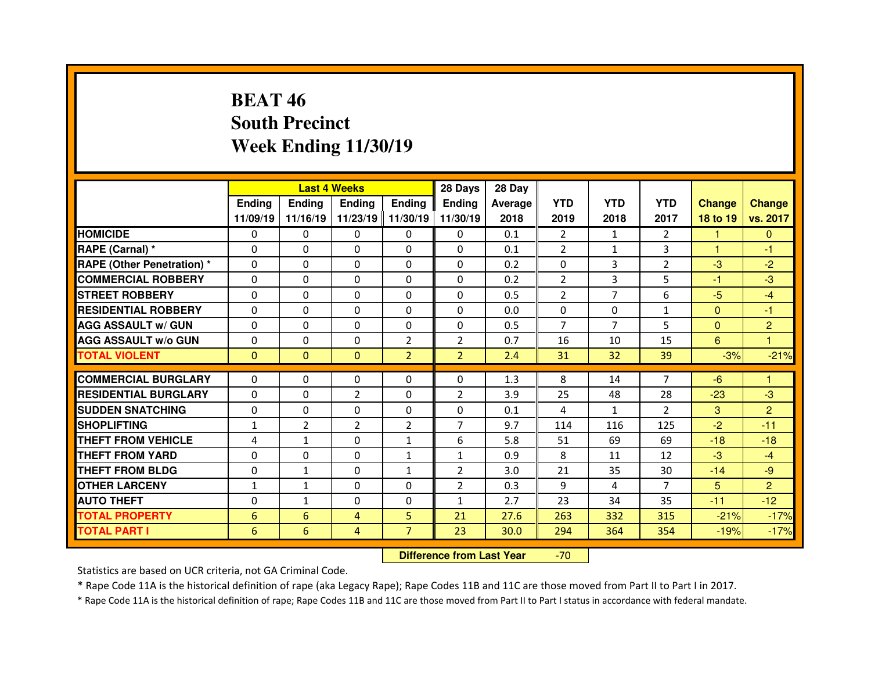## **BEAT 46 South PrecinctWeek Ending 11/30/19**

|                                  |              |                | <b>Last 4 Weeks</b> |                   | 28 Days        | 28 Day  |                |                |                |               |                |
|----------------------------------|--------------|----------------|---------------------|-------------------|----------------|---------|----------------|----------------|----------------|---------------|----------------|
|                                  | Ending       | <b>Ending</b>  | <b>Ending</b>       | <b>Ending</b>     | <b>Ending</b>  | Average | <b>YTD</b>     | <b>YTD</b>     | <b>YTD</b>     | <b>Change</b> | <b>Change</b>  |
|                                  | 11/09/19     | 11/16/19       |                     | 11/23/19 11/30/19 | 11/30/19       | 2018    | 2019           | 2018           | 2017           | 18 to 19      | vs. 2017       |
| <b>HOMICIDE</b>                  | $\Omega$     | 0              | $\Omega$            | $\Omega$          | 0              | 0.1     | 2              | 1              | $\mathcal{P}$  | 1             | $\Omega$       |
| RAPE (Carnal) *                  | 0            | $\Omega$       | $\mathbf{0}$        | $\Omega$          | 0              | 0.1     | 2              | $\mathbf{1}$   | 3              | $\mathbf{1}$  | -1             |
| <b>RAPE (Other Penetration)*</b> | 0            | $\Omega$       | $\Omega$            | $\Omega$          | 0              | 0.2     | 0              | 3              | $\overline{2}$ | $-3$          | $-2$           |
| <b>COMMERCIAL ROBBERY</b>        | $\Omega$     | 0              | $\Omega$            | $\Omega$          | 0              | 0.2     | 2              | 3              | 5              | -1            | $-3$           |
| <b>STREET ROBBERY</b>            | 0            | $\Omega$       | $\mathbf{0}$        | $\Omega$          | 0              | 0.5     | 2              | $\overline{7}$ | 6              | $-5$          | $-4$           |
| <b>RESIDENTIAL ROBBERY</b>       | $\Omega$     | $\Omega$       | $\Omega$            | $\Omega$          | $\Omega$       | 0.0     | $\Omega$       | $\Omega$       | $\mathbf{1}$   | $\mathbf{0}$  | -1             |
| <b>AGG ASSAULT w/ GUN</b>        | 0            | 0              | $\Omega$            | $\Omega$          | 0              | 0.5     | $\overline{7}$ | $\overline{7}$ | 5.             | $\mathbf{0}$  | $\overline{2}$ |
| <b>AGG ASSAULT w/o GUN</b>       | $\Omega$     | $\Omega$       | $\mathbf{0}$        | $\overline{2}$    | $\overline{2}$ | 0.7     | 16             | 10             | 15             | 6             | $\mathbf{1}$   |
| <b>TOTAL VIOLENT</b>             | $\mathbf{0}$ | $\mathbf{0}$   | $\mathbf{0}$        | $\overline{2}$    | 2 <sup>1</sup> | 2.4     | 31             | 32             | 39             | $-3%$         | $-21%$         |
| <b>COMMERCIAL BURGLARY</b>       |              |                |                     |                   |                |         |                |                | $\overline{7}$ |               | 1              |
|                                  | 0            | 0              | 0                   | 0                 | 0              | 1.3     | 8              | 14             |                | $-6$          |                |
| <b>RESIDENTIAL BURGLARY</b>      | $\Omega$     | 0              | $\overline{2}$      | $\Omega$          | 2              | 3.9     | 25             | 48             | 28             | $-23$         | $-3$           |
| <b>SUDDEN SNATCHING</b>          |              |                |                     |                   |                |         |                |                |                |               |                |
|                                  | 0            | $\Omega$       | $\Omega$            | $\Omega$          | 0              | 0.1     | 4              | $\mathbf{1}$   | $\overline{2}$ | 3             | 2              |
| <b>SHOPLIFTING</b>               | $\mathbf{1}$ | $\overline{2}$ | $\overline{2}$      | $\overline{2}$    | $\overline{7}$ | 9.7     | 114            | 116            | 125            | $-2$          | $-11$          |
| <b>THEFT FROM VEHICLE</b>        | 4            | $\mathbf{1}$   | 0                   | $\mathbf{1}$      | 6              | 5.8     | 51             | 69             | 69             | $-18$         | $-18$          |
| <b>THEFT FROM YARD</b>           | 0            | $\Omega$       | 0                   | 1                 | $\mathbf{1}$   | 0.9     | 8              | 11             | 12             | $-3$          | $-4$           |
| <b>THEFT FROM BLDG</b>           | 0            | $\mathbf{1}$   | $\mathbf{0}$        | $\mathbf{1}$      | $\overline{2}$ | 3.0     | 21             | 35             | 30             | $-14$         | $-9$           |
| <b>OTHER LARCENY</b>             | $\mathbf{1}$ | $\mathbf{1}$   | $\Omega$            | $\Omega$          | $\overline{2}$ | 0.3     | 9              | 4              | $\overline{7}$ | 5             | 2              |
| <b>AUTO THEFT</b>                | 0            | $\mathbf{1}$   | 0                   | $\Omega$          | $\mathbf{1}$   | 2.7     | 23             | 34             | 35             | $-11$         | $-12$          |
| <b>TOTAL PROPERTY</b>            | 6            | 6              | 4                   | 5                 | 21             | 27.6    | 263            | 332            | 315            | $-21%$        | $-17%$         |
| <b>TOTAL PART I</b>              | 6            | 6              | 4                   | $\overline{7}$    | 23             | 30.0    | 294            | 364            | 354            | $-19%$        | $-17%$         |

 **Difference from Last Year**-70

Statistics are based on UCR criteria, not GA Criminal Code.

\* Rape Code 11A is the historical definition of rape (aka Legacy Rape); Rape Codes 11B and 11C are those moved from Part II to Part I in 2017.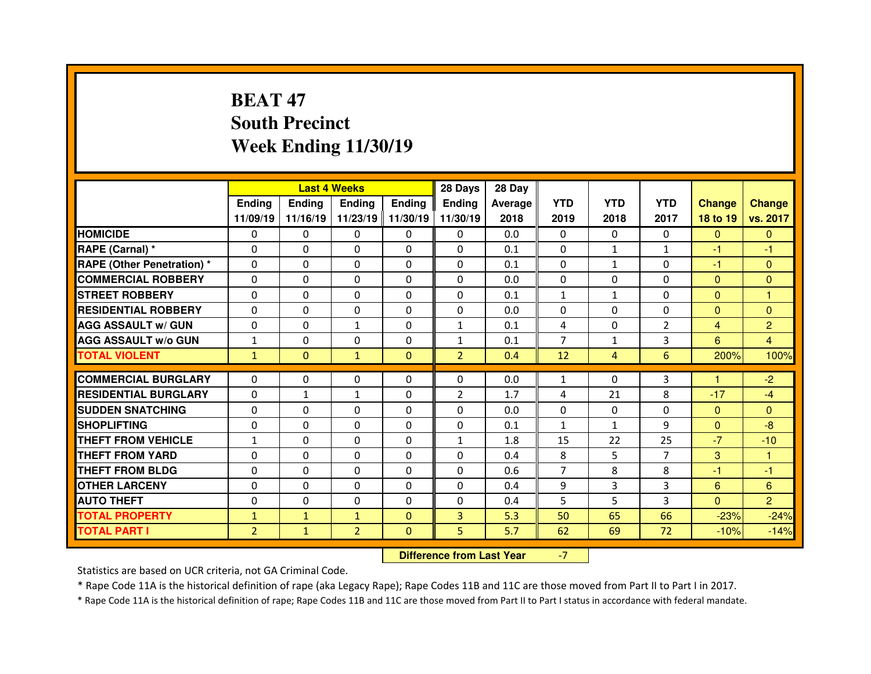## **BEAT 47 South PrecinctWeek Ending 11/30/19**

|                                  |                | <b>Last 4 Weeks</b> |                |                   | 28 Days        | 28 Day  |                |              |                |                 |                      |
|----------------------------------|----------------|---------------------|----------------|-------------------|----------------|---------|----------------|--------------|----------------|-----------------|----------------------|
|                                  | <b>Ending</b>  | Ending              | Ending         | <b>Ending</b>     | Ending         | Average | <b>YTD</b>     | <b>YTD</b>   | <b>YTD</b>     | <b>Change</b>   | <b>Change</b>        |
|                                  | 11/09/19       | 11/16/19            |                | 11/23/19 11/30/19 | 11/30/19       | 2018    | 2019           | 2018         | 2017           | 18 to 19        | vs. 2017             |
| <b>HOMICIDE</b>                  | $\Omega$       | 0                   | 0              | $\Omega$          | $\Omega$       | 0.0     | $\Omega$       | $\Omega$     | $\Omega$       | $\Omega$        | $\Omega$             |
| RAPE (Carnal) *                  | $\mathbf{0}$   | 0                   | $\mathbf{0}$   | $\mathbf{0}$      | $\Omega$       | 0.1     | 0              | $\mathbf{1}$ | $\mathbf{1}$   | -1              | -1                   |
| <b>RAPE (Other Penetration)*</b> | $\Omega$       | $\Omega$            | $\Omega$       | $\Omega$          | $\Omega$       | 0.1     | $\Omega$       | $\mathbf{1}$ | $\Omega$       | $-1$            | $\Omega$             |
| <b>COMMERCIAL ROBBERY</b>        | $\Omega$       | $\Omega$            | $\mathbf{0}$   | $\Omega$          | $\Omega$       | 0.0     | $\Omega$       | $\Omega$     | $\Omega$       | $\mathbf{0}$    | $\mathbf{0}$         |
| <b>STREET ROBBERY</b>            | $\Omega$       | 0                   | $\Omega$       | $\Omega$          | $\Omega$       | 0.1     | $\mathbf{1}$   | $\mathbf{1}$ | $\Omega$       | $\Omega$        | $\overline{1}$       |
| <b>RESIDENTIAL ROBBERY</b>       | $\Omega$       | 0                   | 0              | $\Omega$          | $\Omega$       | 0.0     | $\Omega$       | $\Omega$     | $\Omega$       | $\mathbf{0}$    | $\mathbf{0}$         |
| <b>AGG ASSAULT w/ GUN</b>        | $\Omega$       | $\Omega$            | $\mathbf{1}$   | $\Omega$          | $\mathbf{1}$   | 0.1     | $\overline{4}$ | $\Omega$     | $\overline{2}$ | $\overline{4}$  | $\overline{2}$       |
| <b>AGG ASSAULT w/o GUN</b>       | $\mathbf{1}$   | 0                   | $\mathbf 0$    | $\Omega$          | $\mathbf{1}$   | 0.1     | $\overline{7}$ | $\mathbf{1}$ | 3              | $6\overline{6}$ | $\overline{4}$       |
| <b>TOTAL VIOLENT</b>             | $\mathbf{1}$   | $\mathbf{0}$        | $\mathbf{1}$   | $\Omega$          | $\overline{2}$ | 0.4     | 12             | 4            | 6              | 200%            | 100%                 |
| <b>COMMERCIAL BURGLARY</b>       | 0              |                     |                |                   |                | 0.0     |                | $\Omega$     | 3              | 1               | $-2$                 |
|                                  |                | 0                   | 0              | $\mathbf{0}$      | 0              |         | 1              |              |                |                 |                      |
| <b>RESIDENTIAL BURGLARY</b>      | 0              | $\mathbf{1}$        | $\mathbf{1}$   | $\Omega$          | $\overline{2}$ | 1.7     | 4              | 21           | 8              | $-17$           | $-4$                 |
| <b>SUDDEN SNATCHING</b>          | $\mathbf{0}$   | $\Omega$            | $\Omega$       | $\Omega$          | $\Omega$       | 0.0     | $\Omega$       | $\Omega$     | $\Omega$       | $\mathbf{0}$    | $\Omega$             |
| <b>SHOPLIFTING</b>               | 0              | $\Omega$            | $\Omega$       | $\Omega$          |                |         |                | $\mathbf{1}$ |                |                 | $-8$                 |
|                                  |                |                     |                |                   | 0              | 0.1     | $\mathbf{1}$   |              | 9              | $\overline{0}$  |                      |
| THEFT FROM VEHICLE               | $\mathbf{1}$   | $\Omega$            | $\mathbf{0}$   | $\Omega$          | $\mathbf{1}$   | 1.8     | 15             | 22           | 25             | $-7$            | $-10$                |
| <b>THEFT FROM YARD</b>           | 0              | $\Omega$            | $\Omega$       | $\Omega$          | 0              | 0.4     | 8              | 5            | $\overline{7}$ | 3               | $\blacktriangleleft$ |
| <b>THEFT FROM BLDG</b>           | $\Omega$       | $\Omega$            | $\mathbf{0}$   | $\Omega$          | $\Omega$       | 0.6     | $\overline{7}$ | 8            | 8              | -1              | $-1$                 |
| <b>OTHER LARCENY</b>             | $\mathbf{0}$   | $\Omega$            | $\Omega$       | $\Omega$          | $\Omega$       | 0.4     | 9              | 3            | 3              | 6               | 6                    |
| <b>AUTO THEFT</b>                | $\mathbf{0}$   | 0                   | $\mathbf{0}$   | $\mathbf{0}$      | $\Omega$       | 0.4     | 5              | 5.           | 3              | $\mathbf{0}$    | $\overline{2}$       |
| <b>TOTAL PROPERTY</b>            | $\mathbf{1}$   | $\mathbf{1}$        | $\mathbf{1}$   | $\Omega$          | 3              | 5.3     | 50             | 65           | 66             | $-23%$          | $-24%$               |
| <b>TOTAL PART I</b>              | $\overline{2}$ | $\mathbf{1}$        | $\overline{2}$ | $\mathbf{0}$      | 5              | 5.7     | 62             | 69           | 72             | $-10%$          | $-14%$               |

 **Difference from Last Year**-7

Statistics are based on UCR criteria, not GA Criminal Code.

\* Rape Code 11A is the historical definition of rape (aka Legacy Rape); Rape Codes 11B and 11C are those moved from Part II to Part I in 2017.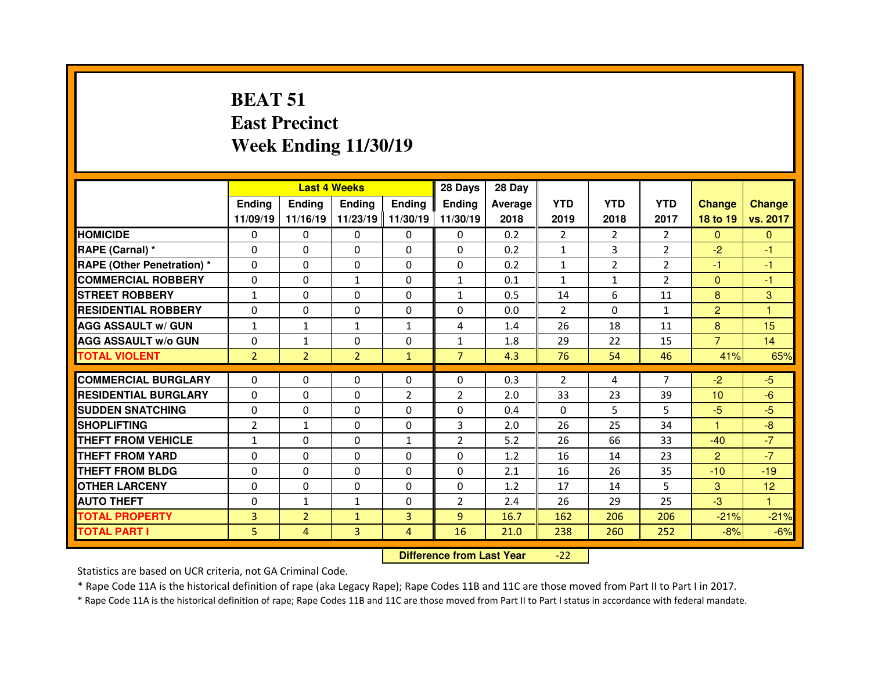## **BEAT 51 East PrecinctWeek Ending 11/30/19**

|                             |                | <b>Last 4 Weeks</b> |                |                   | 28 Days        | 28 Day  |                |                |                |                |                |
|-----------------------------|----------------|---------------------|----------------|-------------------|----------------|---------|----------------|----------------|----------------|----------------|----------------|
|                             | Ending         | <b>Endina</b>       | <b>Endina</b>  | <b>Endina</b>     | <b>Ending</b>  | Average | <b>YTD</b>     | <b>YTD</b>     | <b>YTD</b>     | <b>Change</b>  | <b>Change</b>  |
|                             | 11/09/19       | 11/16/19            |                | 11/23/19 11/30/19 | 11/30/19       | 2018    | 2019           | 2018           | 2017           | 18 to 19       | vs. 2017       |
| <b>HOMICIDE</b>             | $\Omega$       | $\Omega$            | 0              | $\Omega$          | $\Omega$       | 0.2     | $\overline{2}$ | $\overline{2}$ | $\mathcal{P}$  | $\Omega$       | $\Omega$       |
| RAPE (Carnal) *             | $\Omega$       | 0                   | $\Omega$       | $\mathbf{0}$      | $\Omega$       | 0.2     | $\mathbf{1}$   | 3              | $\overline{2}$ | $-2$           | $-1$           |
| RAPE (Other Penetration) *  | $\Omega$       | 0                   | $\Omega$       | $\Omega$          | $\Omega$       | 0.2     | $\mathbf{1}$   | $\overline{2}$ | $\mathcal{P}$  | $-1$           | $-1$           |
| <b>COMMERCIAL ROBBERY</b>   | $\Omega$       | 0                   | $\mathbf{1}$   | $\Omega$          | $\mathbf{1}$   | 0.1     | $\mathbf{1}$   | $\mathbf{1}$   | $\overline{2}$ | $\overline{0}$ | $-1$           |
| <b>STREET ROBBERY</b>       | $\mathbf{1}$   | 0                   | $\Omega$       | $\mathbf{0}$      | $\mathbf{1}$   | 0.5     | 14             | 6              | 11             | 8              | 3              |
| <b>RESIDENTIAL ROBBERY</b>  | $\Omega$       | 0                   | $\Omega$       | $\mathbf{0}$      | $\Omega$       | 0.0     | 2              | $\Omega$       | $\mathbf{1}$   | $\overline{2}$ | $\overline{1}$ |
| <b>AGG ASSAULT w/ GUN</b>   | 1              | $\mathbf{1}$        | $\mathbf{1}$   | $\mathbf{1}$      | 4              | 1.4     | 26             | 18             | 11             | 8              | 15             |
| <b>AGG ASSAULT w/o GUN</b>  | $\Omega$       | $\mathbf{1}$        | 0              | $\mathbf{0}$      | $\mathbf{1}$   | 1.8     | 29             | 22             | 15             | $\overline{7}$ | 14             |
| <b>TOTAL VIOLENT</b>        | $\overline{2}$ | $\overline{2}$      | $\overline{2}$ | $\mathbf{1}$      | $\overline{7}$ | 4.3     | 76             | 54             | 46             | 41%            | 65%            |
| <b>COMMERCIAL BURGLARY</b>  | $\Omega$       | 0                   | $\Omega$       | $\Omega$          | $\Omega$       | 0.3     | 2              | 4              | $\overline{7}$ | $-2$           | $-5$           |
| <b>RESIDENTIAL BURGLARY</b> | $\Omega$       | 0                   | $\Omega$       | $\overline{2}$    | $\overline{2}$ | 2.0     | 33             | 23             | 39             | 10             | $-6$           |
| <b>SUDDEN SNATCHING</b>     | $\Omega$       | 0                   | $\Omega$       | $\Omega$          | $\Omega$       | 0.4     | $\Omega$       | 5              | 5.             | $-5$           | $-5$           |
| <b>SHOPLIFTING</b>          | $\overline{2}$ | $\mathbf{1}$        | $\Omega$       | $\mathbf{0}$      | 3              | 2.0     | 26             | 25             | 34             | 1              | $-8$           |
| THEFT FROM VEHICLE          | $\mathbf{1}$   | 0                   | $\Omega$       | $\mathbf{1}$      | $\overline{2}$ | 5.2     | 26             | 66             | 33             | $-40$          | $-7$           |
| <b>THEFT FROM YARD</b>      | $\Omega$       | 0                   | $\Omega$       | $\Omega$          | $\Omega$       | 1.2     | 16             | 14             | 23             | $\overline{2}$ | $-7$           |
| <b>THEFT FROM BLDG</b>      | $\Omega$       | 0                   | $\Omega$       | $\Omega$          | $\Omega$       | 2.1     | 16             | 26             | 35             | $-10$          | $-19$          |
| <b>OTHER LARCENY</b>        | $\Omega$       | 0                   | $\Omega$       | $\mathbf{0}$      | $\Omega$       | 1.2     | 17             | 14             | 5              | 3              | 12             |
| <b>AUTO THEFT</b>           | $\Omega$       | $\mathbf{1}$        | $\mathbf{1}$   | $\mathbf{0}$      | $\overline{2}$ | 2.4     | 26             | 29             | 25             | $-3$           | 1              |
| <b>TOTAL PROPERTY</b>       | 3              | $\overline{2}$      | $\mathbf{1}$   | 3                 | $\overline{9}$ | 16.7    | 162            | 206            | 206            | $-21%$         | $-21%$         |
| <b>TOTAL PART I</b>         | 5.             | $\overline{4}$      | 3              | 4                 | 16             | 21.0    | 238            | 260            | 252            | $-8%$          | $-6%$          |
|                             |                |                     |                |                   |                |         |                |                |                |                |                |

 **Difference from Last Year**-22

Statistics are based on UCR criteria, not GA Criminal Code.

\* Rape Code 11A is the historical definition of rape (aka Legacy Rape); Rape Codes 11B and 11C are those moved from Part II to Part I in 2017.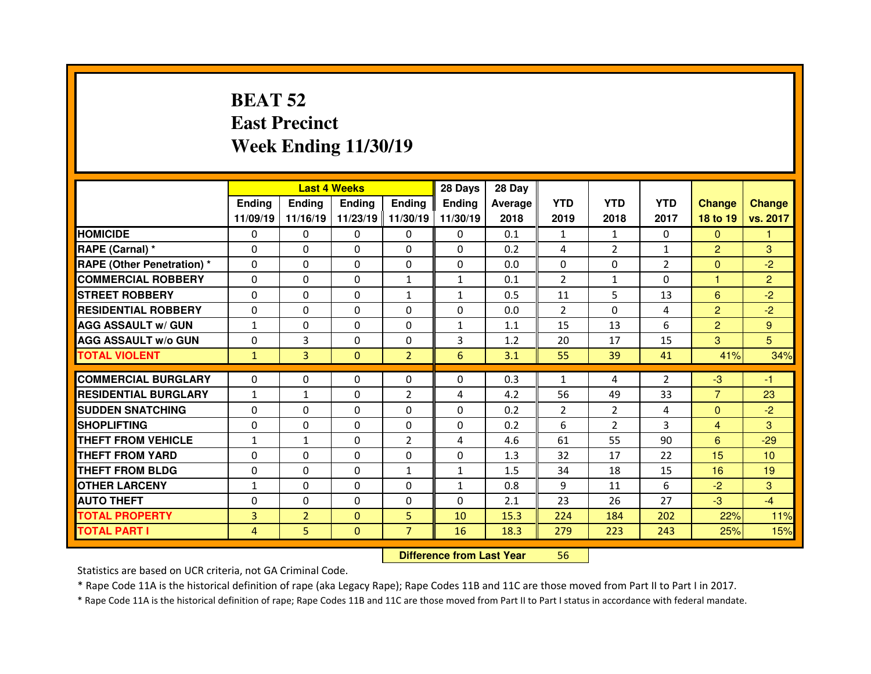### **BEAT 52 East PrecinctWeek Ending 11/30/19**

|                                  |                | <b>Last 4 Weeks</b> |               |                   | 28 Days       | 28 Day         |                |                |                |                        |                 |
|----------------------------------|----------------|---------------------|---------------|-------------------|---------------|----------------|----------------|----------------|----------------|------------------------|-----------------|
|                                  | Ending         | <b>Endina</b>       | <b>Ending</b> | <b>Ending</b>     | <b>Ending</b> | <b>Average</b> | <b>YTD</b>     | <b>YTD</b>     | <b>YTD</b>     | <b>Change</b>          | <b>Change</b>   |
|                                  | 11/09/19       | 11/16/19            |               | 11/23/19 11/30/19 | 11/30/19      | 2018           | 2019           | 2018           | 2017           | 18 to 19               | vs. 2017        |
| <b>HOMICIDE</b>                  | 0              | $\Omega$            | $\Omega$      | $\Omega$          | 0             | 0.1            | $\mathbf{1}$   | $\mathbf{1}$   | $\Omega$       | $\Omega$               | 1               |
| RAPE (Carnal) *                  | $\Omega$       | 0                   | 0             | $\Omega$          | $\Omega$      | 0.2            | 4              | $\overline{2}$ | $\mathbf{1}$   | $\overline{2}$         | 3               |
| <b>RAPE (Other Penetration)*</b> | $\Omega$       | 0                   | 0             | $\Omega$          | $\Omega$      | 0.0            | $\Omega$       | $\Omega$       | $\overline{2}$ | $\mathbf{0}$           | $-2$            |
| <b>COMMERCIAL ROBBERY</b>        | $\Omega$       | 0                   | $\Omega$      | $\mathbf{1}$      | $\mathbf{1}$  | 0.1            | 2              | $\mathbf{1}$   | $\Omega$       | 1                      | $\overline{2}$  |
| <b>STREET ROBBERY</b>            | $\Omega$       | 0                   | $\Omega$      | $\mathbf{1}$      | $\mathbf{1}$  | 0.5            | 11             | 5.             | 13             | 6                      | $-2$            |
| <b>RESIDENTIAL ROBBERY</b>       | $\Omega$       | 0                   | 0             | $\Omega$          | $\Omega$      | 0.0            | $\mathcal{P}$  | $\Omega$       | 4              | $\overline{2}$         | $-2$            |
| <b>AGG ASSAULT w/ GUN</b>        | $\mathbf{1}$   | 0                   | $\Omega$      | $\Omega$          | $\mathbf{1}$  | 1.1            | 15             | 13             | 6              | $\overline{2}$         | 9               |
| <b>AGG ASSAULT W/o GUN</b>       | 0              | 3                   | $\Omega$      | $\mathbf{0}$      | 3             | 1.2            | 20             | 17             | 15             | 3                      | 5               |
| <b>TOTAL VIOLENT</b>             | $\mathbf{1}$   | 3                   | $\mathbf{0}$  | $\overline{2}$    | 6             | 3.1            | 55             | 39             | 41             | 41%                    | 34%             |
| <b>COMMERCIAL BURGLARY</b>       | $\Omega$       |                     |               |                   |               |                |                |                |                |                        |                 |
|                                  |                | 0                   | 0             | 0                 | 0             | 0.3            | $\mathbf{1}$   | 4              | $\overline{2}$ | $-3$<br>$\overline{7}$ | -1              |
| <b>RESIDENTIAL BURGLARY</b>      | $\mathbf{1}$   | $\mathbf{1}$        | 0             | 2                 | 4             | 4.2            | 56             | 49             | 33             |                        | 23              |
| <b>SUDDEN SNATCHING</b>          | $\Omega$       | 0                   | $\Omega$      | $\mathbf{0}$      | $\Omega$      | 0.2            | $\overline{2}$ | $\overline{2}$ | 4              | $\Omega$               | $-2$            |
| <b>SHOPLIFTING</b>               | $\Omega$       | 0                   | $\Omega$      | $\mathbf{0}$      | $\Omega$      | 0.2            | 6              | $\overline{2}$ | 3              | $\overline{4}$         | 3               |
| THEFT FROM VEHICLE               | $\mathbf{1}$   | $\mathbf{1}$        | 0             | 2                 | 4             | 4.6            | 61             | 55             | 90             | 6                      | $-29$           |
| <b>THEFT FROM YARD</b>           | 0              | 0                   | $\Omega$      | $\mathbf{0}$      | $\Omega$      | 1.3            | 32             | 17             | 22             | 15                     | 10 <sup>°</sup> |
| <b>THEFT FROM BLDG</b>           | 0              | 0                   | 0             | $\mathbf{1}$      | $\mathbf{1}$  | 1.5            | 34             | 18             | 15             | 16                     | 19              |
| <b>OTHER LARCENY</b>             | $\mathbf{1}$   | 0                   | $\Omega$      | $\Omega$          | $\mathbf{1}$  | 0.8            | 9              | 11             | 6              | $-2$                   | 3               |
| <b>AUTO THEFT</b>                | 0              | 0                   | 0             | 0                 | $\Omega$      | 2.1            | 23             | 26             | 27             | $-3$                   | $-4$            |
| <b>TOTAL PROPERTY</b>            | $\overline{3}$ | $\overline{2}$      | $\Omega$      | 5                 | 10            | 15.3           | 224            | 184            | 202            | 22%                    | 11%             |
|                                  |                |                     |               |                   |               |                |                |                |                |                        |                 |
| <b>TOTAL PART I</b>              | 4              | 5                   | $\mathbf{0}$  | $\overline{7}$    | 16            | 18.3           | 279            | 223            | 243            | 25%                    | 15%             |

 **Difference from Last Year**<sup>56</sup>

Statistics are based on UCR criteria, not GA Criminal Code.

\* Rape Code 11A is the historical definition of rape (aka Legacy Rape); Rape Codes 11B and 11C are those moved from Part II to Part I in 2017.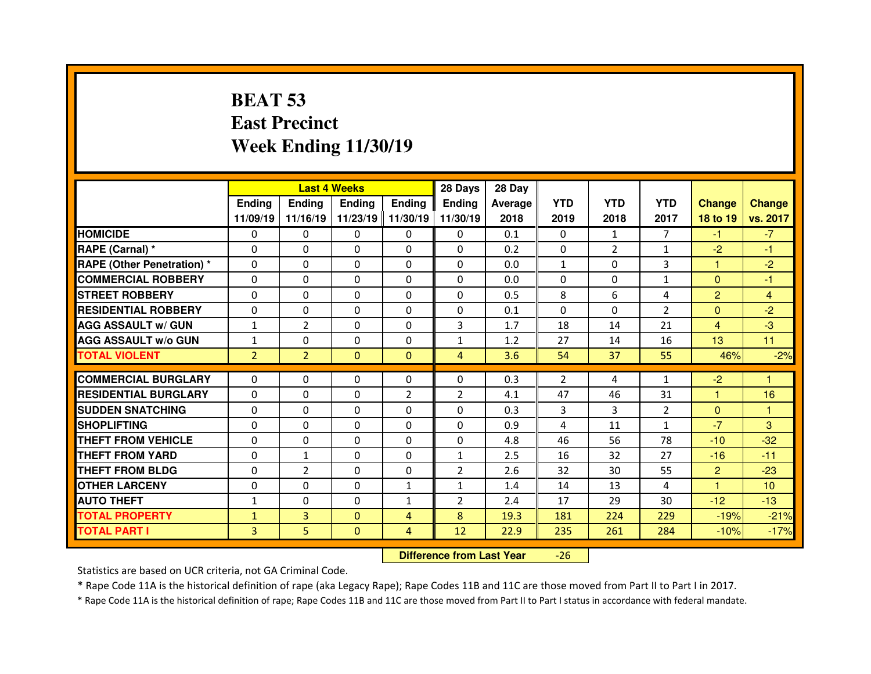### **BEAT 53 East PrecinctWeek Ending 11/30/19**

|                                  |                | <b>Last 4 Weeks</b> |              |               | 28 Days        | 28 Day  |                |                |                |                |                 |
|----------------------------------|----------------|---------------------|--------------|---------------|----------------|---------|----------------|----------------|----------------|----------------|-----------------|
|                                  | Ending         | <b>Endina</b>       | Ending       | <b>Ending</b> | <b>Ending</b>  | Average | <b>YTD</b>     | <b>YTD</b>     | <b>YTD</b>     | <b>Change</b>  | <b>Change</b>   |
|                                  | 11/09/19       | 11/16/19            | 11/23/19     | 11/30/19      | 11/30/19       | 2018    | 2019           | 2018           | 2017           | 18 to 19       | vs. 2017        |
| <b>HOMICIDE</b>                  | 0              | 0                   | $\Omega$     | $\Omega$      | 0              | 0.1     | $\Omega$       | $\mathbf{1}$   | $\overline{7}$ | $-1$           | $-7$            |
| RAPE (Carnal) *                  | $\Omega$       | 0                   | 0            | $\Omega$      | $\Omega$       | 0.2     | $\mathbf{0}$   | $\overline{2}$ | $\mathbf{1}$   | $-2$           | $-1$            |
| <b>RAPE (Other Penetration)*</b> | $\Omega$       | 0                   | $\Omega$     | $\Omega$      | $\Omega$       | 0.0     | $\mathbf{1}$   | $\Omega$       | 3              | 1              | $-2$            |
| <b>COMMERCIAL ROBBERY</b>        | $\Omega$       | 0                   | $\Omega$     | $\Omega$      | $\Omega$       | 0.0     | $\Omega$       | $\Omega$       | $\mathbf{1}$   | $\Omega$       | -1              |
| <b>STREET ROBBERY</b>            | $\Omega$       | 0                   | $\Omega$     | $\Omega$      | $\Omega$       | 0.5     | 8              | 6              | 4              | $\overline{2}$ | 4               |
| <b>RESIDENTIAL ROBBERY</b>       | $\Omega$       | 0                   | $\Omega$     | $\Omega$      | $\Omega$       | 0.1     | $\Omega$       | $\Omega$       | $\overline{2}$ | $\Omega$       | $-2$            |
| <b>AGG ASSAULT w/ GUN</b>        | $\mathbf{1}$   | $\overline{2}$      | $\Omega$     | $\Omega$      | 3              | 1.7     | 18             | 14             | 21             | $\overline{4}$ | $-3$            |
| <b>AGG ASSAULT w/o GUN</b>       | $\mathbf{1}$   | 0                   | 0            | $\Omega$      | $\mathbf{1}$   | 1.2     | 27             | 14             | 16             | 13             | 11              |
| <b>TOTAL VIOLENT</b>             | $\overline{2}$ | $\overline{2}$      | $\mathbf{0}$ | $\mathbf{0}$  | $\overline{4}$ | 3.6     | 54             | 37             | 55             | 46%            | $-2%$           |
|                                  |                |                     |              |               |                |         |                |                |                |                | 1               |
| <b>COMMERCIAL BURGLARY</b>       | 0              | 0                   | 0            | $\Omega$      | $\Omega$       | 0.3     | $\overline{2}$ | 4              | 1              | $-2$           |                 |
| <b>RESIDENTIAL BURGLARY</b>      | $\Omega$       | 0                   | $\Omega$     | 2             | $\overline{2}$ | 4.1     | 47             | 46             | 31             | 1              | 16              |
| <b>SUDDEN SNATCHING</b>          | 0              | 0                   | 0            | $\mathbf{0}$  | $\Omega$       | 0.3     | 3              | 3              | $\overline{2}$ | $\mathbf{0}$   | $\mathbf{1}$    |
| <b>SHOPLIFTING</b>               | $\Omega$       | 0                   | $\Omega$     | $\mathbf{0}$  | $\Omega$       | 0.9     | 4              | 11             | 1              | $-7$           | 3               |
|                                  |                |                     |              |               |                |         |                |                |                |                |                 |
| THEFT FROM VEHICLE               | $\Omega$       | 0                   | 0            | $\Omega$      | $\Omega$       | 4.8     | 46             | 56             | 78             | $-10$          | $-32$           |
| <b>THEFT FROM YARD</b>           | 0              | $\mathbf{1}$        | $\Omega$     | $\mathbf{0}$  | $\mathbf{1}$   | 2.5     | 16             | 32             | 27             | $-16$          | $-11$           |
| <b>THEFT FROM BLDG</b>           | $\Omega$       | $\overline{2}$      | 0            | $\mathbf{0}$  | $\overline{2}$ | 2.6     | 32             | 30             | 55             | $\overline{2}$ | $-23$           |
| <b>OTHER LARCENY</b>             | $\Omega$       | 0                   | $\Omega$     | $\mathbf{1}$  | $\mathbf{1}$   | 1.4     | 14             | 13             | 4              | н              | 10 <sup>°</sup> |
| <b>AUTO THEFT</b>                | $\mathbf{1}$   | 0                   | 0            | $\mathbf{1}$  | $\overline{2}$ | 2.4     | 17             | 29             | 30             | $-12$          | $-13$           |
| <b>TOTAL PROPERTY</b>            | $\mathbf{1}$   | 3                   | $\Omega$     | 4             | 8              | 19.3    | 181            | 224            | 229            | $-19%$         | $-21%$          |
| <b>TOTAL PART I</b>              | 3              | 5                   | $\mathbf{0}$ | 4             | 12             | 22.9    | 235            | 261            | 284            | $-10%$         | $-17%$          |

 **Difference from Last Year**-26

Statistics are based on UCR criteria, not GA Criminal Code.

\* Rape Code 11A is the historical definition of rape (aka Legacy Rape); Rape Codes 11B and 11C are those moved from Part II to Part I in 2017.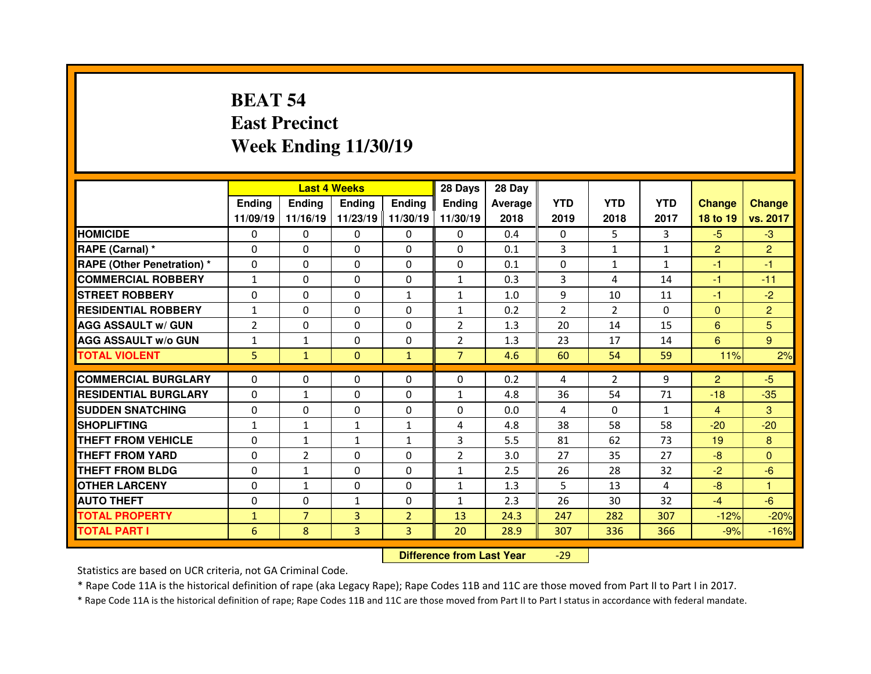## **BEAT 54 East PrecinctWeek Ending 11/30/19**

|                                   |                | <b>Last 4 Weeks</b> |               |                   | 28 Days        | 28 Day  |            |                |              |                |                |
|-----------------------------------|----------------|---------------------|---------------|-------------------|----------------|---------|------------|----------------|--------------|----------------|----------------|
|                                   | Ending         | <b>Endina</b>       | <b>Ending</b> | <b>Ending</b>     | <b>Ending</b>  | Average | <b>YTD</b> | <b>YTD</b>     | <b>YTD</b>   | <b>Change</b>  | <b>Change</b>  |
|                                   | 11/09/19       | 11/16/19            |               | 11/23/19 11/30/19 | 11/30/19       | 2018    | 2019       | 2018           | 2017         | 18 to 19       | vs. 2017       |
| <b>HOMICIDE</b>                   | 0              | $\Omega$            | $\Omega$      | $\Omega$          | 0              | 0.4     | $\Omega$   | 5.             | 3            | $-5$           | $-3$           |
| RAPE (Carnal) *                   | $\Omega$       | 0                   | 0             | $\Omega$          | $\Omega$       | 0.1     | 3          | $\mathbf{1}$   | $\mathbf{1}$ | $\overline{2}$ | $\overline{2}$ |
| <b>RAPE (Other Penetration)</b> * | $\Omega$       | 0                   | 0             | $\Omega$          | $\Omega$       | 0.1     | $\Omega$   | $\mathbf{1}$   | $\mathbf{1}$ | -1             | -1             |
| <b>COMMERCIAL ROBBERY</b>         | $\mathbf{1}$   | 0                   | $\Omega$      | $\Omega$          | $\mathbf{1}$   | 0.3     | 3          | 4              | 14           | -1             | $-11$          |
| <b>STREET ROBBERY</b>             | $\Omega$       | 0                   | $\Omega$      | $\mathbf{1}$      | $\mathbf{1}$   | 1.0     | 9          | 10             | 11           | $-1$           | $-2$           |
| <b>RESIDENTIAL ROBBERY</b>        | $\mathbf{1}$   | 0                   | 0             | $\Omega$          | $\mathbf{1}$   | 0.2     | 2          | $\mathcal{P}$  | 0            | $\Omega$       | $\overline{2}$ |
| <b>AGG ASSAULT w/ GUN</b>         | $\overline{2}$ | 0                   | 0             | $\Omega$          | $\overline{2}$ | 1.3     | 20         | 14             | 15           | 6              | 5              |
| <b>AGG ASSAULT W/o GUN</b>        | $\mathbf{1}$   | $\mathbf{1}$        | $\Omega$      | $\mathbf{0}$      | $\overline{2}$ | 1.3     | 23         | 17             | 14           | 6              | 9              |
| <b>TOTAL VIOLENT</b>              | 5              | $\mathbf{1}$        | $\mathbf{0}$  | $\mathbf{1}$      | $\overline{7}$ | 4.6     | 60         | 54             | 59           | 11%            | 2%             |
| <b>COMMERCIAL BURGLARY</b>        | $\Omega$       |                     |               |                   |                |         |            |                |              |                | $-5$           |
|                                   |                | 0                   | 0             | 0                 | 0              | 0.2     | 4          | $\overline{2}$ | 9            | $\overline{2}$ |                |
| <b>RESIDENTIAL BURGLARY</b>       | 0              | $\mathbf{1}$        | 0             | 0                 | $\mathbf{1}$   | 4.8     | 36         | 54             | 71           | $-18$          | $-35$          |
| <b>SUDDEN SNATCHING</b>           | $\Omega$       | 0                   | $\Omega$      | $\Omega$          | $\Omega$       | 0.0     | 4          | $\Omega$       | $\mathbf{1}$ | $\overline{4}$ | 3              |
| <b>SHOPLIFTING</b>                | $\mathbf{1}$   | $\mathbf{1}$        | $\mathbf{1}$  | $\mathbf{1}$      | 4              | 4.8     | 38         | 58             | 58           | $-20$          | $-20$          |
| THEFT FROM VEHICLE                | 0              | $\mathbf{1}$        | $\mathbf{1}$  | $\mathbf{1}$      | 3              | 5.5     | 81         | 62             | 73           | 19             | 8              |
| <b>THEFT FROM YARD</b>            | 0              | $\overline{2}$      | $\Omega$      | 0                 | $\overline{2}$ | 3.0     | 27         | 35             | 27           | $-8$           | $\Omega$       |
| <b>THEFT FROM BLDG</b>            | $\Omega$       | $\mathbf{1}$        | 0             | $\Omega$          | $\mathbf{1}$   | 2.5     | 26         | 28             | 32           | $-2$           | $-6$           |
| <b>OTHER LARCENY</b>              | $\Omega$       | $\mathbf{1}$        | $\Omega$      | $\Omega$          | $\mathbf{1}$   | 1.3     | 5          | 13             | 4            | $-8$           | 1              |
| <b>AUTO THEFT</b>                 | 0              | 0                   | $\mathbf{1}$  | 0                 | $\mathbf{1}$   | 2.3     | 26         | 30             | 32           | $-4$           | $-6$           |
| <b>TOTAL PROPERTY</b>             | $\mathbf{1}$   | $\overline{7}$      | 3             | $\overline{2}$    | 13             | 24.3    | 247        | 282            | 307          | $-12%$         | $-20%$         |
| <b>TOTAL PART I</b>               | 6              | 8                   | 3             | 3                 | 20             | 28.9    | 307        | 336            | 366          | $-9%$          | $-16%$         |
|                                   |                |                     |               |                   |                |         |            |                |              |                |                |

 **Difference from Last Year**-29

Statistics are based on UCR criteria, not GA Criminal Code.

\* Rape Code 11A is the historical definition of rape (aka Legacy Rape); Rape Codes 11B and 11C are those moved from Part II to Part I in 2017.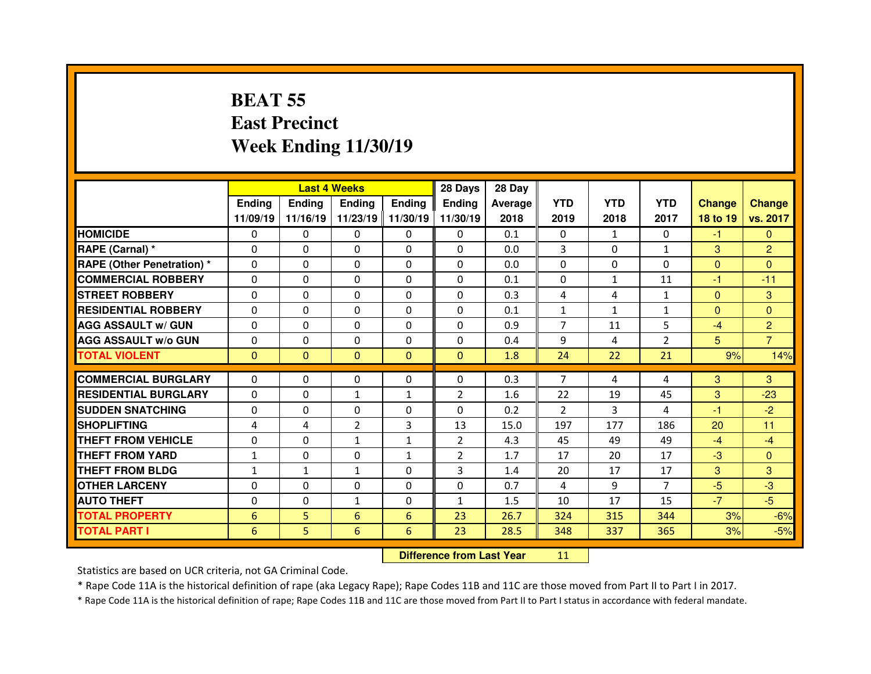### **BEAT 55 East PrecinctWeek Ending 11/30/19**

|                                   |               | <b>Last 4 Weeks</b> |                |                   | 28 Days        | 28 Day  |                |              |                |                |                |
|-----------------------------------|---------------|---------------------|----------------|-------------------|----------------|---------|----------------|--------------|----------------|----------------|----------------|
|                                   | <b>Ending</b> | <b>Endina</b>       | <b>Ending</b>  | <b>Ending</b>     | <b>Endina</b>  | Average | <b>YTD</b>     | <b>YTD</b>   | <b>YTD</b>     | <b>Change</b>  | <b>Change</b>  |
|                                   | 11/09/19      | 11/16/19            |                | 11/23/19 11/30/19 | 11/30/19       | 2018    | 2019           | 2018         | 2017           | 18 to 19       | vs. 2017       |
| <b>HOMICIDE</b>                   | 0             | 0                   | 0              | 0                 | 0              | 0.1     | 0              | 1            | $\Omega$       | $-1$           | $\Omega$       |
| RAPE (Carnal) *                   | $\Omega$      | 0                   | 0              | $\Omega$          | $\Omega$       | 0.0     | 3              | $\Omega$     | $\mathbf{1}$   | 3              | 2              |
| <b>RAPE (Other Penetration) *</b> | $\Omega$      | 0                   | $\Omega$       | $\mathbf{0}$      | $\Omega$       | 0.0     | $\Omega$       | $\Omega$     | $\Omega$       | $\Omega$       | $\Omega$       |
| <b>COMMERCIAL ROBBERY</b>         | 0             | 0                   | 0              | $\mathbf{0}$      | $\Omega$       | 0.1     | $\mathbf{0}$   | $\mathbf{1}$ | 11             | -1             | $-11$          |
| <b>STREET ROBBERY</b>             | 0             | 0                   | $\Omega$       | $\mathbf{0}$      | $\Omega$       | 0.3     | 4              | 4            | $\mathbf{1}$   | $\mathbf{0}$   | 3              |
| <b>RESIDENTIAL ROBBERY</b>        | $\Omega$      | 0                   | 0              | $\Omega$          | $\Omega$       | 0.1     | $\mathbf{1}$   | $\mathbf{1}$ | $\mathbf{1}$   | $\mathbf{0}$   | $\Omega$       |
| <b>AGG ASSAULT w/ GUN</b>         | $\Omega$      | 0                   | $\Omega$       | 0                 | $\Omega$       | 0.9     | $\overline{7}$ | 11           | 5              | $-4$           | $\overline{2}$ |
| <b>AGG ASSAULT w/o GUN</b>        | 0             | 0                   | 0              | $\Omega$          | $\Omega$       | 0.4     | 9              | 4            | $\overline{2}$ | 5 <sup>5</sup> | $\overline{7}$ |
| <b>TOTAL VIOLENT</b>              | $\mathbf{0}$  | $\mathbf{0}$        | $\mathbf{0}$   | $\mathbf{0}$      | $\mathbf{0}$   | 1.8     | 24             | 22           | 21             | 9%             | 14%            |
|                                   |               |                     |                |                   |                |         |                |              |                |                |                |
| <b>COMMERCIAL BURGLARY</b>        | $\Omega$      | 0                   | 0              | 0                 | 0              | 0.3     | $\overline{7}$ | 4            | 4              | 3              | 3              |
| <b>RESIDENTIAL BURGLARY</b>       | 0             | 0                   | $\mathbf{1}$   | $\mathbf{1}$      | $\overline{2}$ | 1.6     | 22             | 19           | 45             | 3              | $-23$          |
| <b>SUDDEN SNATCHING</b>           | 0             | 0                   | $\Omega$       | 0                 | $\Omega$       | 0.2     | $\overline{2}$ | 3            | 4              | -1             | $-2$           |
| <b>SHOPLIFTING</b>                | 4             | 4                   | $\overline{2}$ | 3                 | 13             | 15.0    | 197            | 177          | 186            | 20             | 11             |
| <b>THEFT FROM VEHICLE</b>         | $\Omega$      | 0                   | $\mathbf{1}$   | $\mathbf{1}$      | $\overline{2}$ | 4.3     | 45             | 49           | 49             | $-4$           | $-4$           |
| <b>THEFT FROM YARD</b>            | $\mathbf{1}$  | 0                   | $\Omega$       | $\mathbf{1}$      | $\overline{2}$ | 1.7     | 17             | 20           | 17             | $-3$           | $\Omega$       |
|                                   |               |                     |                |                   |                |         |                |              |                |                |                |
| <b>THEFT FROM BLDG</b>            | $\mathbf{1}$  | $\mathbf{1}$        | $\mathbf{1}$   | $\Omega$          | 3              | 1.4     | 20             | 17           | 17             | 3              | 3              |
| <b>OTHER LARCENY</b>              | 0             | 0                   | $\Omega$       | $\mathbf{0}$      | $\Omega$       | 0.7     | 4              | 9            | $\overline{7}$ | $-5$           | $-3$           |
| <b>AUTO THEFT</b>                 | $\Omega$      | 0                   | $\mathbf{1}$   | $\Omega$          | $\mathbf{1}$   | 1.5     | 10             | 17           | 15             | $-7$           | $-5$           |
| <b>TOTAL PROPERTY</b>             | 6             | 5                   | 6              | 6                 | 23             | 26.7    | 324            | 315          | 344            | 3%             | $-6%$          |
| <b>TOTAL PART I</b>               | 6             | 5                   | 6              | 6                 | 23             | 28.5    | 348            | 337          | 365            | 3%             | $-5%$          |

 **Difference from Last Year**<sup>11</sup>

Statistics are based on UCR criteria, not GA Criminal Code.

\* Rape Code 11A is the historical definition of rape (aka Legacy Rape); Rape Codes 11B and 11C are those moved from Part II to Part I in 2017.